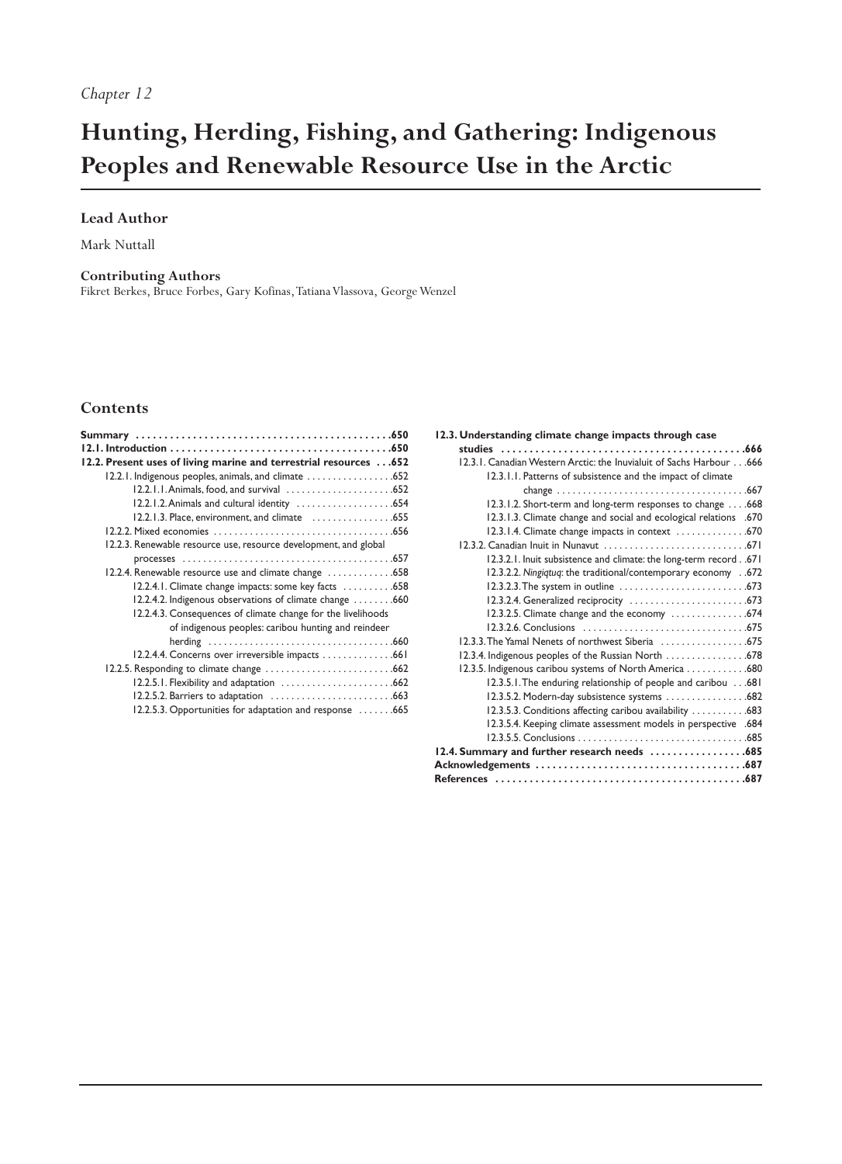# **Hunting, Herding, Fishing, and Gathering: Indigenous Peoples and Renewable Resource Use in the Arctic**

# **Lead Author**

Mark Nuttall

#### **Contributing Authors**

Fikret Berkes, Bruce Forbes, Gary Kofinas,Tatiana Vlassova, George Wenzel

#### **Contents**

| 12.2. Present uses of living marine and terrestrial resources 652                          |
|--------------------------------------------------------------------------------------------|
|                                                                                            |
| $12.2.1.1.$ Animals, food, and survival $\ldots \ldots \ldots \ldots \ldots \ldots$ . 652  |
|                                                                                            |
|                                                                                            |
|                                                                                            |
| 12.2.3. Renewable resource use, resource development, and global                           |
|                                                                                            |
| 12.2.4. Renewable resource use and climate change  658                                     |
| 12.2.4.1. Climate change impacts: some key facts  .658                                     |
| 12.2.4.2. Indigenous observations of climate change 660                                    |
| 12.2.4.3. Consequences of climate change for the livelihoods                               |
| of indigenous peoples: caribou hunting and reindeer                                        |
|                                                                                            |
| 12.2.4.4. Concerns over irreversible impacts 661                                           |
|                                                                                            |
| $12.2.5.1$ . Flexibility and adaptation $\ldots \ldots \ldots \ldots \ldots \ldots \ldots$ |
|                                                                                            |
| 12.2.5.3. Opportunities for adaptation and response  665                                   |
|                                                                                            |

# **[12.3. Understanding climate change impacts through case](#page-17-0)**

| 12.3.1. Canadian Western Arctic: the Inuvialuit of Sachs Harbour 666 |  |
|----------------------------------------------------------------------|--|
| 12.3.1.1. Patterns of subsistence and the impact of climate          |  |
|                                                                      |  |
| 12.3.1.2. Short-term and long-term responses to change 668           |  |
| 12.3.1.3. Climate change and social and ecological relations .670    |  |
| 12.3.1.4. Climate change impacts in context 670                      |  |
|                                                                      |  |
| 12.3.2.1. Inuit subsistence and climate: the long-term record 671    |  |
| 12.3.2.2. Ningiqtuq: the traditional/contemporary economy672         |  |
|                                                                      |  |
|                                                                      |  |
| 12.3.2.5. Climate change and the economy 674                         |  |
|                                                                      |  |
|                                                                      |  |
| 12.3.4. Indigenous peoples of the Russian North 678                  |  |
| 12.3.5. Indigenous caribou systems of North America 680              |  |
| 12.3.5.1. The enduring relationship of people and caribou 681        |  |
| 12.3.5.2. Modern-day subsistence systems 682                         |  |
| 12.3.5.3. Conditions affecting caribou availability  .683            |  |
| 12.3.5.4. Keeping climate assessment models in perspective .684      |  |
|                                                                      |  |
| 12.4. Summary and further research needs 685                         |  |
|                                                                      |  |
|                                                                      |  |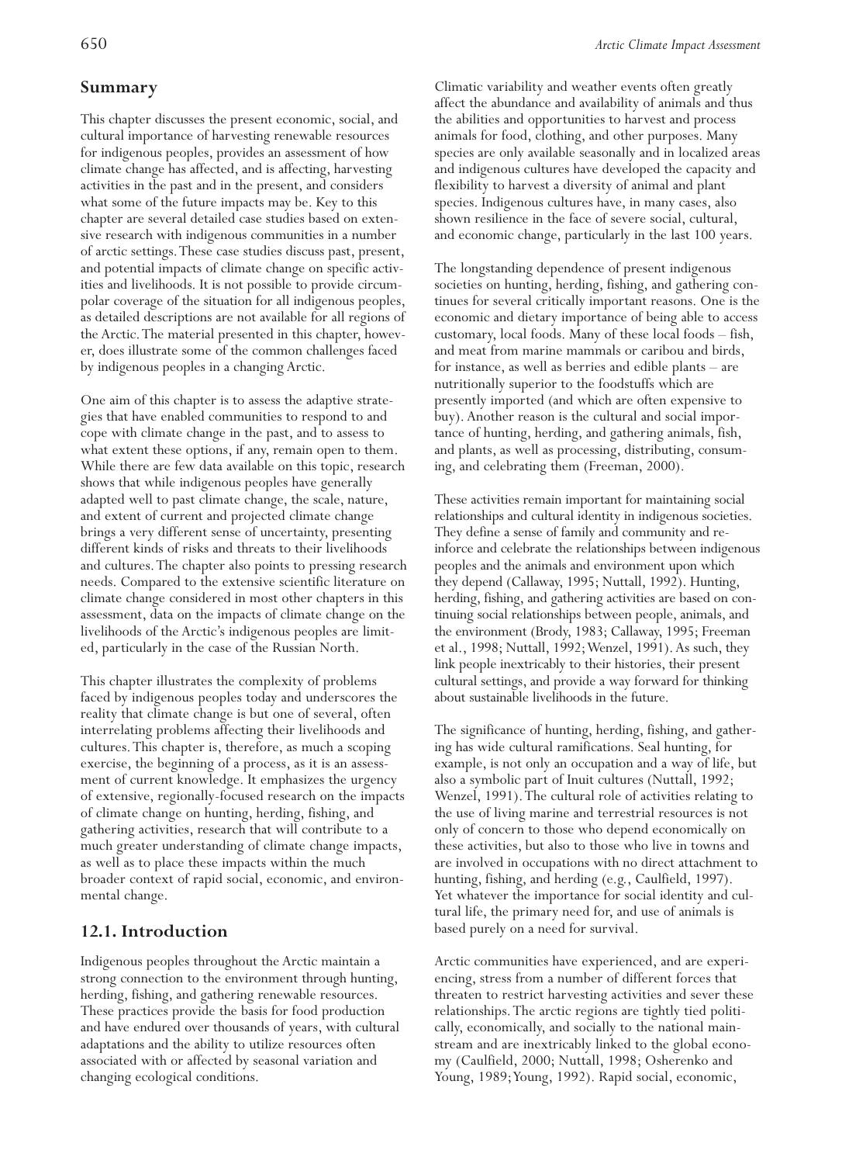# **Summary**

This chapter discusses the present economic, social, and cultural importance of harvesting renewable resources for indigenous peoples, provides an assessment of how climate change has affected, and is affecting, harvesting activities in the past and in the present, and considers what some of the future impacts may be. Key to this chapter are several detailed case studies based on extensive research with indigenous communities in a number of arctic settings.These case studies discuss past, present, and potential impacts of climate change on specific activities and livelihoods. It is not possible to provide circumpolar coverage of the situation for all indigenous peoples, as detailed descriptions are not available for all regions of the Arctic.The material presented in this chapter, however, does illustrate some of the common challenges faced by indigenous peoples in a changing Arctic.

One aim of this chapter is to assess the adaptive strategies that have enabled communities to respond to and cope with climate change in the past, and to assess to what extent these options, if any, remain open to them. While there are few data available on this topic, research shows that while indigenous peoples have generally adapted well to past climate change, the scale, nature, and extent of current and projected climate change brings a very different sense of uncertainty, presenting different kinds of risks and threats to their livelihoods and cultures.The chapter also points to pressing research needs. Compared to the extensive scientific literature on climate change considered in most other chapters in this assessment, data on the impacts of climate change on the livelihoods of the Arctic's indigenous peoples are limited, particularly in the case of the Russian North.

This chapter illustrates the complexity of problems faced by indigenous peoples today and underscores the reality that climate change is but one of several, often interrelating problems affecting their livelihoods and cultures.This chapter is, therefore, as much a scoping exercise, the beginning of a process, as it is an assessment of current knowledge. It emphasizes the urgency of extensive, regionally-focused research on the impacts of climate change on hunting, herding, fishing, and gathering activities, research that will contribute to a much greater understanding of climate change impacts, as well as to place these impacts within the much broader context of rapid social, economic, and environmental change.

# **12.1. Introduction**

Indigenous peoples throughout the Arctic maintain a strong connection to the environment through hunting, herding, fishing, and gathering renewable resources. These practices provide the basis for food production and have endured over thousands of years, with cultural adaptations and the ability to utilize resources often associated with or affected by seasonal variation and changing ecological conditions.

<span id="page-1-0"></span>Climatic variability and weather events often greatly affect the abundance and availability of animals and thus the abilities and opportunities to harvest and process animals for food, clothing, and other purposes. Many species are only available seasonally and in localized areas and indigenous cultures have developed the capacity and flexibility to harvest a diversity of animal and plant species. Indigenous cultures have, in many cases, also shown resilience in the face of severe social, cultural, and economic change, particularly in the last 100 years.

The longstanding dependence of present indigenous societies on hunting, herding, fishing, and gathering continues for several critically important reasons. One is the economic and dietary importance of being able to access customary, local foods. Many of these local foods – fish, and meat from marine mammals or caribou and birds, for instance, as well as berries and edible plants – are nutritionally superior to the foodstuffs which are presently imported (and which are often expensive to buy). Another reason is the cultural and social importance of hunting, herding, and gathering animals, fish, and plants, as well as processing, distributing, consuming, and celebrating them (Freeman, 2000).

These activities remain important for maintaining social relationships and cultural identity in indigenous societies. They define a sense of family and community and reinforce and celebrate the relationships between indigenous peoples and the animals and environment upon which they depend (Callaway, 1995; Nuttall, 1992). Hunting, herding, fishing, and gathering activities are based on continuing social relationships between people, animals, and the environment (Brody, 1983; Callaway, 1995; Freeman et al., 1998; Nuttall, 1992;Wenzel, 1991). As such, they link people inextricably to their histories, their present cultural settings, and provide a way forward for thinking about sustainable livelihoods in the future.

The significance of hunting, herding, fishing, and gathering has wide cultural ramifications. Seal hunting, for example, is not only an occupation and a way of life, but also a symbolic part of Inuit cultures (Nuttall, 1992; Wenzel, 1991).The cultural role of activities relating to the use of living marine and terrestrial resources is not only of concern to those who depend economically on these activities, but also to those who live in towns and are involved in occupations with no direct attachment to hunting, fishing, and herding (e.g., Caulfield, 1997). Yet whatever the importance for social identity and cultural life, the primary need for, and use of animals is based purely on a need for survival.

Arctic communities have experienced, and are experiencing, stress from a number of different forces that threaten to restrict harvesting activities and sever these relationships.The arctic regions are tightly tied politically, economically, and socially to the national mainstream and are inextricably linked to the global economy (Caulfield, 2000; Nuttall, 1998; Osherenko and Young, 1989;Young, 1992). Rapid social, economic,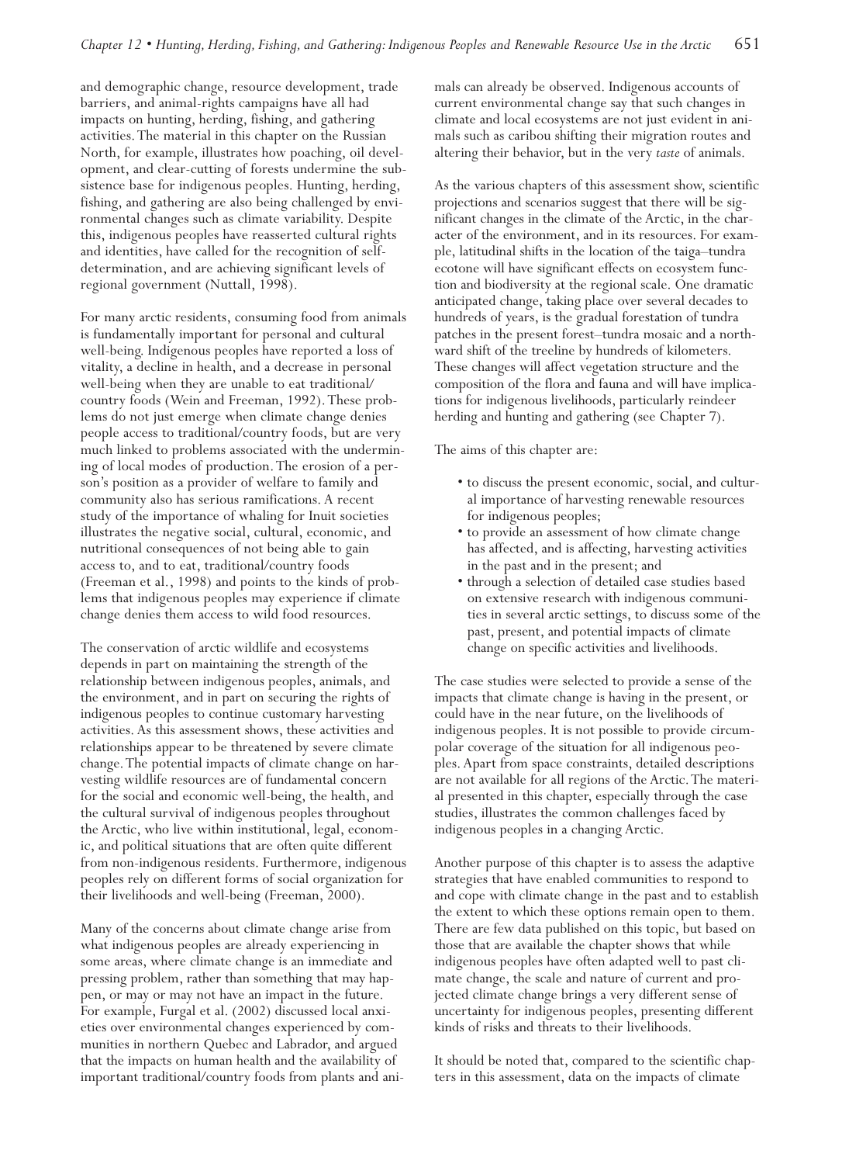and demographic change, resource development, trade barriers, and animal-rights campaigns have all had impacts on hunting, herding, fishing, and gathering activities.The material in this chapter on the Russian North, for example, illustrates how poaching, oil development, and clear-cutting of forests undermine the subsistence base for indigenous peoples. Hunting, herding, fishing, and gathering are also being challenged by environmental changes such as climate variability. Despite this, indigenous peoples have reasserted cultural rights and identities, have called for the recognition of selfdetermination, and are achieving significant levels of regional government (Nuttall, 1998).

For many arctic residents, consuming food from animals is fundamentally important for personal and cultural well-being. Indigenous peoples have reported a loss of vitality, a decline in health, and a decrease in personal well-being when they are unable to eat traditional/ country foods (Wein and Freeman, 1992).These problems do not just emerge when climate change denies people access to traditional/country foods, but are very much linked to problems associated with the undermining of local modes of production.The erosion of a person's position as a provider of welfare to family and community also has serious ramifications. A recent study of the importance of whaling for Inuit societies illustrates the negative social, cultural, economic, and nutritional consequences of not being able to gain access to, and to eat, traditional/country foods (Freeman et al., 1998) and points to the kinds of problems that indigenous peoples may experience if climate change denies them access to wild food resources.

The conservation of arctic wildlife and ecosystems depends in part on maintaining the strength of the relationship between indigenous peoples, animals, and the environment, and in part on securing the rights of indigenous peoples to continue customary harvesting activities.As this assessment shows, these activities and relationships appear to be threatened by severe climate change.The potential impacts of climate change on harvesting wildlife resources are of fundamental concern for the social and economic well-being, the health, and the cultural survival of indigenous peoples throughout the Arctic, who live within institutional, legal, economic, and political situations that are often quite different from non-indigenous residents. Furthermore, indigenous peoples rely on different forms of social organization for their livelihoods and well-being (Freeman, 2000).

Many of the concerns about climate change arise from what indigenous peoples are already experiencing in some areas, where climate change is an immediate and pressing problem, rather than something that may happen, or may or may not have an impact in the future. For example, Furgal et al. (2002) discussed local anxieties over environmental changes experienced by communities in northern Quebec and Labrador, and argued that the impacts on human health and the availability of important traditional/country foods from plants and animals can already be observed. Indigenous accounts of current environmental change say that such changes in climate and local ecosystems are not just evident in animals such as caribou shifting their migration routes and altering their behavior, but in the very *taste* of animals.

As the various chapters of this assessment show, scientific projections and scenarios suggest that there will be significant changes in the climate of the Arctic, in the character of the environment, and in its resources. For example, latitudinal shifts in the location of the taiga–tundra ecotone will have significant effects on ecosystem function and biodiversity at the regional scale. One dramatic anticipated change, taking place over several decades to hundreds of years, is the gradual forestation of tundra patches in the present forest–tundra mosaic and a northward shift of the treeline by hundreds of kilometers. These changes will affect vegetation structure and the composition of the flora and fauna and will have implications for indigenous livelihoods, particularly reindeer herding and hunting and gathering (see Chapter 7).

The aims of this chapter are:

- to discuss the present economic, social, and cultural importance of harvesting renewable resources for indigenous peoples;
- to provide an assessment of how climate change has affected, and is affecting, harvesting activities in the past and in the present; and
- through a selection of detailed case studies based on extensive research with indigenous communities in several arctic settings, to discuss some of the past, present, and potential impacts of climate change on specific activities and livelihoods.

The case studies were selected to provide a sense of the impacts that climate change is having in the present, or could have in the near future, on the livelihoods of indigenous peoples. It is not possible to provide circumpolar coverage of the situation for all indigenous peoples. Apart from space constraints, detailed descriptions are not available for all regions of the Arctic.The material presented in this chapter, especially through the case studies, illustrates the common challenges faced by indigenous peoples in a changing Arctic.

Another purpose of this chapter is to assess the adaptive strategies that have enabled communities to respond to and cope with climate change in the past and to establish the extent to which these options remain open to them. There are few data published on this topic, but based on those that are available the chapter shows that while indigenous peoples have often adapted well to past climate change, the scale and nature of current and projected climate change brings a very different sense of uncertainty for indigenous peoples, presenting different kinds of risks and threats to their livelihoods.

It should be noted that, compared to the scientific chapters in this assessment, data on the impacts of climate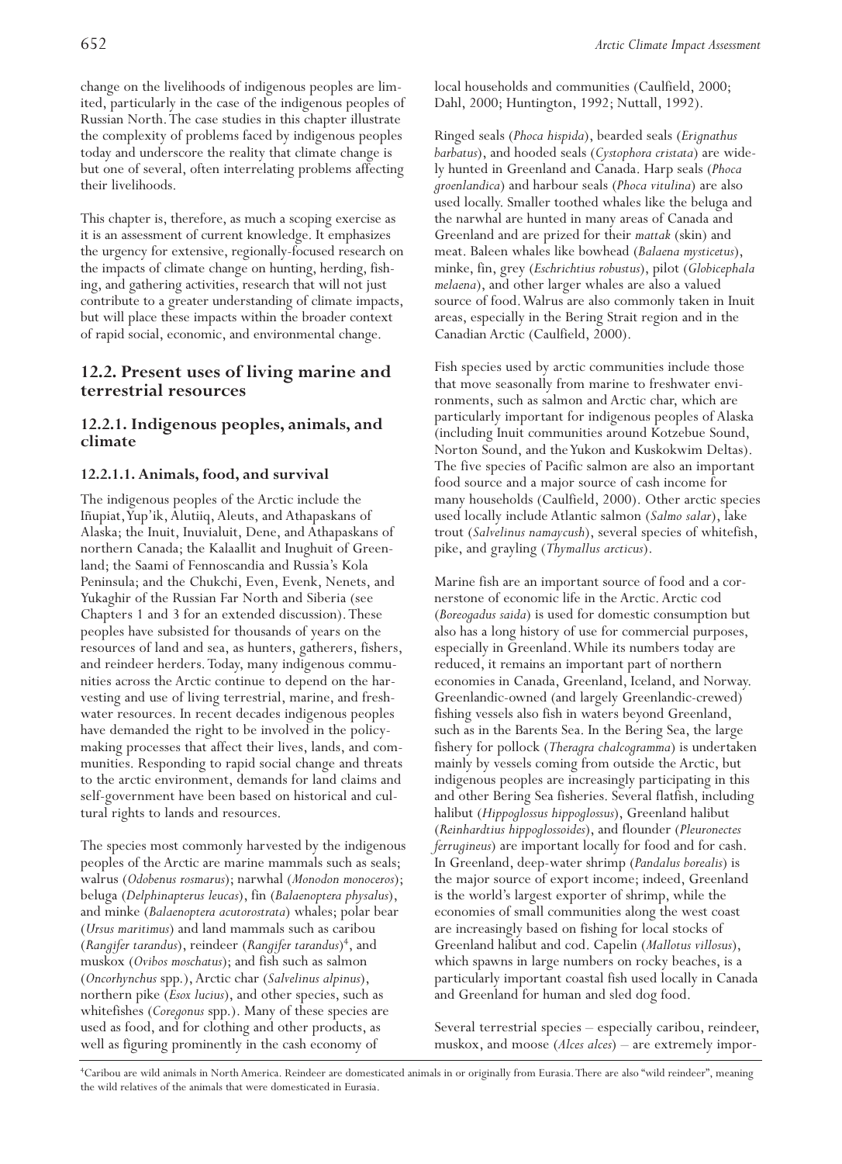change on the livelihoods of indigenous peoples are limited, particularly in the case of the indigenous peoples of Russian North.The case studies in this chapter illustrate the complexity of problems faced by indigenous peoples today and underscore the reality that climate change is but one of several, often interrelating problems affecting their livelihoods.

This chapter is, therefore, as much a scoping exercise as it is an assessment of current knowledge. It emphasizes the urgency for extensive, regionally-focused research on the impacts of climate change on hunting, herding, fishing, and gathering activities, research that will not just contribute to a greater understanding of climate impacts, but will place these impacts within the broader context of rapid social, economic, and environmental change.

# **12.2. Present uses of living marine and terrestrial resources**

# **12.2.1. Indigenous peoples, animals, and climate**

# **12.2.1.1. Animals, food, and survival**

The indigenous peoples of the Arctic include the Iñupiat,Yup'ik, Alutiiq, Aleuts, and Athapaskans of Alaska; the Inuit, Inuvialuit, Dene, and Athapaskans of northern Canada; the Kalaallit and Inughuit of Greenland; the Saami of Fennoscandia and Russia's Kola Peninsula; and the Chukchi, Even, Evenk, Nenets, and Yukaghir of the Russian Far North and Siberia (see Chapters 1 and 3 for an extended discussion).These peoples have subsisted for thousands of years on the resources of land and sea, as hunters, gatherers, fishers, and reindeer herders.Today, many indigenous communities across the Arctic continue to depend on the harvesting and use of living terrestrial, marine, and freshwater resources. In recent decades indigenous peoples have demanded the right to be involved in the policymaking processes that affect their lives, lands, and communities. Responding to rapid social change and threats to the arctic environment, demands for land claims and self-government have been based on historical and cultural rights to lands and resources.

The species most commonly harvested by the indigenous peoples of the Arctic are marine mammals such as seals; walrus (*Odobenus rosmarus*); narwhal (*Monodon monoceros*); beluga (*Delphinapterus leucas*), fin (*Balaenoptera physalus*), and minke (*Balaenoptera acutorostrata*) whales; polar bear (*Ursus maritimus*) and land mammals such as caribou (*Rangifer tarandus*), reindeer (*Rangifer tarandus*)4, and muskox (*Ovibos moschatus*); and fish such as salmon (*Oncorhynchus* spp.), Arctic char (*Salvelinus alpinus*), northern pike (*Esox lucius*), and other species, such as whitefishes (*Coregonus* spp.). Many of these species are used as food, and for clothing and other products, as well as figuring prominently in the cash economy of

<span id="page-3-0"></span>local households and communities (Caulfield, 2000; Dahl, 2000; Huntington, 1992; Nuttall, 1992).

Ringed seals (*Phoca hispida*), bearded seals (*Erignathus barbatus*), and hooded seals (*Cystophora cristata*) are widely hunted in Greenland and Canada. Harp seals (*Phoca groenlandica*) and harbour seals (*Phoca vitulina*) are also used locally. Smaller toothed whales like the beluga and the narwhal are hunted in many areas of Canada and Greenland and are prized for their *mattak* (skin) and meat. Baleen whales like bowhead (*Balaena mysticetus*), minke, fin, grey (*Eschrichtius robustus*), pilot (*Globicephala melaena*), and other larger whales are also a valued source of food.Walrus are also commonly taken in Inuit areas, especially in the Bering Strait region and in the Canadian Arctic (Caulfield, 2000).

Fish species used by arctic communities include those that move seasonally from marine to freshwater environments, such as salmon and Arctic char, which are particularly important for indigenous peoples of Alaska (including Inuit communities around Kotzebue Sound, Norton Sound, and the Yukon and Kuskokwim Deltas). The five species of Pacific salmon are also an important food source and a major source of cash income for many households (Caulfield, 2000). Other arctic species used locally include Atlantic salmon (*Salmo salar*), lake trout (*Salvelinus namaycush*), several species of whitefish, pike, and grayling (*Thymallus arcticus*).

Marine fish are an important source of food and a cornerstone of economic life in the Arctic. Arctic cod (*Boreogadus saida*) is used for domestic consumption but also has a long history of use for commercial purposes, especially in Greenland.While its numbers today are reduced, it remains an important part of northern economies in Canada, Greenland, Iceland, and Norway. Greenlandic-owned (and largely Greenlandic-crewed) fishing vessels also fish in waters beyond Greenland, such as in the Barents Sea. In the Bering Sea, the large fishery for pollock (*Theragra chalcogramma*) is undertaken mainly by vessels coming from outside the Arctic, but indigenous peoples are increasingly participating in this and other Bering Sea fisheries. Several flatfish, including halibut (*Hippoglossus hippoglossus*), Greenland halibut (*Reinhardtius hippoglossoides*), and flounder (*Pleuronectes ferrugineus*) are important locally for food and for cash. In Greenland, deep-water shrimp (*Pandalus borealis*) is the major source of export income; indeed, Greenland is the world's largest exporter of shrimp, while the economies of small communities along the west coast are increasingly based on fishing for local stocks of Greenland halibut and cod. Capelin (*Mallotus villosus*), which spawns in large numbers on rocky beaches, is a particularly important coastal fish used locally in Canada and Greenland for human and sled dog food.

Several terrestrial species – especially caribou, reindeer, muskox, and moose (*Alces alces*) – are extremely impor-

4Caribou are wild animals in North America. Reindeer are domesticated animals in or originally from Eurasia.There are also "wild reindeer", meaning the wild relatives of the animals that were domesticated in Eurasia.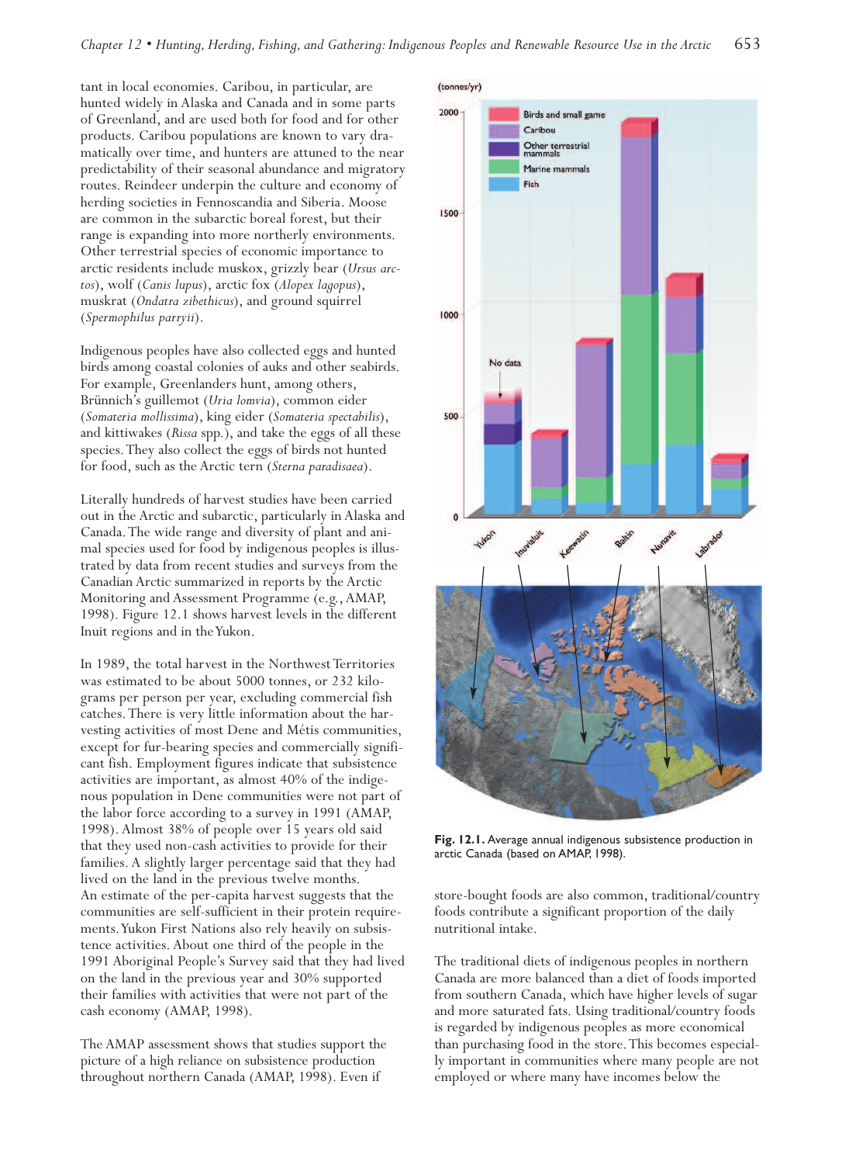tant in local economies. Caribou, in particular, are hunted widely in Alaska and Canada and in some parts of Greenland, and are used both for food and for other products. Caribou populations are known to vary dramatically over time, and hunters are attuned to the near predictability of their seasonal abundance and migratory routes. Reindeer underpin the culture and economy of herding societies in Fennoscandia and Siberia. Moose are common in the subarctic boreal forest, but their range is expanding into more northerly environments. Other terrestrial species of economic importance to arctic residents include muskox, grizzly bear (*Ursus arctos*), wolf (*Canis lupus*), arctic fox (*Alopex lagopus*), muskrat (*Ondatra zibethicus*), and ground squirrel (*Spermophilus parryii*).

Indigenous peoples have also collected eggs and hunted birds among coastal colonies of auks and other seabirds. For example, Greenlanders hunt, among others, Brünnich's guillemot (*Uria lomvia*), common eider (*Somateria mollissima*), king eider (*Somateria spectabilis*), and kittiwakes (*Rissa* spp.), and take the eggs of all these species.They also collect the eggs of birds not hunted for food, such as the Arctic tern (*Sterna paradisaea*).

Literally hundreds of harvest studies have been carried out in the Arctic and subarctic, particularly in Alaska and Canada.The wide range and diversity of plant and animal species used for food by indigenous peoples is illustrated by data from recent studies and surveys from the Canadian Arctic summarized in reports by the Arctic Monitoring and Assessment Programme (e.g., AMAP, 1998). Figure 12.1 shows harvest levels in the different Inuit regions and in the Yukon.

In 1989, the total harvest in the Northwest Territories was estimated to be about 5000 tonnes, or 232 kilograms per person per year, excluding commercial fish catches.There is very little information about the harvesting activities of most Dene and Métis communities, except for fur-bearing species and commercially significant fish. Employment figures indicate that subsistence activities are important, as almost 40% of the indigenous population in Dene communities were not part of the labor force according to a survey in 1991 (AMAP, 1998).Almost 38% of people over 15 years old said that they used non-cash activities to provide for their families. A slightly larger percentage said that they had lived on the land in the previous twelve months. An estimate of the per-capita harvest suggests that the communities are self-sufficient in their protein requirements.Yukon First Nations also rely heavily on subsistence activities.About one third of the people in the 1991 Aboriginal People's Survey said that they had lived on the land in the previous year and 30% supported their families with activities that were not part of the cash economy (AMAP, 1998).

The AMAP assessment shows that studies support the picture of a high reliance on subsistence production throughout northern Canada (AMAP, 1998). Even if



**Fig. 12.1.** Average annual indigenous subsistence production in arctic Canada (based on AMAP, 1998).

store-bought foods are also common, traditional/country foods contribute a significant proportion of the daily nutritional intake.

The traditional diets of indigenous peoples in northern Canada are more balanced than a diet of foods imported from southern Canada, which have higher levels of sugar and more saturated fats. Using traditional/country foods is regarded by indigenous peoples as more economical than purchasing food in the store.This becomes especially important in communities where many people are not employed or where many have incomes below the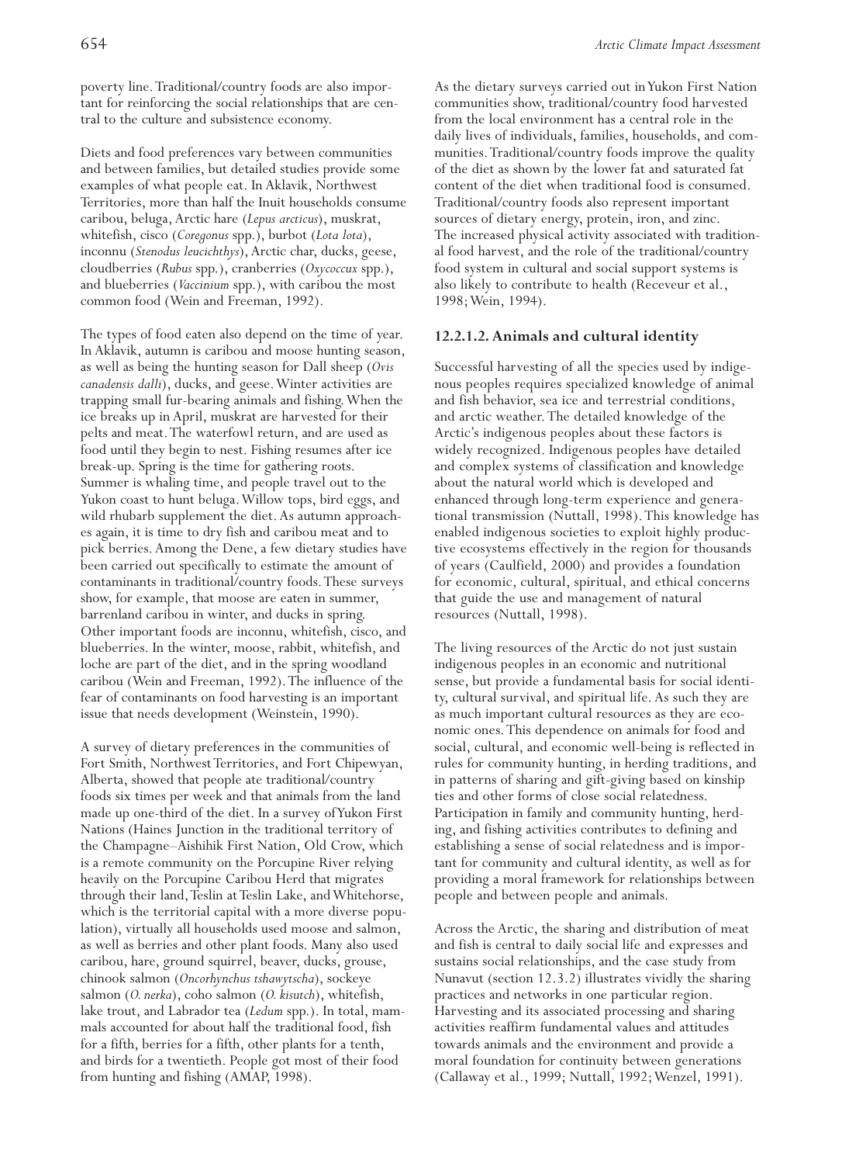poverty line.Traditional/country foods are also important for reinforcing the social relationships that are central to the culture and subsistence economy.

Diets and food preferences vary between communities and between families, but detailed studies provide some examples of what people eat. In Aklavik, Northwest Territories, more than half the Inuit households consume caribou, beluga, Arctic hare (*Lepus arcticus*), muskrat, whitefish, cisco (*Coregonus* spp.), burbot (*Lota lota*), inconnu (*Stenodus leucichthys*), Arctic char, ducks, geese, cloudberries (*Rubus* spp.), cranberries (*Oxycoccux* spp.), and blueberries (*Vaccinium* spp.), with caribou the most common food (Wein and Freeman, 1992).

The types of food eaten also depend on the time of year. In Aklavik, autumn is caribou and moose hunting season, as well as being the hunting season for Dall sheep (*Ovis canadensis dalli*), ducks, and geese.Winter activities are trapping small fur-bearing animals and fishing.When the ice breaks up in April, muskrat are harvested for their pelts and meat.The waterfowl return, and are used as food until they begin to nest. Fishing resumes after ice break-up. Spring is the time for gathering roots. Summer is whaling time, and people travel out to the Yukon coast to hunt beluga.Willow tops, bird eggs, and wild rhubarb supplement the diet. As autumn approaches again, it is time to dry fish and caribou meat and to pick berries. Among the Dene, a few dietary studies have been carried out specifically to estimate the amount of contaminants in traditional/country foods.These surveys show, for example, that moose are eaten in summer, barrenland caribou in winter, and ducks in spring. Other important foods are inconnu, whitefish, cisco, and blueberries. In the winter, moose, rabbit, whitefish, and loche are part of the diet, and in the spring woodland caribou (Wein and Freeman, 1992).The influence of the fear of contaminants on food harvesting is an important issue that needs development (Weinstein, 1990).

A survey of dietary preferences in the communities of Fort Smith, Northwest Territories, and Fort Chipewyan, Alberta, showed that people ate traditional/country foods six times per week and that animals from the land made up one-third of the diet. In a survey of Yukon First Nations (Haines Junction in the traditional territory of the Champagne–Aishihik First Nation, Old Crow, which is a remote community on the Porcupine River relying heavily on the Porcupine Caribou Herd that migrates through their land, Teslin at Teslin Lake, and Whitehorse, which is the territorial capital with a more diverse population), virtually all households used moose and salmon, as well as berries and other plant foods. Many also used caribou, hare, ground squirrel, beaver, ducks, grouse, chinook salmon (*Oncorhynchus tshawytscha*), sockeye salmon (*O. nerka*), coho salmon (*O.kisutch*), whitefish, lake trout, and Labrador tea (*Ledum* spp.). In total, mammals accounted for about half the traditional food, fish for a fifth, berries for a fifth, other plants for a tenth, and birds for a twentieth. People got most of their food from hunting and fishing (AMAP, 1998).

<span id="page-5-0"></span>As the dietary surveys carried out in Yukon First Nation communities show, traditional/country food harvested from the local environment has a central role in the daily lives of individuals, families, households, and communities.Traditional/country foods improve the quality of the diet as shown by the lower fat and saturated fat content of the diet when traditional food is consumed. Traditional/country foods also represent important sources of dietary energy, protein, iron, and zinc. The increased physical activity associated with traditional food harvest, and the role of the traditional/country food system in cultural and social support systems is also likely to contribute to health (Receveur et al., 1998;Wein, 1994).

#### **12.2.1.2. Animals and cultural identity**

Successful harvesting of all the species used by indigenous peoples requires specialized knowledge of animal and fish behavior, sea ice and terrestrial conditions, and arctic weather.The detailed knowledge of the Arctic's indigenous peoples about these factors is widely recognized. Indigenous peoples have detailed and complex systems of classification and knowledge about the natural world which is developed and enhanced through long-term experience and generational transmission (Nuttall, 1998).This knowledge has enabled indigenous societies to exploit highly productive ecosystems effectively in the region for thousands of years (Caulfield, 2000) and provides a foundation for economic, cultural, spiritual, and ethical concerns that guide the use and management of natural resources (Nuttall, 1998).

The living resources of the Arctic do not just sustain indigenous peoples in an economic and nutritional sense, but provide a fundamental basis for social identity, cultural survival, and spiritual life. As such they are as much important cultural resources as they are economic ones.This dependence on animals for food and social, cultural, and economic well-being is reflected in rules for community hunting, in herding traditions, and in patterns of sharing and gift-giving based on kinship ties and other forms of close social relatedness. Participation in family and community hunting, herding, and fishing activities contributes to defining and establishing a sense of social relatedness and is important for community and cultural identity, as well as for providing a moral framework for relationships between people and between people and animals.

Across the Arctic, the sharing and distribution of meat and fish is central to daily social life and expresses and sustains social relationships, and the case study from Nunavut (section 12.3.2) illustrates vividly the sharing practices and networks in one particular region. Harvesting and its associated processing and sharing activities reaffirm fundamental values and attitudes towards animals and the environment and provide a moral foundation for continuity between generations (Callaway et al., 1999; Nuttall, 1992;Wenzel, 1991).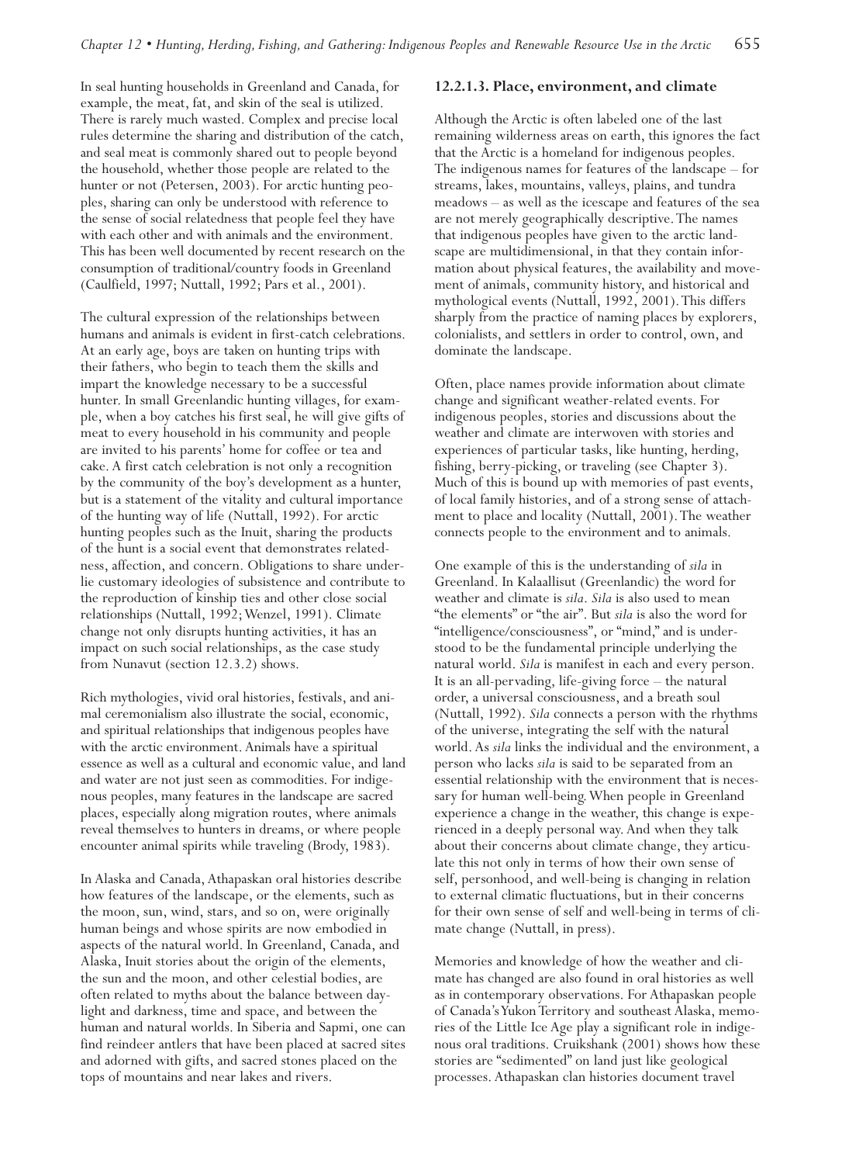In seal hunting households in Greenland and Canada, for example, the meat, fat, and skin of the seal is utilized. There is rarely much wasted. Complex and precise local rules determine the sharing and distribution of the catch, and seal meat is commonly shared out to people beyond the household, whether those people are related to the hunter or not (Petersen, 2003). For arctic hunting peoples, sharing can only be understood with reference to the sense of social relatedness that people feel they have with each other and with animals and the environment. This has been well documented by recent research on the consumption of traditional/country foods in Greenland (Caulfield, 1997; Nuttall, 1992; Pars et al., 2001).

The cultural expression of the relationships between humans and animals is evident in first-catch celebrations. At an early age, boys are taken on hunting trips with their fathers, who begin to teach them the skills and impart the knowledge necessary to be a successful hunter. In small Greenlandic hunting villages, for example, when a boy catches his first seal, he will give gifts of meat to every household in his community and people are invited to his parents' home for coffee or tea and cake. A first catch celebration is not only a recognition by the community of the boy's development as a hunter, but is a statement of the vitality and cultural importance of the hunting way of life (Nuttall, 1992). For arctic hunting peoples such as the Inuit, sharing the products of the hunt is a social event that demonstrates relatedness, affection, and concern. Obligations to share underlie customary ideologies of subsistence and contribute to the reproduction of kinship ties and other close social relationships (Nuttall, 1992;Wenzel, 1991). Climate change not only disrupts hunting activities, it has an impact on such social relationships, as the case study from Nunavut (section 12.3.2) shows.

Rich mythologies, vivid oral histories, festivals, and animal ceremonialism also illustrate the social, economic, and spiritual relationships that indigenous peoples have with the arctic environment.Animals have a spiritual essence as well as a cultural and economic value, and land and water are not just seen as commodities. For indigenous peoples, many features in the landscape are sacred places, especially along migration routes, where animals reveal themselves to hunters in dreams, or where people encounter animal spirits while traveling (Brody, 1983).

In Alaska and Canada,Athapaskan oral histories describe how features of the landscape, or the elements, such as the moon, sun, wind, stars, and so on, were originally human beings and whose spirits are now embodied in aspects of the natural world. In Greenland, Canada, and Alaska, Inuit stories about the origin of the elements, the sun and the moon, and other celestial bodies, are often related to myths about the balance between daylight and darkness, time and space, and between the human and natural worlds. In Siberia and Sapmi, one can find reindeer antlers that have been placed at sacred sites and adorned with gifts, and sacred stones placed on the tops of mountains and near lakes and rivers.

#### <span id="page-6-0"></span>**12.2.1.3. Place, environment, and climate**

Although the Arctic is often labeled one of the last remaining wilderness areas on earth, this ignores the fact that the Arctic is a homeland for indigenous peoples. The indigenous names for features of the landscape – for streams, lakes, mountains, valleys, plains, and tundra meadows – as well as the icescape and features of the sea are not merely geographically descriptive.The names that indigenous peoples have given to the arctic landscape are multidimensional, in that they contain information about physical features, the availability and movement of animals, community history, and historical and mythological events (Nuttall, 1992, 2001).This differs sharply from the practice of naming places by explorers, colonialists, and settlers in order to control, own, and dominate the landscape.

Often, place names provide information about climate change and significant weather-related events. For indigenous peoples, stories and discussions about the weather and climate are interwoven with stories and experiences of particular tasks, like hunting, herding, fishing, berry-picking, or traveling (see Chapter 3). Much of this is bound up with memories of past events, of local family histories, and of a strong sense of attachment to place and locality (Nuttall, 2001).The weather connects people to the environment and to animals.

One example of this is the understanding of *sila* in Greenland. In Kalaallisut (Greenlandic) the word for weather and climate is *sila*. *Sila* is also used to mean "the elements" or "the air". But *sila* is also the word for "intelligence/consciousness", or "mind," and is understood to be the fundamental principle underlying the natural world. *Sila* is manifest in each and every person. It is an all-pervading, life-giving force – the natural order, a universal consciousness, and a breath soul (Nuttall, 1992). *Sila* connects a person with the rhythms of the universe, integrating the self with the natural world.As *sila* links the individual and the environment, a person who lacks *sila* is said to be separated from an essential relationship with the environment that is necessary for human well-being.When people in Greenland experience a change in the weather, this change is experienced in a deeply personal way. And when they talk about their concerns about climate change, they articulate this not only in terms of how their own sense of self, personhood, and well-being is changing in relation to external climatic fluctuations, but in their concerns for their own sense of self and well-being in terms of climate change (Nuttall, in press).

Memories and knowledge of how the weather and climate has changed are also found in oral histories as well as in contemporary observations. For Athapaskan people of Canada's Yukon Territory and southeast Alaska, memories of the Little Ice Age play a significant role in indigenous oral traditions. Cruikshank (2001) shows how these stories are "sedimented" on land just like geological processes. Athapaskan clan histories document travel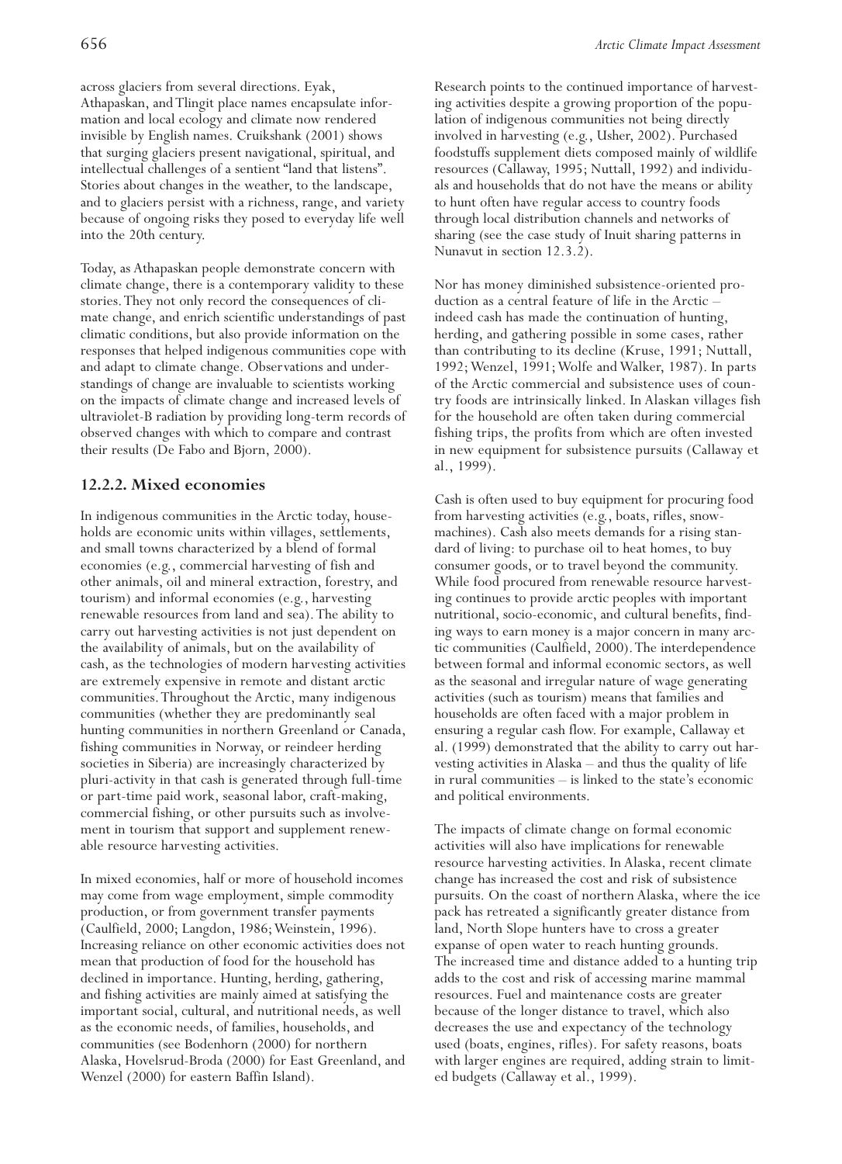across glaciers from several directions. Eyak, Athapaskan, and Tlingit place names encapsulate information and local ecology and climate now rendered invisible by English names. Cruikshank (2001) shows that surging glaciers present navigational, spiritual, and intellectual challenges of a sentient "land that listens". Stories about changes in the weather, to the landscape, and to glaciers persist with a richness, range, and variety because of ongoing risks they posed to everyday life well into the 20th century.

Today, as Athapaskan people demonstrate concern with climate change, there is a contemporary validity to these stories.They not only record the consequences of climate change, and enrich scientific understandings of past climatic conditions, but also provide information on the responses that helped indigenous communities cope with and adapt to climate change. Observations and understandings of change are invaluable to scientists working on the impacts of climate change and increased levels of ultraviolet-B radiation by providing long-term records of observed changes with which to compare and contrast their results (De Fabo and Bjorn, 2000).

# **12.2.2. Mixed economies**

In indigenous communities in the Arctic today, households are economic units within villages, settlements, and small towns characterized by a blend of formal economies (e.g., commercial harvesting of fish and other animals, oil and mineral extraction, forestry, and tourism) and informal economies (e.g., harvesting renewable resources from land and sea).The ability to carry out harvesting activities is not just dependent on the availability of animals, but on the availability of cash, as the technologies of modern harvesting activities are extremely expensive in remote and distant arctic communities.Throughout the Arctic, many indigenous communities (whether they are predominantly seal hunting communities in northern Greenland or Canada, fishing communities in Norway, or reindeer herding societies in Siberia) are increasingly characterized by pluri-activity in that cash is generated through full-time or part-time paid work, seasonal labor, craft-making, commercial fishing, or other pursuits such as involvement in tourism that support and supplement renewable resource harvesting activities.

In mixed economies, half or more of household incomes may come from wage employment, simple commodity production, or from government transfer payments (Caulfield, 2000; Langdon, 1986;Weinstein, 1996). Increasing reliance on other economic activities does not mean that production of food for the household has declined in importance. Hunting, herding, gathering, and fishing activities are mainly aimed at satisfying the important social, cultural, and nutritional needs, as well as the economic needs, of families, households, and communities (see Bodenhorn (2000) for northern Alaska, Hovelsrud-Broda (2000) for East Greenland, and Wenzel (2000) for eastern Baffin Island).

<span id="page-7-0"></span>Research points to the continued importance of harvesting activities despite a growing proportion of the population of indigenous communities not being directly involved in harvesting (e.g., Usher, 2002). Purchased foodstuffs supplement diets composed mainly of wildlife resources (Callaway, 1995; Nuttall, 1992) and individuals and households that do not have the means or ability to hunt often have regular access to country foods through local distribution channels and networks of sharing (see the case study of Inuit sharing patterns in Nunavut in section 12.3.2).

Nor has money diminished subsistence-oriented production as a central feature of life in the Arctic – indeed cash has made the continuation of hunting, herding, and gathering possible in some cases, rather than contributing to its decline (Kruse, 1991; Nuttall, 1992;Wenzel, 1991;Wolfe and Walker, 1987). In parts of the Arctic commercial and subsistence uses of country foods are intrinsically linked. In Alaskan villages fish for the household are often taken during commercial fishing trips, the profits from which are often invested in new equipment for subsistence pursuits (Callaway et al., 1999).

Cash is often used to buy equipment for procuring food from harvesting activities (e.g., boats, rifles, snowmachines). Cash also meets demands for a rising standard of living: to purchase oil to heat homes, to buy consumer goods, or to travel beyond the community. While food procured from renewable resource harvesting continues to provide arctic peoples with important nutritional, socio-economic, and cultural benefits, finding ways to earn money is a major concern in many arctic communities (Caulfield, 2000).The interdependence between formal and informal economic sectors, as well as the seasonal and irregular nature of wage generating activities (such as tourism) means that families and households are often faced with a major problem in ensuring a regular cash flow. For example, Callaway et al. (1999) demonstrated that the ability to carry out harvesting activities in Alaska – and thus the quality of life in rural communities – is linked to the state's economic and political environments.

The impacts of climate change on formal economic activities will also have implications for renewable resource harvesting activities. In Alaska, recent climate change has increased the cost and risk of subsistence pursuits. On the coast of northern Alaska, where the ice pack has retreated a significantly greater distance from land, North Slope hunters have to cross a greater expanse of open water to reach hunting grounds. The increased time and distance added to a hunting trip adds to the cost and risk of accessing marine mammal resources. Fuel and maintenance costs are greater because of the longer distance to travel, which also decreases the use and expectancy of the technology used (boats, engines, rifles). For safety reasons, boats with larger engines are required, adding strain to limited budgets (Callaway et al., 1999).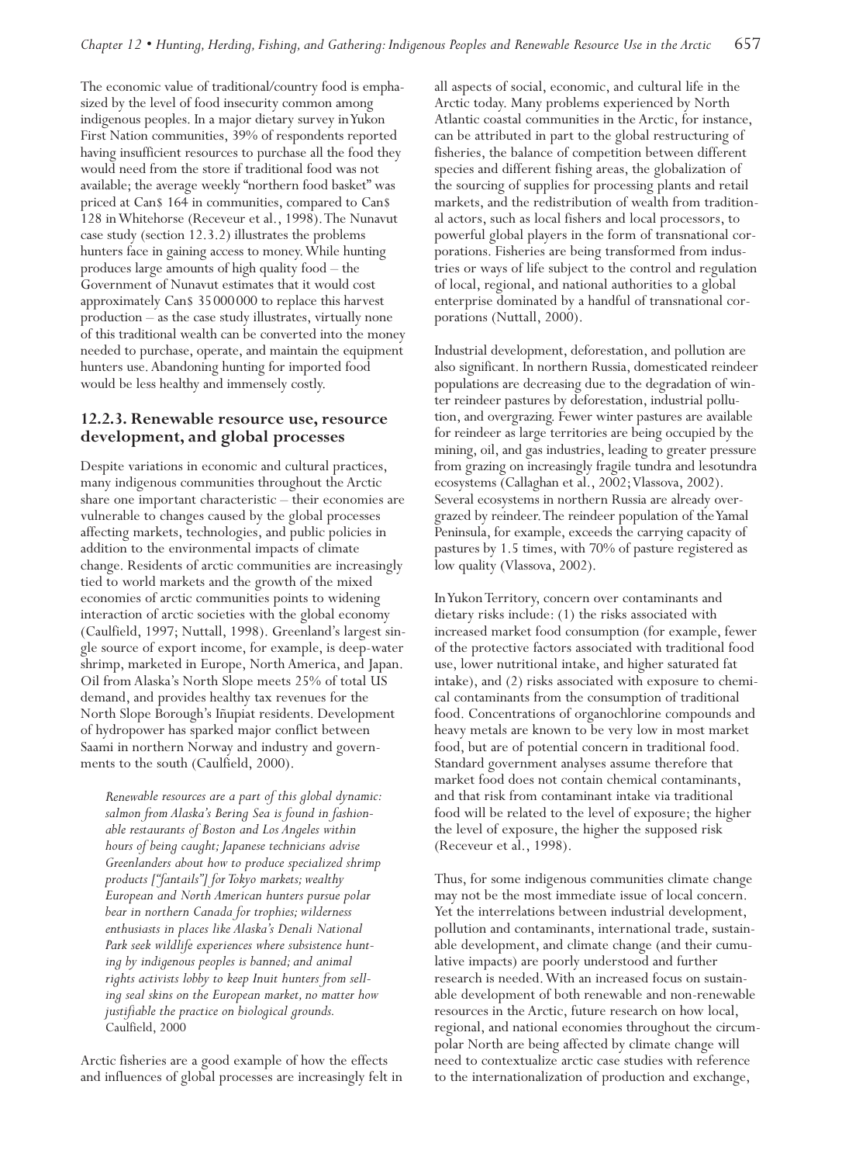The economic value of traditional/country food is emphasized by the level of food insecurity common among indigenous peoples. In a major dietary survey in Yukon First Nation communities, 39% of respondents reported having insufficient resources to purchase all the food they would need from the store if traditional food was not available; the average weekly "northern food basket" was priced at Can\$ 164 in communities, compared to Can\$ 128 in Whitehorse (Receveur et al., 1998).The Nunavut case study (section 12.3.2) illustrates the problems hunters face in gaining access to money.While hunting produces large amounts of high quality food – the Government of Nunavut estimates that it would cost approximately Can\$ 35000000 to replace this harvest production – as the case study illustrates, virtually none of this traditional wealth can be converted into the money needed to purchase, operate, and maintain the equipment hunters use. Abandoning hunting for imported food would be less healthy and immensely costly.

# **12.2.3. Renewable resource use, resource development, and global processes**

Despite variations in economic and cultural practices, many indigenous communities throughout the Arctic share one important characteristic – their economies are vulnerable to changes caused by the global processes affecting markets, technologies, and public policies in addition to the environmental impacts of climate change. Residents of arctic communities are increasingly tied to world markets and the growth of the mixed economies of arctic communities points to widening interaction of arctic societies with the global economy (Caulfield, 1997; Nuttall, 1998). Greenland's largest single source of export income, for example, is deep-water shrimp, marketed in Europe, North America, and Japan. Oil from Alaska's North Slope meets 25% of total US demand, and provides healthy tax revenues for the North Slope Borough's Iñupiat residents. Development of hydropower has sparked major conflict between Saami in northern Norway and industry and governments to the south (Caulfield, 2000).

*Renewable resources are a part of this global dynamic: salmon from Alaska's Bering Sea is found in fashionable restaurants of Boston and Los Angeles within hours of being caught; Japanese technicians advise Greenlanders about how to produce specialized shrimp products ["fantails"] for Tokyo markets; wealthy European and North American hunters pursue polar bear in northern Canada for trophies; wilderness enthusiasts in places like Alaska's Denali National Park seek wildlife experiences where subsistence hunting by indigenous peoples is banned; and animal rights activists lobby to keep Inuit hunters from selling seal skins on the European market, no matter how justifiable the practice on biological grounds.* Caulfield, 2000

Arctic fisheries are a good example of how the effects and influences of global processes are increasingly felt in <span id="page-8-0"></span>all aspects of social, economic, and cultural life in the Arctic today. Many problems experienced by North Atlantic coastal communities in the Arctic, for instance, can be attributed in part to the global restructuring of fisheries, the balance of competition between different species and different fishing areas, the globalization of the sourcing of supplies for processing plants and retail markets, and the redistribution of wealth from traditional actors, such as local fishers and local processors, to powerful global players in the form of transnational corporations. Fisheries are being transformed from industries or ways of life subject to the control and regulation of local, regional, and national authorities to a global enterprise dominated by a handful of transnational corporations (Nuttall, 2000).

Industrial development, deforestation, and pollution are also significant. In northern Russia, domesticated reindeer populations are decreasing due to the degradation of winter reindeer pastures by deforestation, industrial pollution, and overgrazing. Fewer winter pastures are available for reindeer as large territories are being occupied by the mining, oil, and gas industries, leading to greater pressure from grazing on increasingly fragile tundra and lesotundra ecosystems (Callaghan et al., 2002;Vlassova, 2002). Several ecosystems in northern Russia are already overgrazed by reindeer.The reindeer population of the Yamal Peninsula, for example, exceeds the carrying capacity of pastures by 1.5 times, with 70% of pasture registered as low quality (Vlassova, 2002).

In Yukon Territory, concern over contaminants and dietary risks include: (1) the risks associated with increased market food consumption (for example, fewer of the protective factors associated with traditional food use, lower nutritional intake, and higher saturated fat intake), and (2) risks associated with exposure to chemical contaminants from the consumption of traditional food. Concentrations of organochlorine compounds and heavy metals are known to be very low in most market food, but are of potential concern in traditional food. Standard government analyses assume therefore that market food does not contain chemical contaminants, and that risk from contaminant intake via traditional food will be related to the level of exposure; the higher the level of exposure, the higher the supposed risk (Receveur et al., 1998).

Thus, for some indigenous communities climate change may not be the most immediate issue of local concern. Yet the interrelations between industrial development, pollution and contaminants, international trade, sustainable development, and climate change (and their cumulative impacts) are poorly understood and further research is needed.With an increased focus on sustainable development of both renewable and non-renewable resources in the Arctic, future research on how local, regional, and national economies throughout the circumpolar North are being affected by climate change will need to contextualize arctic case studies with reference to the internationalization of production and exchange,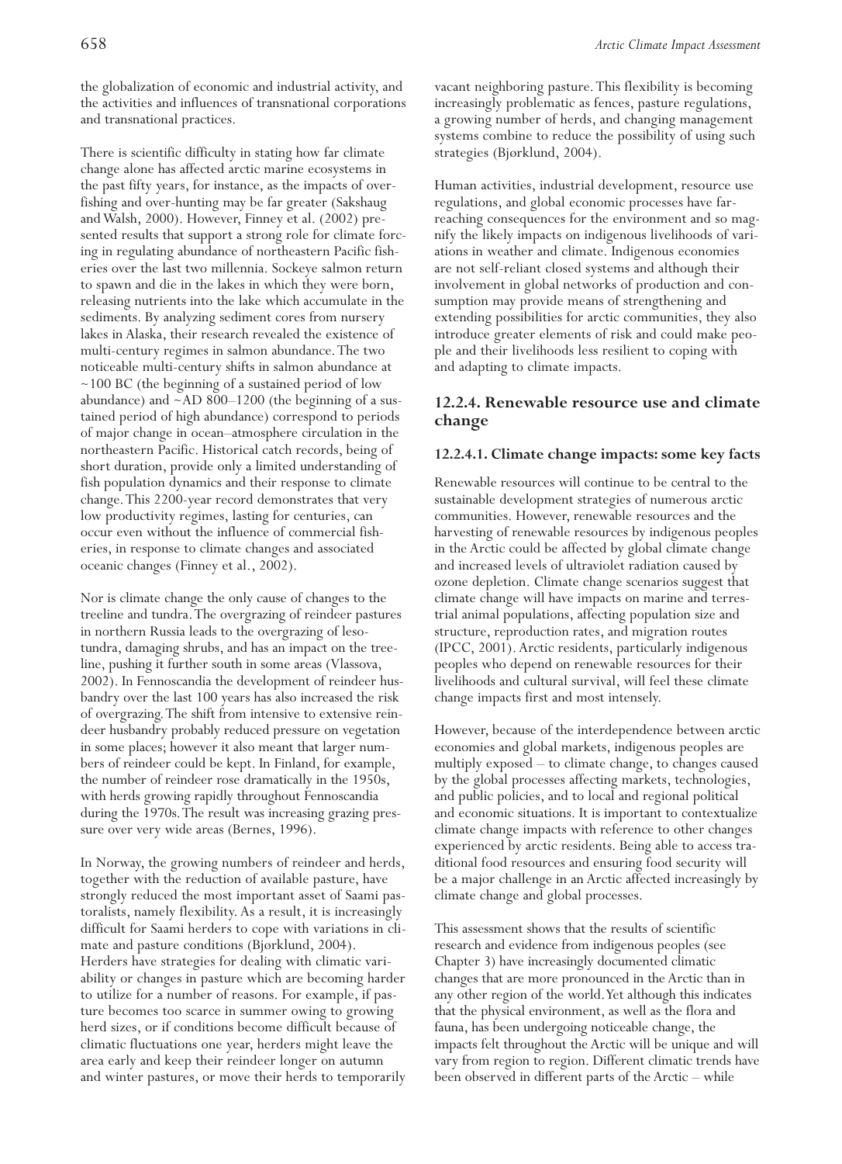the globalization of economic and industrial activity, and the activities and influences of transnational corporations and transnational practices.

There is scientific difficulty in stating how far climate change alone has affected arctic marine ecosystems in the past fifty years, for instance, as the impacts of overfishing and over-hunting may be far greater (Sakshaug and Walsh, 2000). However, Finney et al. (2002) presented results that support a strong role for climate forcing in regulating abundance of northeastern Pacific fisheries over the last two millennia. Sockeye salmon return to spawn and die in the lakes in which they were born, releasing nutrients into the lake which accumulate in the sediments. By analyzing sediment cores from nursery lakes in Alaska, their research revealed the existence of multi-century regimes in salmon abundance.The two noticeable multi-century shifts in salmon abundance at ~100 BC (the beginning of a sustained period of low abundance) and  $~\sim$  AD 800–1200 (the beginning of a sustained period of high abundance) correspond to periods of major change in ocean–atmosphere circulation in the northeastern Pacific. Historical catch records, being of short duration, provide only a limited understanding of fish population dynamics and their response to climate change.This 2200-year record demonstrates that very low productivity regimes, lasting for centuries, can occur even without the influence of commercial fisheries, in response to climate changes and associated oceanic changes (Finney et al., 2002).

Nor is climate change the only cause of changes to the treeline and tundra.The overgrazing of reindeer pastures in northern Russia leads to the overgrazing of lesotundra, damaging shrubs, and has an impact on the treeline, pushing it further south in some areas (Vlassova, 2002). In Fennoscandia the development of reindeer husbandry over the last 100 years has also increased the risk of overgrazing.The shift from intensive to extensive reindeer husbandry probably reduced pressure on vegetation in some places; however it also meant that larger numbers of reindeer could be kept. In Finland, for example, the number of reindeer rose dramatically in the 1950s, with herds growing rapidly throughout Fennoscandia during the 1970s.The result was increasing grazing pressure over very wide areas (Bernes, 1996).

In Norway, the growing numbers of reindeer and herds, together with the reduction of available pasture, have strongly reduced the most important asset of Saami pastoralists, namely flexibility. As a result, it is increasingly difficult for Saami herders to cope with variations in climate and pasture conditions (Bjørklund, 2004). Herders have strategies for dealing with climatic variability or changes in pasture which are becoming harder to utilize for a number of reasons. For example, if pasture becomes too scarce in summer owing to growing herd sizes, or if conditions become difficult because of climatic fluctuations one year, herders might leave the area early and keep their reindeer longer on autumn and winter pastures, or move their herds to temporarily

<span id="page-9-0"></span>vacant neighboring pasture.This flexibility is becoming increasingly problematic as fences, pasture regulations, a growing number of herds, and changing management systems combine to reduce the possibility of using such strategies (Bjørklund, 2004).

Human activities, industrial development, resource use regulations, and global economic processes have farreaching consequences for the environment and so magnify the likely impacts on indigenous livelihoods of variations in weather and climate. Indigenous economies are not self-reliant closed systems and although their involvement in global networks of production and consumption may provide means of strengthening and extending possibilities for arctic communities, they also introduce greater elements of risk and could make people and their livelihoods less resilient to coping with and adapting to climate impacts.

# **12.2.4. Renewable resource use and climate change**

#### **12.2.4.1. Climate change impacts: some key facts**

Renewable resources will continue to be central to the sustainable development strategies of numerous arctic communities. However, renewable resources and the harvesting of renewable resources by indigenous peoples in the Arctic could be affected by global climate change and increased levels of ultraviolet radiation caused by ozone depletion. Climate change scenarios suggest that climate change will have impacts on marine and terrestrial animal populations, affecting population size and structure, reproduction rates, and migration routes (IPCC, 2001). Arctic residents, particularly indigenous peoples who depend on renewable resources for their livelihoods and cultural survival, will feel these climate change impacts first and most intensely.

However, because of the interdependence between arctic economies and global markets, indigenous peoples are multiply exposed – to climate change, to changes caused by the global processes affecting markets, technologies, and public policies, and to local and regional political and economic situations. It is important to contextualize climate change impacts with reference to other changes experienced by arctic residents. Being able to access traditional food resources and ensuring food security will be a major challenge in an Arctic affected increasingly by climate change and global processes.

This assessment shows that the results of scientific research and evidence from indigenous peoples (see Chapter 3) have increasingly documented climatic changes that are more pronounced in the Arctic than in any other region of the world.Yet although this indicates that the physical environment, as well as the flora and fauna, has been undergoing noticeable change, the impacts felt throughout the Arctic will be unique and will vary from region to region. Different climatic trends have been observed in different parts of the Arctic – while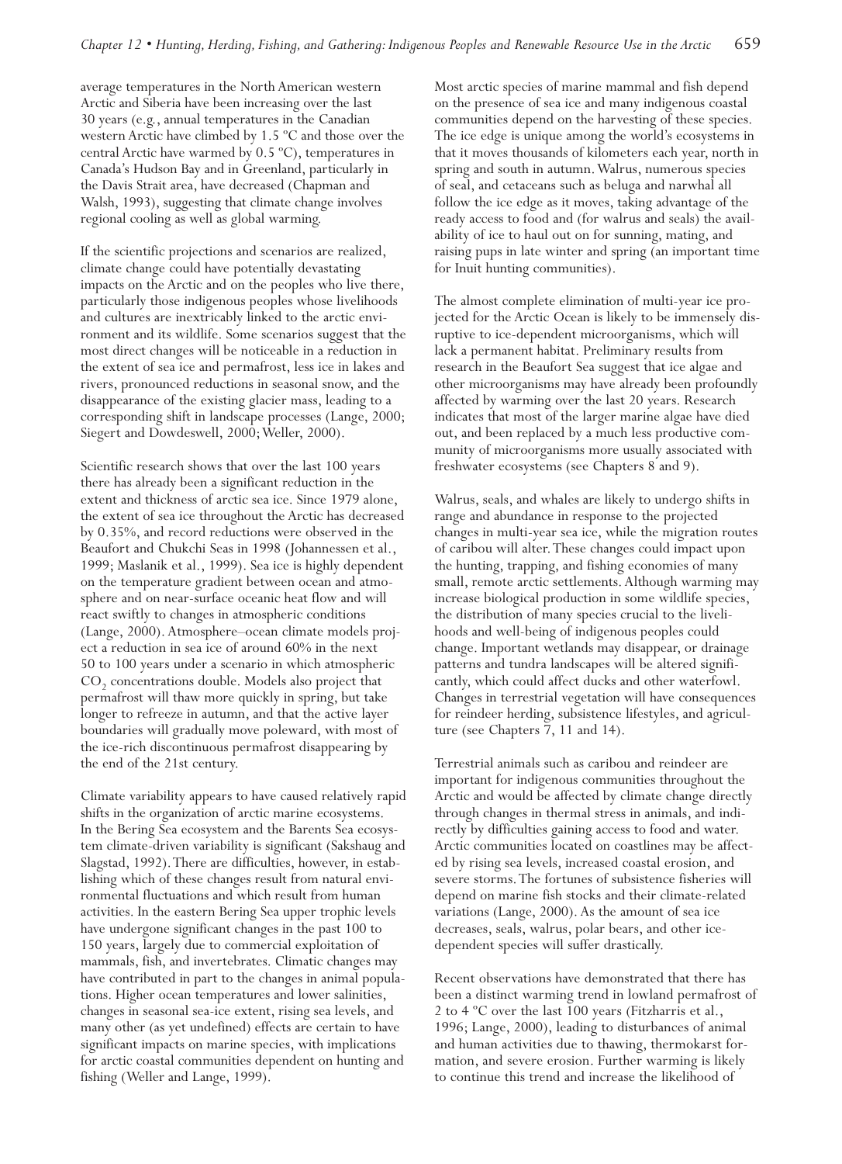average temperatures in the North American western Arctic and Siberia have been increasing over the last 30 years (e.g., annual temperatures in the Canadian western Arctic have climbed by 1.5 ºC and those over the central Arctic have warmed by 0.5 ºC), temperatures in Canada's Hudson Bay and in Greenland, particularly in the Davis Strait area, have decreased (Chapman and Walsh, 1993), suggesting that climate change involves regional cooling as well as global warming.

If the scientific projections and scenarios are realized, climate change could have potentially devastating impacts on the Arctic and on the peoples who live there, particularly those indigenous peoples whose livelihoods and cultures are inextricably linked to the arctic environment and its wildlife. Some scenarios suggest that the most direct changes will be noticeable in a reduction in the extent of sea ice and permafrost, less ice in lakes and rivers, pronounced reductions in seasonal snow, and the disappearance of the existing glacier mass, leading to a corresponding shift in landscape processes (Lange, 2000; Siegert and Dowdeswell, 2000; Weller, 2000).

Scientific research shows that over the last 100 years there has already been a significant reduction in the extent and thickness of arctic sea ice. Since 1979 alone, the extent of sea ice throughout the Arctic has decreased by 0.35%, and record reductions were observed in the Beaufort and Chukchi Seas in 1998 (Johannessen et al., 1999; Maslanik et al., 1999). Sea ice is highly dependent on the temperature gradient between ocean and atmosphere and on near-surface oceanic heat flow and will react swiftly to changes in atmospheric conditions (Lange, 2000). Atmosphere–ocean climate models project a reduction in sea ice of around 60% in the next 50 to 100 years under a scenario in which atmospheric  $CO<sub>2</sub>$  concentrations double. Models also project that permafrost will thaw more quickly in spring, but take longer to refreeze in autumn, and that the active layer boundaries will gradually move poleward, with most of the ice-rich discontinuous permafrost disappearing by the end of the 21st century.

Climate variability appears to have caused relatively rapid shifts in the organization of arctic marine ecosystems. In the Bering Sea ecosystem and the Barents Sea ecosystem climate-driven variability is significant (Sakshaug and Slagstad, 1992).There are difficulties, however, in establishing which of these changes result from natural environmental fluctuations and which result from human activities. In the eastern Bering Sea upper trophic levels have undergone significant changes in the past 100 to 150 years, largely due to commercial exploitation of mammals, fish, and invertebrates. Climatic changes may have contributed in part to the changes in animal populations. Higher ocean temperatures and lower salinities, changes in seasonal sea-ice extent, rising sea levels, and many other (as yet undefined) effects are certain to have significant impacts on marine species, with implications for arctic coastal communities dependent on hunting and fishing (Weller and Lange, 1999).

Most arctic species of marine mammal and fish depend on the presence of sea ice and many indigenous coastal communities depend on the harvesting of these species. The ice edge is unique among the world's ecosystems in that it moves thousands of kilometers each year, north in spring and south in autumn.Walrus, numerous species of seal, and cetaceans such as beluga and narwhal all follow the ice edge as it moves, taking advantage of the ready access to food and (for walrus and seals) the availability of ice to haul out on for sunning, mating, and raising pups in late winter and spring (an important time for Inuit hunting communities).

The almost complete elimination of multi-year ice projected for the Arctic Ocean is likely to be immensely disruptive to ice-dependent microorganisms, which will lack a permanent habitat. Preliminary results from research in the Beaufort Sea suggest that ice algae and other microorganisms may have already been profoundly affected by warming over the last 20 years. Research indicates that most of the larger marine algae have died out, and been replaced by a much less productive community of microorganisms more usually associated with freshwater ecosystems (see Chapters 8 and 9).

Walrus, seals, and whales are likely to undergo shifts in range and abundance in response to the projected changes in multi-year sea ice, while the migration routes of caribou will alter.These changes could impact upon the hunting, trapping, and fishing economies of many small, remote arctic settlements. Although warming may increase biological production in some wildlife species, the distribution of many species crucial to the livelihoods and well-being of indigenous peoples could change. Important wetlands may disappear, or drainage patterns and tundra landscapes will be altered significantly, which could affect ducks and other waterfowl. Changes in terrestrial vegetation will have consequences for reindeer herding, subsistence lifestyles, and agriculture (see Chapters 7, 11 and 14).

Terrestrial animals such as caribou and reindeer are important for indigenous communities throughout the Arctic and would be affected by climate change directly through changes in thermal stress in animals, and indirectly by difficulties gaining access to food and water. Arctic communities located on coastlines may be affected by rising sea levels, increased coastal erosion, and severe storms.The fortunes of subsistence fisheries will depend on marine fish stocks and their climate-related variations (Lange, 2000). As the amount of sea ice decreases, seals, walrus, polar bears, and other icedependent species will suffer drastically.

Recent observations have demonstrated that there has been a distinct warming trend in lowland permafrost of 2 to 4 ºC over the last 100 years (Fitzharris et al., 1996; Lange, 2000), leading to disturbances of animal and human activities due to thawing, thermokarst formation, and severe erosion. Further warming is likely to continue this trend and increase the likelihood of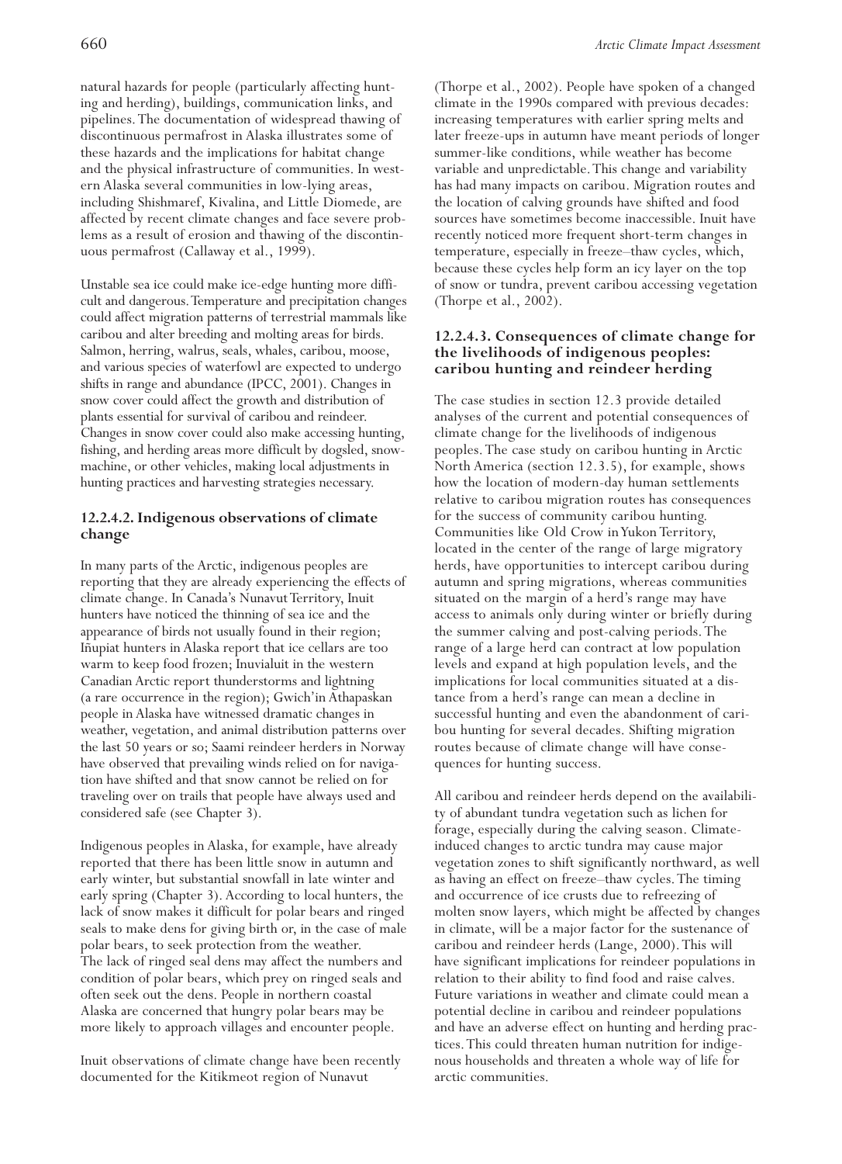natural hazards for people (particularly affecting hunting and herding), buildings, communication links, and pipelines.The documentation of widespread thawing of discontinuous permafrost in Alaska illustrates some of these hazards and the implications for habitat change and the physical infrastructure of communities. In western Alaska several communities in low-lying areas, including Shishmaref, Kivalina, and Little Diomede, are affected by recent climate changes and face severe problems as a result of erosion and thawing of the discontinuous permafrost (Callaway et al., 1999).

Unstable sea ice could make ice-edge hunting more difficult and dangerous.Temperature and precipitation changes could affect migration patterns of terrestrial mammals like caribou and alter breeding and molting areas for birds. Salmon, herring, walrus, seals, whales, caribou, moose, and various species of waterfowl are expected to undergo shifts in range and abundance (IPCC, 2001). Changes in snow cover could affect the growth and distribution of plants essential for survival of caribou and reindeer. Changes in snow cover could also make accessing hunting, fishing, and herding areas more difficult by dogsled, snowmachine, or other vehicles, making local adjustments in hunting practices and harvesting strategies necessary.

# **12.2.4.2. Indigenous observations of climate change**

In many parts of the Arctic, indigenous peoples are reporting that they are already experiencing the effects of climate change. In Canada's Nunavut Territory, Inuit hunters have noticed the thinning of sea ice and the appearance of birds not usually found in their region; Iñupiat hunters in Alaska report that ice cellars are too warm to keep food frozen; Inuvialuit in the western Canadian Arctic report thunderstorms and lightning (a rare occurrence in the region); Gwich'in Athapaskan people in Alaska have witnessed dramatic changes in weather, vegetation, and animal distribution patterns over the last 50 years or so; Saami reindeer herders in Norway have observed that prevailing winds relied on for navigation have shifted and that snow cannot be relied on for traveling over on trails that people have always used and considered safe (see Chapter 3).

Indigenous peoples in Alaska, for example, have already reported that there has been little snow in autumn and early winter, but substantial snowfall in late winter and early spring (Chapter 3). According to local hunters, the lack of snow makes it difficult for polar bears and ringed seals to make dens for giving birth or, in the case of male polar bears, to seek protection from the weather. The lack of ringed seal dens may affect the numbers and condition of polar bears, which prey on ringed seals and often seek out the dens. People in northern coastal Alaska are concerned that hungry polar bears may be more likely to approach villages and encounter people.

Inuit observations of climate change have been recently documented for the Kitikmeot region of Nunavut

<span id="page-11-0"></span>(Thorpe et al., 2002). People have spoken of a changed climate in the 1990s compared with previous decades: increasing temperatures with earlier spring melts and later freeze-ups in autumn have meant periods of longer summer-like conditions, while weather has become variable and unpredictable.This change and variability has had many impacts on caribou. Migration routes and the location of calving grounds have shifted and food sources have sometimes become inaccessible. Inuit have recently noticed more frequent short-term changes in temperature, especially in freeze–thaw cycles, which, because these cycles help form an icy layer on the top of snow or tundra, prevent caribou accessing vegetation (Thorpe et al., 2002).

# **12.2.4.3. Consequences of climate change for the livelihoods of indigenous peoples: caribou hunting and reindeer herding**

The case studies in section 12.3 provide detailed analyses of the current and potential consequences of climate change for the livelihoods of indigenous peoples. The case study on caribou hunting in Arctic North America (section 12.3.5), for example, shows how the location of modern-day human settlements relative to caribou migration routes has consequences for the success of community caribou hunting. Communities like Old Crow in Yukon Territory, located in the center of the range of large migratory herds, have opportunities to intercept caribou during autumn and spring migrations, whereas communities situated on the margin of a herd's range may have access to animals only during winter or briefly during the summer calving and post-calving periods.The range of a large herd can contract at low population levels and expand at high population levels, and the implications for local communities situated at a distance from a herd's range can mean a decline in successful hunting and even the abandonment of caribou hunting for several decades. Shifting migration routes because of climate change will have consequences for hunting success.

All caribou and reindeer herds depend on the availability of abundant tundra vegetation such as lichen for forage, especially during the calving season. Climateinduced changes to arctic tundra may cause major vegetation zones to shift significantly northward, as well as having an effect on freeze–thaw cycles.The timing and occurrence of ice crusts due to refreezing of molten snow layers, which might be affected by changes in climate, will be a major factor for the sustenance of caribou and reindeer herds (Lange, 2000).This will have significant implications for reindeer populations in relation to their ability to find food and raise calves. Future variations in weather and climate could mean a potential decline in caribou and reindeer populations and have an adverse effect on hunting and herding practices.This could threaten human nutrition for indigenous households and threaten a whole way of life for arctic communities.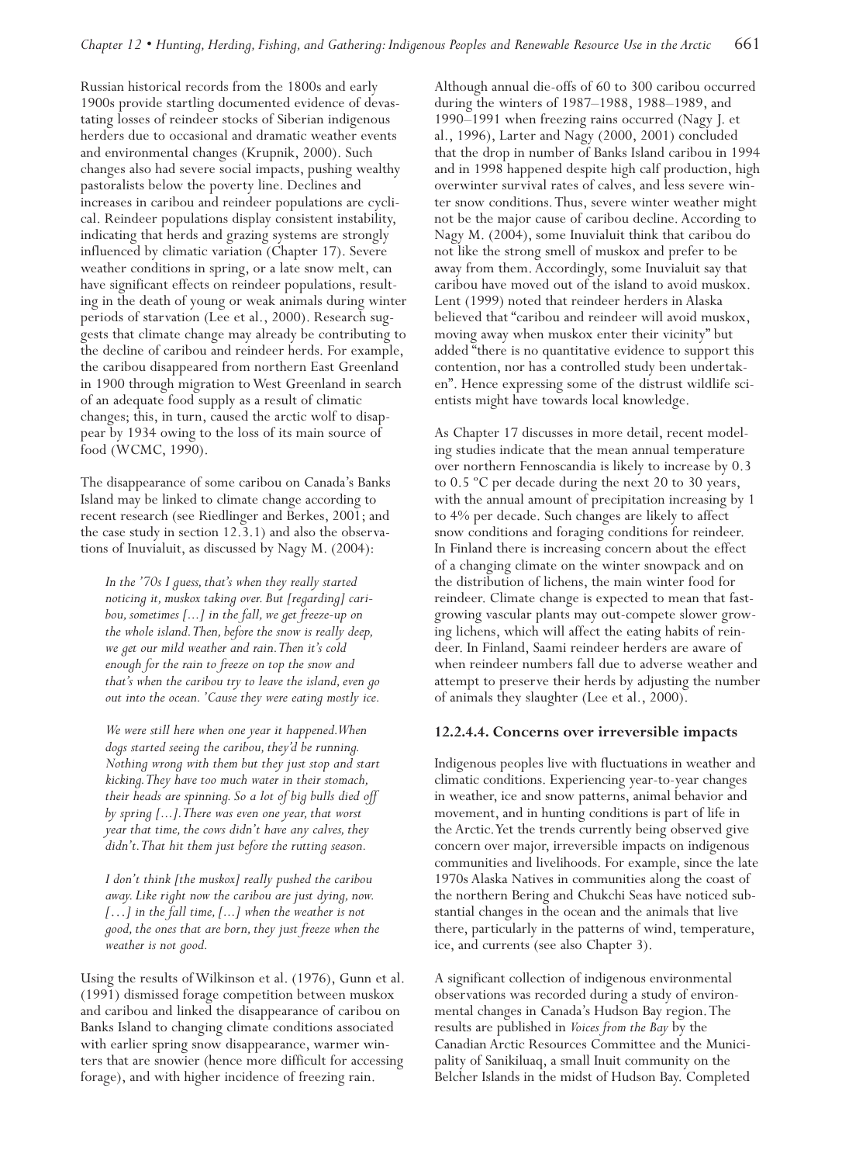Russian historical records from the 1800s and early 1900s provide startling documented evidence of devastating losses of reindeer stocks of Siberian indigenous herders due to occasional and dramatic weather events and environmental changes (Krupnik, 2000). Such changes also had severe social impacts, pushing wealthy pastoralists below the poverty line. Declines and increases in caribou and reindeer populations are cyclical. Reindeer populations display consistent instability, indicating that herds and grazing systems are strongly influenced by climatic variation (Chapter 17). Severe weather conditions in spring, or a late snow melt, can have significant effects on reindeer populations, resulting in the death of young or weak animals during winter periods of starvation (Lee et al., 2000). Research suggests that climate change may already be contributing to the decline of caribou and reindeer herds. For example, the caribou disappeared from northern East Greenland in 1900 through migration to West Greenland in search of an adequate food supply as a result of climatic changes; this, in turn, caused the arctic wolf to disappear by 1934 owing to the loss of its main source of food (WCMC, 1990).

The disappearance of some caribou on Canada's Banks Island may be linked to climate change according to recent research (see Riedlinger and Berkes, 2001; and the case study in section 12.3.1) and also the observations of Inuvialuit, as discussed by Nagy M. (2004):

*In the '70s I guess, that's when they really started noticing it, muskox taking over. But [regarding] caribou, sometimes [...] in the fall, we get freeze-up on the whole island.Then, before the snow is really deep, we get our mild weather and rain.Then it's cold enough for the rain to freeze on top the snow and that's when the caribou try to leave the island, even go out into the ocean. 'Cause they were eating mostly ice.*

*We were still here when one year it happened.When dogs started seeing the caribou, they'd be running. Nothing wrong with them but they just stop and start kicking.They have too much water in their stomach, their heads are spinning. So a lot of big bulls died off by spring [...].There was even one year, that worst year that time, the cows didn't have any calves, they didn't.That hit them just before the rutting season.*

*I don't think [the muskox] really pushed the caribou away. Like right now the caribou are just dying, now. […] in the fall time, [...] when the weather is not good, the ones that are born, they just freeze when the weather is not good.*

Using the results of Wilkinson et al. (1976), Gunn et al. (1991) dismissed forage competition between muskox and caribou and linked the disappearance of caribou on Banks Island to changing climate conditions associated with earlier spring snow disappearance, warmer winters that are snowier (hence more difficult for accessing forage), and with higher incidence of freezing rain.

<span id="page-12-0"></span>Although annual die-offs of 60 to 300 caribou occurred during the winters of 1987–1988, 1988–1989, and 1990–1991 when freezing rains occurred (Nagy J. et al., 1996), Larter and Nagy (2000, 2001) concluded that the drop in number of Banks Island caribou in 1994 and in 1998 happened despite high calf production, high overwinter survival rates of calves, and less severe winter snow conditions.Thus, severe winter weather might not be the major cause of caribou decline. According to Nagy M. (2004), some Inuvialuit think that caribou do not like the strong smell of muskox and prefer to be away from them. Accordingly, some Inuvialuit say that caribou have moved out of the island to avoid muskox. Lent (1999) noted that reindeer herders in Alaska believed that "caribou and reindeer will avoid muskox, moving away when muskox enter their vicinity" but added "there is no quantitative evidence to support this contention, nor has a controlled study been undertaken". Hence expressing some of the distrust wildlife scientists might have towards local knowledge.

As Chapter 17 discusses in more detail, recent modeling studies indicate that the mean annual temperature over northern Fennoscandia is likely to increase by 0.3 to 0.5 ºC per decade during the next 20 to 30 years, with the annual amount of precipitation increasing by 1 to 4% per decade. Such changes are likely to affect snow conditions and foraging conditions for reindeer. In Finland there is increasing concern about the effect of a changing climate on the winter snowpack and on the distribution of lichens, the main winter food for reindeer. Climate change is expected to mean that fastgrowing vascular plants may out-compete slower growing lichens, which will affect the eating habits of reindeer. In Finland, Saami reindeer herders are aware of when reindeer numbers fall due to adverse weather and attempt to preserve their herds by adjusting the number of animals they slaughter (Lee et al., 2000).

#### **12.2.4.4. Concerns over irreversible impacts**

Indigenous peoples live with fluctuations in weather and climatic conditions. Experiencing year-to-year changes in weather, ice and snow patterns, animal behavior and movement, and in hunting conditions is part of life in the Arctic.Yet the trends currently being observed give concern over major, irreversible impacts on indigenous communities and livelihoods. For example, since the late 1970s Alaska Natives in communities along the coast of the northern Bering and Chukchi Seas have noticed substantial changes in the ocean and the animals that live there, particularly in the patterns of wind, temperature, ice, and currents (see also Chapter 3).

A significant collection of indigenous environmental observations was recorded during a study of environmental changes in Canada's Hudson Bay region.The results are published in *Voices from the Bay* by the Canadian Arctic Resources Committee and the Municipality of Sanikiluaq, a small Inuit community on the Belcher Islands in the midst of Hudson Bay. Completed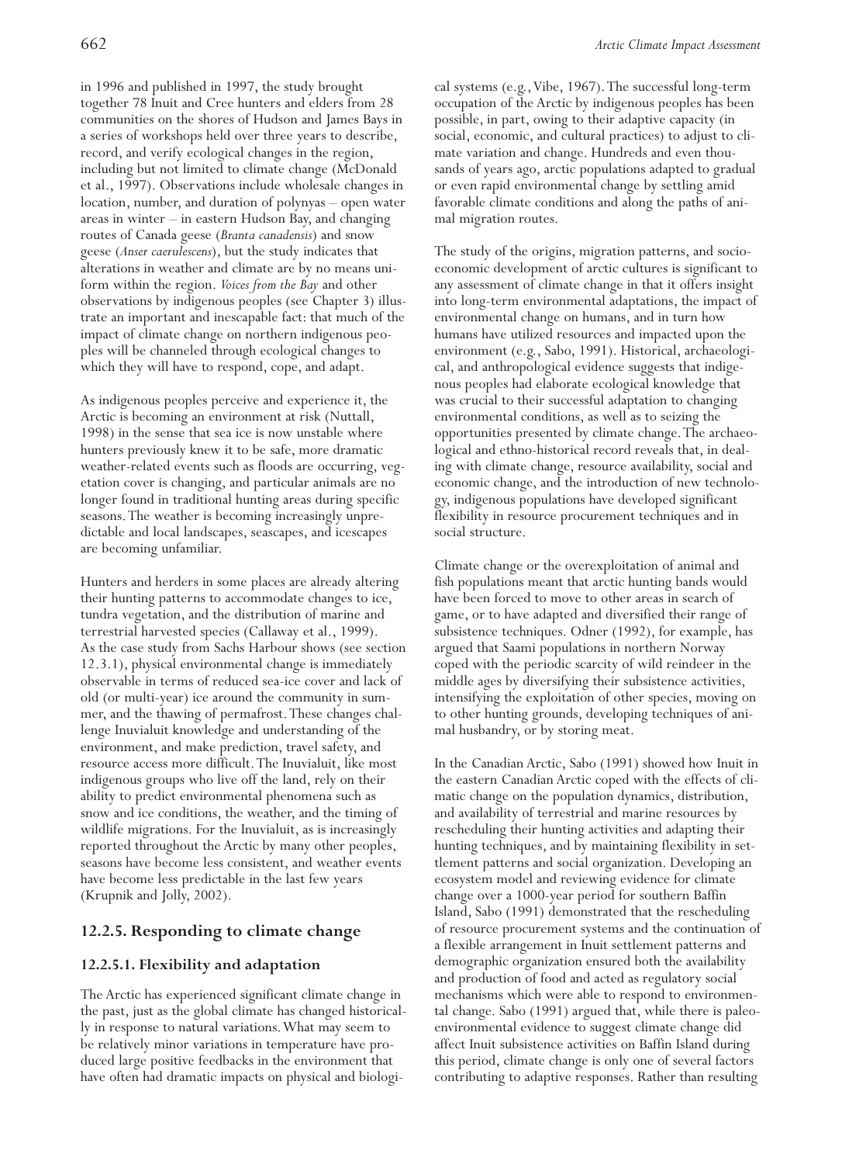in 1996 and published in 1997, the study brought together 78 Inuit and Cree hunters and elders from 28 communities on the shores of Hudson and James Bays in a series of workshops held over three years to describe, record, and verify ecological changes in the region, including but not limited to climate change (McDonald et al., 1997). Observations include wholesale changes in location, number, and duration of polynyas – open water areas in winter – in eastern Hudson Bay, and changing routes of Canada geese (*Branta canadensis*) and snow geese (*Anser caerulescens*), but the study indicates that alterations in weather and climate are by no means uniform within the region. *Voices from the Bay* and other observations by indigenous peoples (see Chapter 3) illustrate an important and inescapable fact: that much of the impact of climate change on northern indigenous peoples will be channeled through ecological changes to which they will have to respond, cope, and adapt.

As indigenous peoples perceive and experience it, the Arctic is becoming an environment at risk (Nuttall, 1998) in the sense that sea ice is now unstable where hunters previously knew it to be safe, more dramatic weather-related events such as floods are occurring, vegetation cover is changing, and particular animals are no longer found in traditional hunting areas during specific seasons.The weather is becoming increasingly unpredictable and local landscapes, seascapes, and icescapes are becoming unfamiliar.

Hunters and herders in some places are already altering their hunting patterns to accommodate changes to ice, tundra vegetation, and the distribution of marine and terrestrial harvested species (Callaway et al., 1999). As the case study from Sachs Harbour shows (see section 12.3.1), physical environmental change is immediately observable in terms of reduced sea-ice cover and lack of old (or multi-year) ice around the community in summer, and the thawing of permafrost.These changes challenge Inuvialuit knowledge and understanding of the environment, and make prediction, travel safety, and resource access more difficult.The Inuvialuit, like most indigenous groups who live off the land, rely on their ability to predict environmental phenomena such as snow and ice conditions, the weather, and the timing of wildlife migrations. For the Inuvialuit, as is increasingly reported throughout the Arctic by many other peoples, seasons have become less consistent, and weather events have become less predictable in the last few years (Krupnik and Jolly, 2002).

# **12.2.5. Responding to climate change**

# **12.2.5.1. Flexibility and adaptation**

The Arctic has experienced significant climate change in the past, just as the global climate has changed historically in response to natural variations.What may seem to be relatively minor variations in temperature have produced large positive feedbacks in the environment that have often had dramatic impacts on physical and biologi<span id="page-13-0"></span>cal systems (e.g.,Vibe, 1967).The successful long-term occupation of the Arctic by indigenous peoples has been possible, in part, owing to their adaptive capacity (in social, economic, and cultural practices) to adjust to climate variation and change. Hundreds and even thousands of years ago, arctic populations adapted to gradual or even rapid environmental change by settling amid favorable climate conditions and along the paths of animal migration routes.

The study of the origins, migration patterns, and socioeconomic development of arctic cultures is significant to any assessment of climate change in that it offers insight into long-term environmental adaptations, the impact of environmental change on humans, and in turn how humans have utilized resources and impacted upon the environment (e.g., Sabo, 1991). Historical, archaeological, and anthropological evidence suggests that indigenous peoples had elaborate ecological knowledge that was crucial to their successful adaptation to changing environmental conditions, as well as to seizing the opportunities presented by climate change.The archaeological and ethno-historical record reveals that, in dealing with climate change, resource availability, social and economic change, and the introduction of new technology, indigenous populations have developed significant flexibility in resource procurement techniques and in social structure.

Climate change or the overexploitation of animal and fish populations meant that arctic hunting bands would have been forced to move to other areas in search of game, or to have adapted and diversified their range of subsistence techniques. Odner (1992), for example, has argued that Saami populations in northern Norway coped with the periodic scarcity of wild reindeer in the middle ages by diversifying their subsistence activities, intensifying the exploitation of other species, moving on to other hunting grounds, developing techniques of animal husbandry, or by storing meat.

In the Canadian Arctic, Sabo (1991) showed how Inuit in the eastern Canadian Arctic coped with the effects of climatic change on the population dynamics, distribution, and availability of terrestrial and marine resources by rescheduling their hunting activities and adapting their hunting techniques, and by maintaining flexibility in settlement patterns and social organization. Developing an ecosystem model and reviewing evidence for climate change over a 1000-year period for southern Baffin Island, Sabo (1991) demonstrated that the rescheduling of resource procurement systems and the continuation of a flexible arrangement in Inuit settlement patterns and demographic organization ensured both the availability and production of food and acted as regulatory social mechanisms which were able to respond to environmental change. Sabo (1991) argued that, while there is paleoenvironmental evidence to suggest climate change did affect Inuit subsistence activities on Baffin Island during this period, climate change is only one of several factors contributing to adaptive responses. Rather than resulting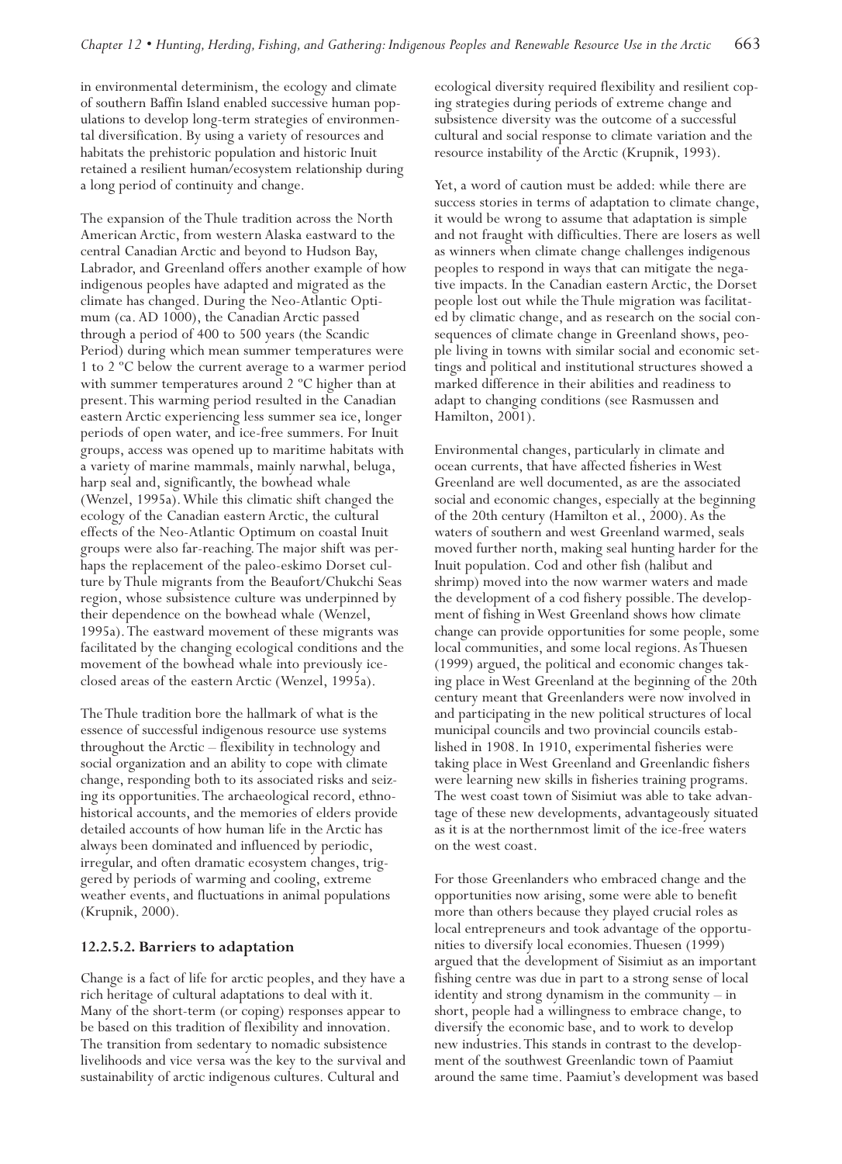in environmental determinism, the ecology and climate of southern Baffin Island enabled successive human populations to develop long-term strategies of environmental diversification. By using a variety of resources and habitats the prehistoric population and historic Inuit retained a resilient human/ecosystem relationship during a long period of continuity and change.

The expansion of the Thule tradition across the North American Arctic, from western Alaska eastward to the central Canadian Arctic and beyond to Hudson Bay, Labrador, and Greenland offers another example of how indigenous peoples have adapted and migrated as the climate has changed. During the Neo-Atlantic Optimum (ca. AD 1000), the Canadian Arctic passed through a period of 400 to 500 years (the Scandic Period) during which mean summer temperatures were 1 to 2 ºC below the current average to a warmer period with summer temperatures around 2 ºC higher than at present.This warming period resulted in the Canadian eastern Arctic experiencing less summer sea ice, longer periods of open water, and ice-free summers. For Inuit groups, access was opened up to maritime habitats with a variety of marine mammals, mainly narwhal, beluga, harp seal and, significantly, the bowhead whale (Wenzel, 1995a).While this climatic shift changed the ecology of the Canadian eastern Arctic, the cultural effects of the Neo-Atlantic Optimum on coastal Inuit groups were also far-reaching.The major shift was perhaps the replacement of the paleo-eskimo Dorset culture byThule migrants from the Beaufort/Chukchi Seas region, whose subsistence culture was underpinned by their dependence on the bowhead whale (Wenzel, 1995a).The eastward movement of these migrants was facilitated by the changing ecological conditions and the movement of the bowhead whale into previously iceclosed areas of the eastern Arctic (Wenzel, 1995a).

The Thule tradition bore the hallmark of what is the essence of successful indigenous resource use systems throughout the Arctic – flexibility in technology and social organization and an ability to cope with climate change, responding both to its associated risks and seizing its opportunities.The archaeological record, ethnohistorical accounts, and the memories of elders provide detailed accounts of how human life in the Arctic has always been dominated and influenced by periodic, irregular, and often dramatic ecosystem changes, triggered by periods of warming and cooling, extreme weather events, and fluctuations in animal populations (Krupnik, 2000).

#### **12.2.5.2. Barriers to adaptation**

Change is a fact of life for arctic peoples, and they have a rich heritage of cultural adaptations to deal with it. Many of the short-term (or coping) responses appear to be based on this tradition of flexibility and innovation. The transition from sedentary to nomadic subsistence livelihoods and vice versa was the key to the survival and sustainability of arctic indigenous cultures. Cultural and

<span id="page-14-0"></span>ecological diversity required flexibility and resilient coping strategies during periods of extreme change and subsistence diversity was the outcome of a successful cultural and social response to climate variation and the resource instability of the Arctic (Krupnik, 1993).

Yet, a word of caution must be added: while there are success stories in terms of adaptation to climate change, it would be wrong to assume that adaptation is simple and not fraught with difficulties.There are losers as well as winners when climate change challenges indigenous peoples to respond in ways that can mitigate the negative impacts. In the Canadian eastern Arctic, the Dorset people lost out while the Thule migration was facilitated by climatic change, and as research on the social consequences of climate change in Greenland shows, people living in towns with similar social and economic settings and political and institutional structures showed a marked difference in their abilities and readiness to adapt to changing conditions (see Rasmussen and Hamilton, 2001).

Environmental changes, particularly in climate and ocean currents, that have affected fisheries in West Greenland are well documented, as are the associated social and economic changes, especially at the beginning of the 20th century (Hamilton et al., 2000). As the waters of southern and west Greenland warmed, seals moved further north, making seal hunting harder for the Inuit population. Cod and other fish (halibut and shrimp) moved into the now warmer waters and made the development of a cod fishery possible.The development of fishing in West Greenland shows how climate change can provide opportunities for some people, some local communities, and some local regions. As Thuesen (1999) argued, the political and economic changes taking place in West Greenland at the beginning of the 20th century meant that Greenlanders were now involved in and participating in the new political structures of local municipal councils and two provincial councils established in 1908. In 1910, experimental fisheries were taking place in West Greenland and Greenlandic fishers were learning new skills in fisheries training programs. The west coast town of Sisimiut was able to take advantage of these new developments, advantageously situated as it is at the northernmost limit of the ice-free waters on the west coast.

For those Greenlanders who embraced change and the opportunities now arising, some were able to benefit more than others because they played crucial roles as local entrepreneurs and took advantage of the opportunities to diversify local economies.Thuesen (1999) argued that the development of Sisimiut as an important fishing centre was due in part to a strong sense of local identity and strong dynamism in the community – in short, people had a willingness to embrace change, to diversify the economic base, and to work to develop new industries.This stands in contrast to the development of the southwest Greenlandic town of Paamiut around the same time. Paamiut's development was based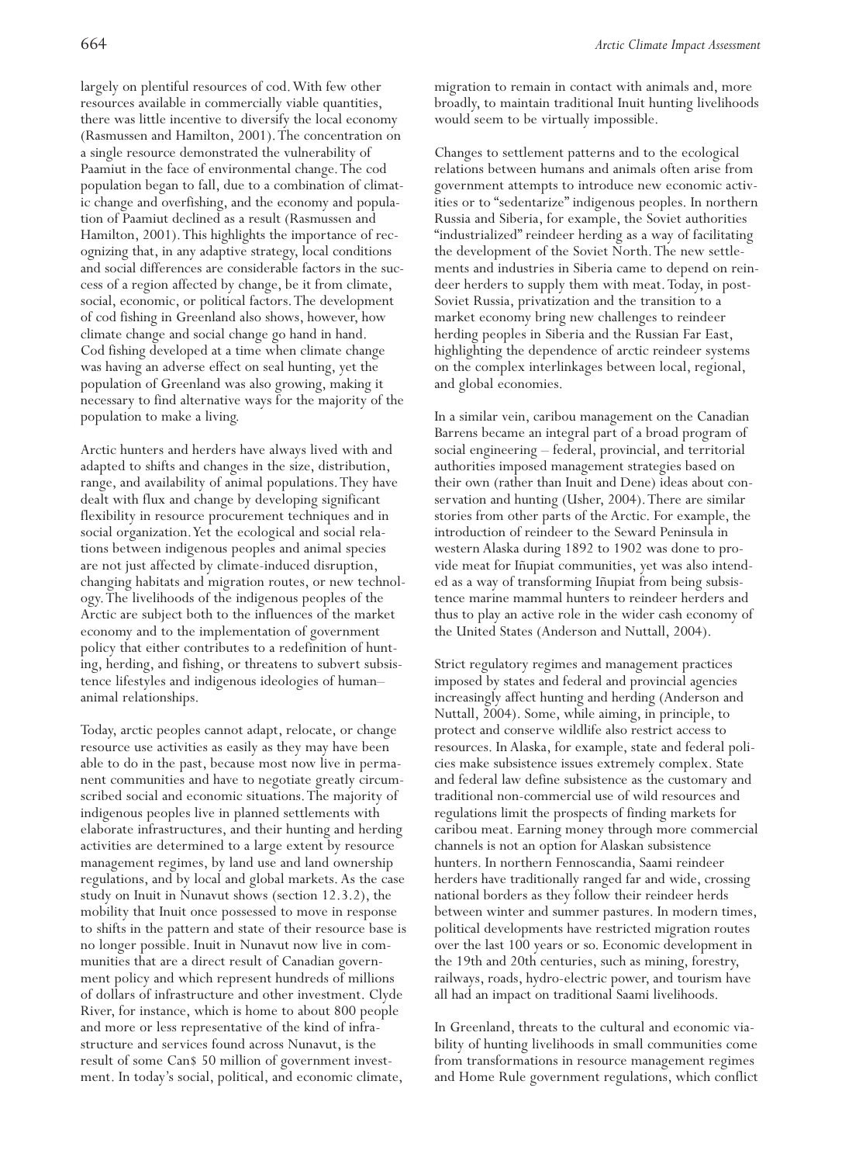largely on plentiful resources of cod.With few other resources available in commercially viable quantities, there was little incentive to diversify the local economy (Rasmussen and Hamilton, 2001).The concentration on a single resource demonstrated the vulnerability of Paamiut in the face of environmental change.The cod population began to fall, due to a combination of climatic change and overfishing, and the economy and population of Paamiut declined as a result (Rasmussen and Hamilton, 2001).This highlights the importance of recognizing that, in any adaptive strategy, local conditions and social differences are considerable factors in the success of a region affected by change, be it from climate, social, economic, or political factors.The development of cod fishing in Greenland also shows, however, how climate change and social change go hand in hand. Cod fishing developed at a time when climate change was having an adverse effect on seal hunting, yet the population of Greenland was also growing, making it necessary to find alternative ways for the majority of the population to make a living.

Arctic hunters and herders have always lived with and adapted to shifts and changes in the size, distribution, range, and availability of animal populations.They have dealt with flux and change by developing significant flexibility in resource procurement techniques and in social organization.Yet the ecological and social relations between indigenous peoples and animal species are not just affected by climate-induced disruption, changing habitats and migration routes, or new technology.The livelihoods of the indigenous peoples of the Arctic are subject both to the influences of the market economy and to the implementation of government policy that either contributes to a redefinition of hunting, herding, and fishing, or threatens to subvert subsistence lifestyles and indigenous ideologies of human– animal relationships.

Today, arctic peoples cannot adapt, relocate, or change resource use activities as easily as they may have been able to do in the past, because most now live in permanent communities and have to negotiate greatly circumscribed social and economic situations.The majority of indigenous peoples live in planned settlements with elaborate infrastructures, and their hunting and herding activities are determined to a large extent by resource management regimes, by land use and land ownership regulations, and by local and global markets. As the case study on Inuit in Nunavut shows (section 12.3.2), the mobility that Inuit once possessed to move in response to shifts in the pattern and state of their resource base is no longer possible. Inuit in Nunavut now live in communities that are a direct result of Canadian government policy and which represent hundreds of millions of dollars of infrastructure and other investment. Clyde River, for instance, which is home to about 800 people and more or less representative of the kind of infrastructure and services found across Nunavut, is the result of some Can\$ 50 million of government investment. In today's social, political, and economic climate,

migration to remain in contact with animals and, more broadly, to maintain traditional Inuit hunting livelihoods would seem to be virtually impossible.

Changes to settlement patterns and to the ecological relations between humans and animals often arise from government attempts to introduce new economic activities or to "sedentarize" indigenous peoples. In northern Russia and Siberia, for example, the Soviet authorities "industrialized" reindeer herding as a way of facilitating the development of the Soviet North.The new settlements and industries in Siberia came to depend on reindeer herders to supply them with meat.Today, in post-Soviet Russia, privatization and the transition to a market economy bring new challenges to reindeer herding peoples in Siberia and the Russian Far East, highlighting the dependence of arctic reindeer systems on the complex interlinkages between local, regional, and global economies.

In a similar vein, caribou management on the Canadian Barrens became an integral part of a broad program of social engineering – federal, provincial, and territorial authorities imposed management strategies based on their own (rather than Inuit and Dene) ideas about conservation and hunting (Usher, 2004). There are similar stories from other parts of the Arctic. For example, the introduction of reindeer to the Seward Peninsula in western Alaska during 1892 to 1902 was done to provide meat for Iñupiat communities, yet was also intended as a way of transforming Iñupiat from being subsistence marine mammal hunters to reindeer herders and thus to play an active role in the wider cash economy of the United States (Anderson and Nuttall, 2004).

Strict regulatory regimes and management practices imposed by states and federal and provincial agencies increasingly affect hunting and herding (Anderson and Nuttall, 2004). Some, while aiming, in principle, to protect and conserve wildlife also restrict access to resources. In Alaska, for example, state and federal policies make subsistence issues extremely complex. State and federal law define subsistence as the customary and traditional non-commercial use of wild resources and regulations limit the prospects of finding markets for caribou meat. Earning money through more commercial channels is not an option for Alaskan subsistence hunters. In northern Fennoscandia, Saami reindeer herders have traditionally ranged far and wide, crossing national borders as they follow their reindeer herds between winter and summer pastures. In modern times, political developments have restricted migration routes over the last 100 years or so. Economic development in the 19th and 20th centuries, such as mining, forestry, railways, roads, hydro-electric power, and tourism have all had an impact on traditional Saami livelihoods.

In Greenland, threats to the cultural and economic viability of hunting livelihoods in small communities come from transformations in resource management regimes and Home Rule government regulations, which conflict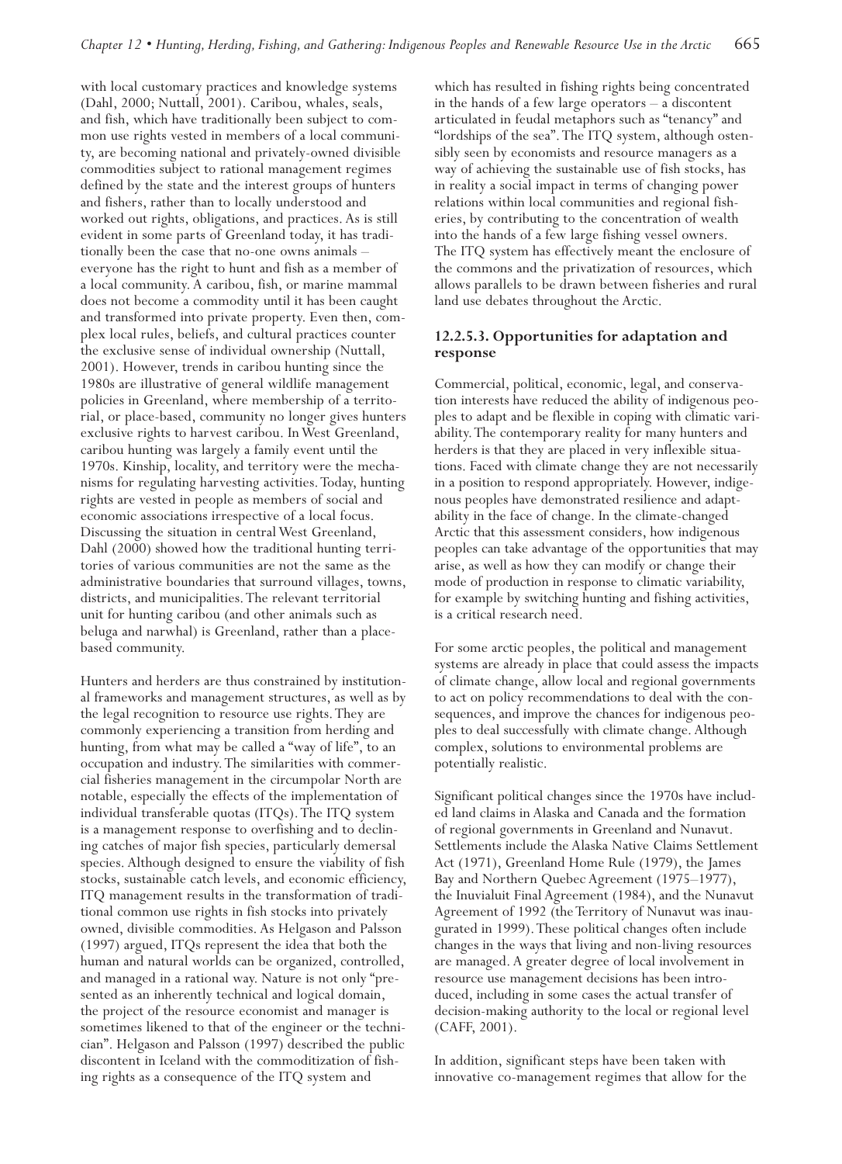with local customary practices and knowledge systems (Dahl, 2000; Nuttall, 2001). Caribou, whales, seals, and fish, which have traditionally been subject to common use rights vested in members of a local community, are becoming national and privately-owned divisible commodities subject to rational management regimes defined by the state and the interest groups of hunters and fishers, rather than to locally understood and worked out rights, obligations, and practices. As is still evident in some parts of Greenland today, it has traditionally been the case that no-one owns animals – everyone has the right to hunt and fish as a member of a local community. A caribou, fish, or marine mammal does not become a commodity until it has been caught and transformed into private property. Even then, complex local rules, beliefs, and cultural practices counter the exclusive sense of individual ownership (Nuttall, 2001). However, trends in caribou hunting since the 1980s are illustrative of general wildlife management policies in Greenland, where membership of a territorial, or place-based, community no longer gives hunters exclusive rights to harvest caribou. In West Greenland, caribou hunting was largely a family event until the 1970s. Kinship, locality, and territory were the mechanisms for regulating harvesting activities.Today, hunting rights are vested in people as members of social and economic associations irrespective of a local focus. Discussing the situation in central West Greenland, Dahl (2000) showed how the traditional hunting territories of various communities are not the same as the administrative boundaries that surround villages, towns, districts, and municipalities.The relevant territorial unit for hunting caribou (and other animals such as beluga and narwhal) is Greenland, rather than a placebased community.

Hunters and herders are thus constrained by institutional frameworks and management structures, as well as by the legal recognition to resource use rights.They are commonly experiencing a transition from herding and hunting, from what may be called a "way of life", to an occupation and industry.The similarities with commercial fisheries management in the circumpolar North are notable, especially the effects of the implementation of individual transferable quotas (ITQs).The ITQ system is a management response to overfishing and to declining catches of major fish species, particularly demersal species. Although designed to ensure the viability of fish stocks, sustainable catch levels, and economic efficiency, ITQ management results in the transformation of traditional common use rights in fish stocks into privately owned, divisible commodities. As Helgason and Palsson (1997) argued, ITQs represent the idea that both the human and natural worlds can be organized, controlled, and managed in a rational way. Nature is not only "presented as an inherently technical and logical domain, the project of the resource economist and manager is sometimes likened to that of the engineer or the technician". Helgason and Palsson (1997) described the public discontent in Iceland with the commoditization of fishing rights as a consequence of the ITQ system and

<span id="page-16-0"></span>which has resulted in fishing rights being concentrated in the hands of a few large operators – a discontent articulated in feudal metaphors such as "tenancy" and "lordships of the sea".The ITQ system, although ostensibly seen by economists and resource managers as a way of achieving the sustainable use of fish stocks, has in reality a social impact in terms of changing power relations within local communities and regional fisheries, by contributing to the concentration of wealth into the hands of a few large fishing vessel owners. The ITQ system has effectively meant the enclosure of the commons and the privatization of resources, which allows parallels to be drawn between fisheries and rural land use debates throughout the Arctic.

# **12.2.5.3. Opportunities for adaptation and response**

Commercial, political, economic, legal, and conservation interests have reduced the ability of indigenous peoples to adapt and be flexible in coping with climatic variability.The contemporary reality for many hunters and herders is that they are placed in very inflexible situations. Faced with climate change they are not necessarily in a position to respond appropriately. However, indigenous peoples have demonstrated resilience and adaptability in the face of change. In the climate-changed Arctic that this assessment considers, how indigenous peoples can take advantage of the opportunities that may arise, as well as how they can modify or change their mode of production in response to climatic variability, for example by switching hunting and fishing activities, is a critical research need.

For some arctic peoples, the political and management systems are already in place that could assess the impacts of climate change, allow local and regional governments to act on policy recommendations to deal with the consequences, and improve the chances for indigenous peoples to deal successfully with climate change. Although complex, solutions to environmental problems are potentially realistic.

Significant political changes since the 1970s have included land claims in Alaska and Canada and the formation of regional governments in Greenland and Nunavut. Settlements include the Alaska Native Claims Settlement Act (1971), Greenland Home Rule (1979), the James Bay and Northern Quebec Agreement (1975–1977), the Inuvialuit Final Agreement (1984), and the Nunavut Agreement of 1992 (the Territory of Nunavut was inaugurated in 1999).These political changes often include changes in the ways that living and non-living resources are managed. A greater degree of local involvement in resource use management decisions has been introduced, including in some cases the actual transfer of decision-making authority to the local or regional level (CAFF, 2001).

In addition, significant steps have been taken with innovative co-management regimes that allow for the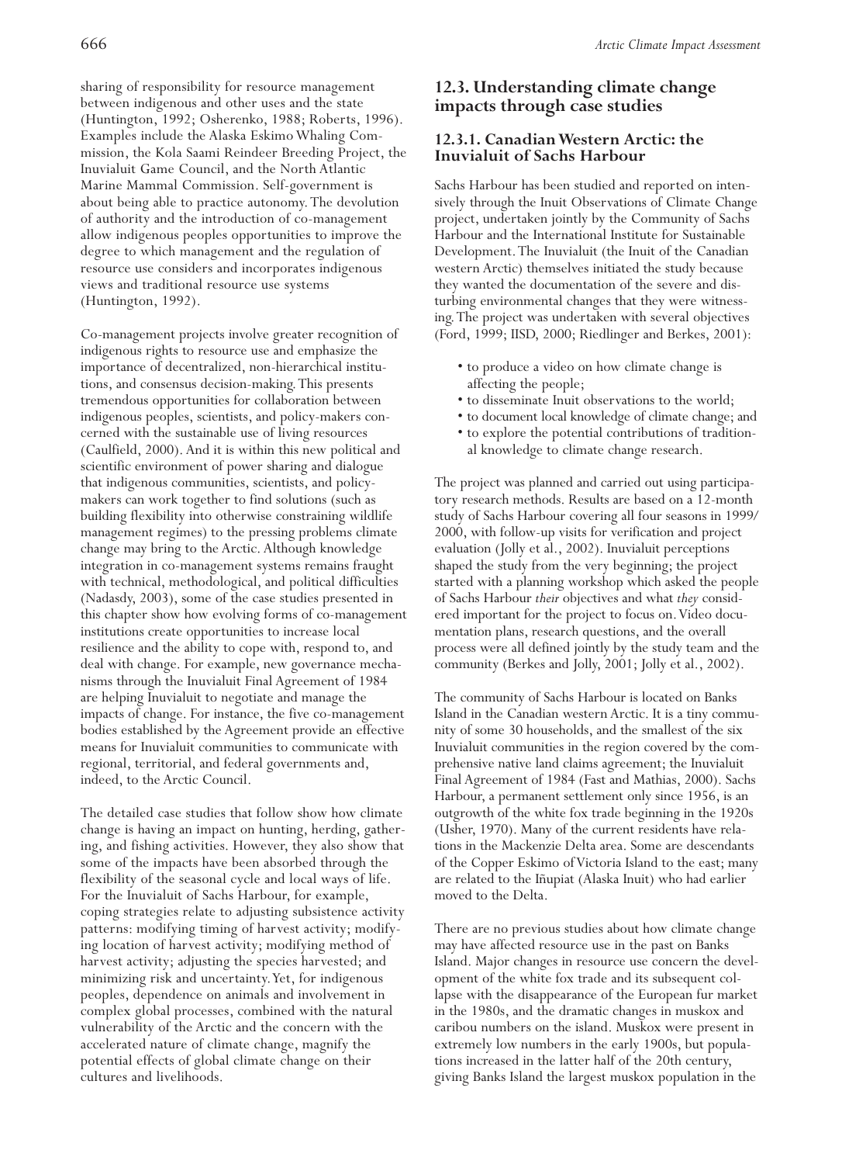sharing of responsibility for resource management between indigenous and other uses and the state (Huntington, 1992; Osherenko, 1988; Roberts, 1996). Examples include the Alaska Eskimo Whaling Commission, the Kola Saami Reindeer Breeding Project, the Inuvialuit Game Council, and the North Atlantic Marine Mammal Commission. Self-government is about being able to practice autonomy.The devolution of authority and the introduction of co-management allow indigenous peoples opportunities to improve the degree to which management and the regulation of resource use considers and incorporates indigenous views and traditional resource use systems (Huntington, 1992).

Co-management projects involve greater recognition of indigenous rights to resource use and emphasize the importance of decentralized, non-hierarchical institutions, and consensus decision-making.This presents tremendous opportunities for collaboration between indigenous peoples, scientists, and policy-makers concerned with the sustainable use of living resources (Caulfield, 2000). And it is within this new political and scientific environment of power sharing and dialogue that indigenous communities, scientists, and policymakers can work together to find solutions (such as building flexibility into otherwise constraining wildlife management regimes) to the pressing problems climate change may bring to the Arctic. Although knowledge integration in co-management systems remains fraught with technical, methodological, and political difficulties (Nadasdy, 2003), some of the case studies presented in this chapter show how evolving forms of co-management institutions create opportunities to increase local resilience and the ability to cope with, respond to, and deal with change. For example, new governance mechanisms through the Inuvialuit Final Agreement of 1984 are helping Inuvialuit to negotiate and manage the impacts of change. For instance, the five co-management bodies established by the Agreement provide an effective means for Inuvialuit communities to communicate with regional, territorial, and federal governments and, indeed, to the Arctic Council.

The detailed case studies that follow show how climate change is having an impact on hunting, herding, gathering, and fishing activities. However, they also show that some of the impacts have been absorbed through the flexibility of the seasonal cycle and local ways of life. For the Inuvialuit of Sachs Harbour, for example, coping strategies relate to adjusting subsistence activity patterns: modifying timing of harvest activity; modifying location of harvest activity; modifying method of harvest activity; adjusting the species harvested; and minimizing risk and uncertainty.Yet, for indigenous peoples, dependence on animals and involvement in complex global processes, combined with the natural vulnerability of the Arctic and the concern with the accelerated nature of climate change, magnify the potential effects of global climate change on their cultures and livelihoods.

# <span id="page-17-0"></span>**12.3. Understanding climate change impacts through case studies**

# **12.3.1. Canadian Western Arctic: the Inuvialuit of Sachs Harbour**

Sachs Harbour has been studied and reported on intensively through the Inuit Observations of Climate Change project, undertaken jointly by the Community of Sachs Harbour and the International Institute for Sustainable Development.The Inuvialuit (the Inuit of the Canadian western Arctic) themselves initiated the study because they wanted the documentation of the severe and disturbing environmental changes that they were witnessing.The project was undertaken with several objectives (Ford, 1999; IISD, 2000; Riedlinger and Berkes, 2001):

- to produce a video on how climate change is affecting the people;
- to disseminate Inuit observations to the world;
- to document local knowledge of climate change; and
- to explore the potential contributions of traditional knowledge to climate change research.

The project was planned and carried out using participatory research methods. Results are based on a 12-month study of Sachs Harbour covering all four seasons in 1999/ 2000, with follow-up visits for verification and project evaluation (Jolly et al., 2002). Inuvialuit perceptions shaped the study from the very beginning; the project started with a planning workshop which asked the people of Sachs Harbour *their* objectives and what *they* considered important for the project to focus on.Video documentation plans, research questions, and the overall process were all defined jointly by the study team and the community (Berkes and Jolly, 2001; Jolly et al., 2002).

The community of Sachs Harbour is located on Banks Island in the Canadian western Arctic. It is a tiny community of some 30 households, and the smallest of the six Inuvialuit communities in the region covered by the comprehensive native land claims agreement; the Inuvialuit Final Agreement of 1984 (Fast and Mathias, 2000). Sachs Harbour, a permanent settlement only since 1956, is an outgrowth of the white fox trade beginning in the 1920s (Usher, 1970). Many of the current residents have relations in the Mackenzie Delta area. Some are descendants of the Copper Eskimo of Victoria Island to the east; many are related to the Iñupiat (Alaska Inuit) who had earlier moved to the Delta.

There are no previous studies about how climate change may have affected resource use in the past on Banks Island. Major changes in resource use concern the development of the white fox trade and its subsequent collapse with the disappearance of the European fur market in the 1980s, and the dramatic changes in muskox and caribou numbers on the island. Muskox were present in extremely low numbers in the early 1900s, but populations increased in the latter half of the 20th century, giving Banks Island the largest muskox population in the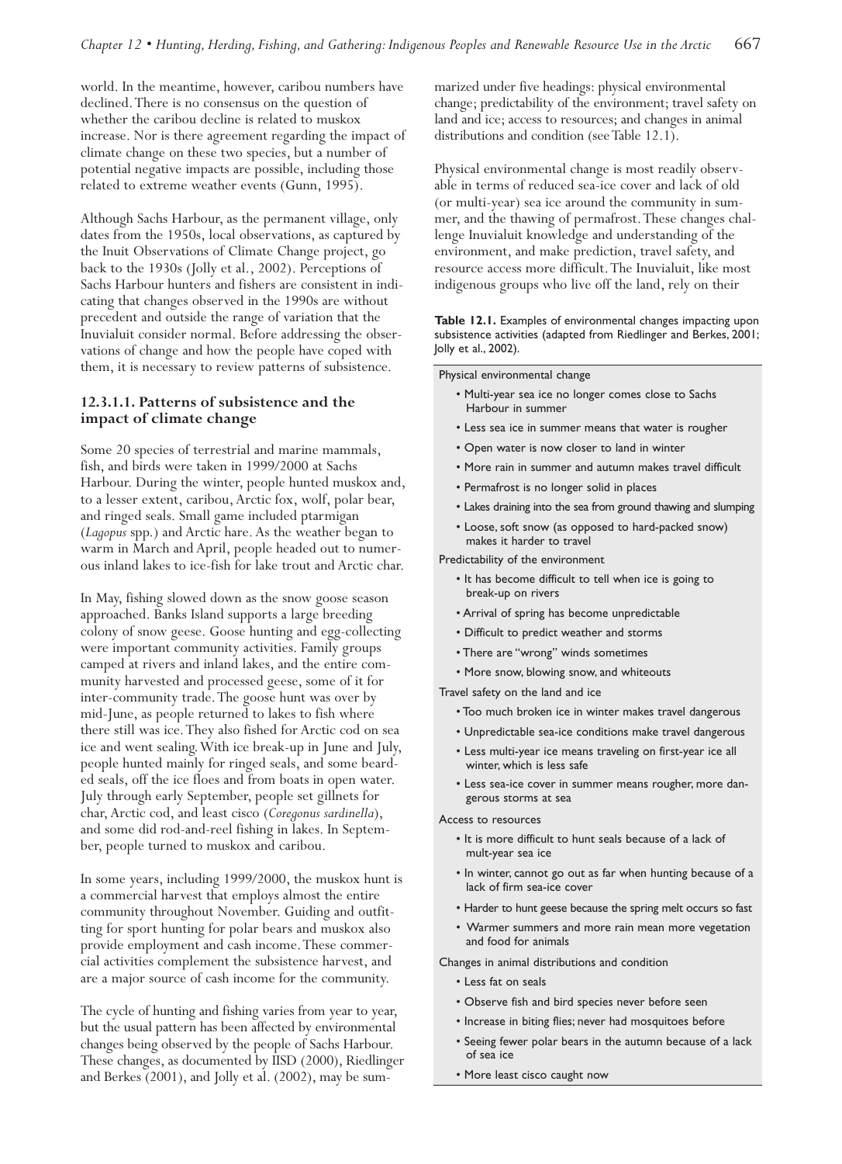world. In the meantime, however, caribou numbers have declined.There is no consensus on the question of whether the caribou decline is related to muskox increase. Nor is there agreement regarding the impact of climate change on these two species, but a number of potential negative impacts are possible, including those related to extreme weather events (Gunn, 1995).

Although Sachs Harbour, as the permanent village, only dates from the 1950s, local observations, as captured by the Inuit Observations of Climate Change project, go back to the 1930s (Jolly et al., 2002). Perceptions of Sachs Harbour hunters and fishers are consistent in indicating that changes observed in the 1990s are without precedent and outside the range of variation that the Inuvialuit consider normal. Before addressing the observations of change and how the people have coped with them, it is necessary to review patterns of subsistence.

# **12.3.1.1. Patterns of subsistence and the impact of climate change**

Some 20 species of terrestrial and marine mammals, fish, and birds were taken in 1999/2000 at Sachs Harbour. During the winter, people hunted muskox and, to a lesser extent, caribou, Arctic fox, wolf, polar bear, and ringed seals. Small game included ptarmigan (*Lagopus* spp.) and Arctic hare. As the weather began to warm in March and April, people headed out to numerous inland lakes to ice-fish for lake trout and Arctic char.

In May, fishing slowed down as the snow goose season approached. Banks Island supports a large breeding colony of snow geese. Goose hunting and egg-collecting were important community activities. Family groups camped at rivers and inland lakes, and the entire community harvested and processed geese, some of it for inter-community trade.The goose hunt was over by mid-June, as people returned to lakes to fish where there still was ice.They also fished for Arctic cod on sea ice and went sealing.With ice break-up in June and July, people hunted mainly for ringed seals, and some bearded seals, off the ice floes and from boats in open water. July through early September, people set gillnets for char, Arctic cod, and least cisco (*Coregonus sardinella*), and some did rod-and-reel fishing in lakes. In September, people turned to muskox and caribou.

In some years, including 1999/2000, the muskox hunt is a commercial harvest that employs almost the entire community throughout November. Guiding and outfitting for sport hunting for polar bears and muskox also provide employment and cash income.These commercial activities complement the subsistence harvest, and are a major source of cash income for the community.

The cycle of hunting and fishing varies from year to year, but the usual pattern has been affected by environmental changes being observed by the people of Sachs Harbour. These changes, as documented by IISD (2000), Riedlinger and Berkes (2001), and Jolly et al. (2002), may be sum<span id="page-18-0"></span>marized under five headings: physical environmental change; predictability of the environment; travel safety on land and ice; access to resources; and changes in animal distributions and condition (see Table 12.1).

Physical environmental change is most readily observable in terms of reduced sea-ice cover and lack of old (or multi-year) sea ice around the community in summer, and the thawing of permafrost.These changes challenge Inuvialuit knowledge and understanding of the environment, and make prediction, travel safety, and resource access more difficult.The Inuvialuit, like most indigenous groups who live off the land, rely on their

#### **Table 12.1.** Examples of environmental changes impacting upon subsistence activities (adapted from Riedlinger and Berkes, 2001; Jolly et al., 2002).

Physical environmental change

- Multi-year sea ice no longer comes close to Sachs Harbour in summer
- Less sea ice in summer means that water is rougher
- Open water is now closer to land in winter
- More rain in summer and autumn makes travel difficult
- Permafrost is no longer solid in places
- Lakes draining into the sea from ground thawing and slumping
- Loose, soft snow (as opposed to hard-packed snow) makes it harder to travel

Predictability of the environment

- It has become difficult to tell when ice is going to break-up on rivers
- Arrival of spring has become unpredictable
- Difficult to predict weather and storms
- There are "wrong" winds sometimes
- More snow, blowing snow, and whiteouts

Travel safety on the land and ice

- Too much broken ice in winter makes travel dangerous
- Unpredictable sea-ice conditions make travel dangerous
- Less multi-year ice means traveling on first-year ice all winter, which is less safe
- Less sea-ice cover in summer means rougher, more dangerous storms at sea

Access to resources

- It is more difficult to hunt seals because of a lack of mult-year sea ice
- In winter, cannot go out as far when hunting because of a lack of firm sea-ice cover
- Harder to hunt geese because the spring melt occurs so fast
- Warmer summers and more rain mean more vegetation and food for animals

Changes in animal distributions and condition

- Less fat on seals
- Observe fish and bird species never before seen
- Increase in biting flies; never had mosquitoes before
- Seeing fewer polar bears in the autumn because of a lack of sea ice
- More least cisco caught now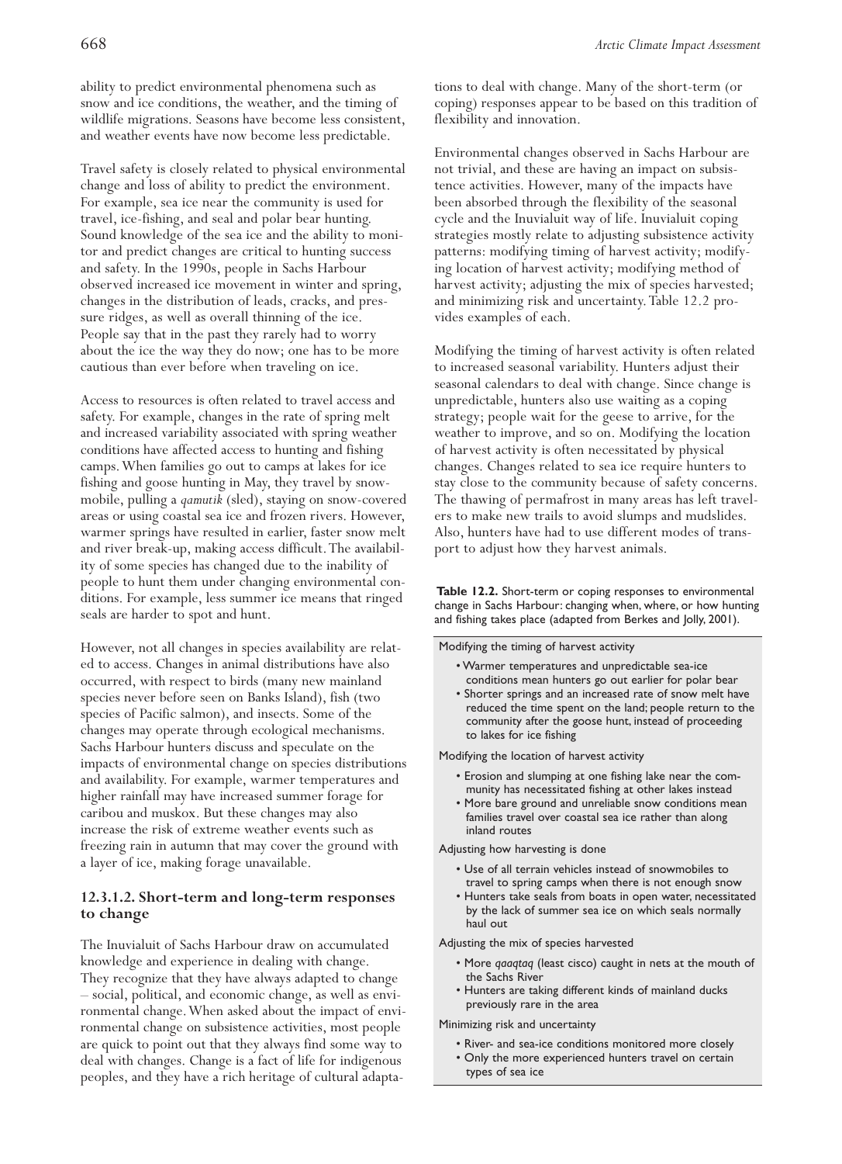ability to predict environmental phenomena such as snow and ice conditions, the weather, and the timing of wildlife migrations. Seasons have become less consistent, and weather events have now become less predictable.

Travel safety is closely related to physical environmental change and loss of ability to predict the environment. For example, sea ice near the community is used for travel, ice-fishing, and seal and polar bear hunting. Sound knowledge of the sea ice and the ability to monitor and predict changes are critical to hunting success and safety. In the 1990s, people in Sachs Harbour observed increased ice movement in winter and spring, changes in the distribution of leads, cracks, and pressure ridges, as well as overall thinning of the ice. People say that in the past they rarely had to worry about the ice the way they do now; one has to be more cautious than ever before when traveling on ice.

Access to resources is often related to travel access and safety. For example, changes in the rate of spring melt and increased variability associated with spring weather conditions have affected access to hunting and fishing camps.When families go out to camps at lakes for ice fishing and goose hunting in May, they travel by snowmobile, pulling a *qamutik* (sled), staying on snow-covered areas or using coastal sea ice and frozen rivers. However, warmer springs have resulted in earlier, faster snow melt and river break-up, making access difficult.The availability of some species has changed due to the inability of people to hunt them under changing environmental conditions. For example, less summer ice means that ringed seals are harder to spot and hunt.

However, not all changes in species availability are related to access. Changes in animal distributions have also occurred, with respect to birds (many new mainland species never before seen on Banks Island), fish (two species of Pacific salmon), and insects. Some of the changes may operate through ecological mechanisms. Sachs Harbour hunters discuss and speculate on the impacts of environmental change on species distributions and availability. For example, warmer temperatures and higher rainfall may have increased summer forage for caribou and muskox. But these changes may also increase the risk of extreme weather events such as freezing rain in autumn that may cover the ground with a layer of ice, making forage unavailable.

#### **12.3.1.2. Short-term and long-term responses to change**

The Inuvialuit of Sachs Harbour draw on accumulated knowledge and experience in dealing with change. They recognize that they have always adapted to change – social, political, and economic change, as well as environmental change.When asked about the impact of environmental change on subsistence activities, most people are quick to point out that they always find some way to deal with changes. Change is a fact of life for indigenous peoples, and they have a rich heritage of cultural adapta<span id="page-19-0"></span>tions to deal with change. Many of the short-term (or coping) responses appear to be based on this tradition of flexibility and innovation.

Environmental changes observed in Sachs Harbour are not trivial, and these are having an impact on subsistence activities. However, many of the impacts have been absorbed through the flexibility of the seasonal cycle and the Inuvialuit way of life. Inuvialuit coping strategies mostly relate to adjusting subsistence activity patterns: modifying timing of harvest activity; modifying location of harvest activity; modifying method of harvest activity; adjusting the mix of species harvested; and minimizing risk and uncertainty.Table 12.2 provides examples of each.

Modifying the timing of harvest activity is often related to increased seasonal variability. Hunters adjust their seasonal calendars to deal with change. Since change is unpredictable, hunters also use waiting as a coping strategy; people wait for the geese to arrive, for the weather to improve, and so on. Modifying the location of harvest activity is often necessitated by physical changes. Changes related to sea ice require hunters to stay close to the community because of safety concerns. The thawing of permafrost in many areas has left travelers to make new trails to avoid slumps and mudslides. Also, hunters have had to use different modes of transport to adjust how they harvest animals.

**Table 12.2.** Short-term or coping responses to environmental change in Sachs Harbour: changing when, where, or how hunting and fishing takes place (adapted from Berkes and Jolly, 2001).

Modifying the timing of harvest activity

- Warmer temperatures and unpredictable sea-ice conditions mean hunters go out earlier for polar bear
- Shorter springs and an increased rate of snow melt have reduced the time spent on the land; people return to the community after the goose hunt, instead of proceeding to lakes for ice fishing

Modifying the location of harvest activity

- Erosion and slumping at one fishing lake near the community has necessitated fishing at other lakes instead
- More bare ground and unreliable snow conditions mean families travel over coastal sea ice rather than along inland routes

Adjusting how harvesting is done

- Use of all terrain vehicles instead of snowmobiles to travel to spring camps when there is not enough snow
- Hunters take seals from boats in open water, necessitated by the lack of summer sea ice on which seals normally haul out

Adjusting the mix of species harvested

- More *qaaqtaq* (least cisco) caught in nets at the mouth of the Sachs River
- Hunters are taking different kinds of mainland ducks previously rare in the area

Minimizing risk and uncertainty

• River- and sea-ice conditions monitored more closely • Only the more experienced hunters travel on certain types of sea ice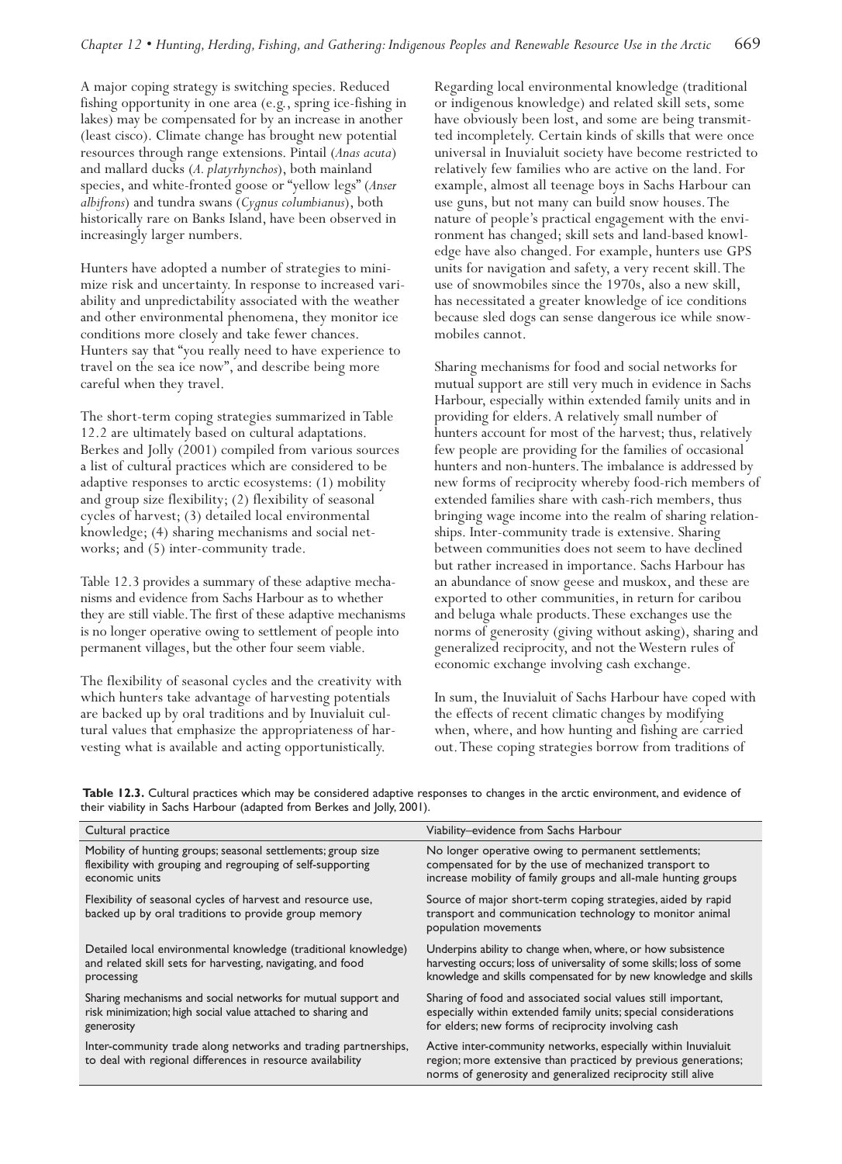A major coping strategy is switching species. Reduced fishing opportunity in one area (e.g., spring ice-fishing in lakes) may be compensated for by an increase in another (least cisco). Climate change has brought new potential resources through range extensions. Pintail (*Anas acuta*) and mallard ducks (*A. platyrhynchos*), both mainland species, and white-fronted goose or "yellow legs" (*Anser albifrons*) and tundra swans (*Cygnus columbianus*), both historically rare on Banks Island, have been observed in increasingly larger numbers.

Hunters have adopted a number of strategies to minimize risk and uncertainty. In response to increased variability and unpredictability associated with the weather and other environmental phenomena, they monitor ice conditions more closely and take fewer chances. Hunters say that "you really need to have experience to travel on the sea ice now", and describe being more careful when they travel.

The short-term coping strategies summarized in Table 12.2 are ultimately based on cultural adaptations. Berkes and Jolly (2001) compiled from various sources a list of cultural practices which are considered to be adaptive responses to arctic ecosystems: (1) mobility and group size flexibility; (2) flexibility of seasonal cycles of harvest; (3) detailed local environmental knowledge; (4) sharing mechanisms and social networks; and (5) inter-community trade.

Table 12.3 provides a summary of these adaptive mechanisms and evidence from Sachs Harbour as to whether they are still viable.The first of these adaptive mechanisms is no longer operative owing to settlement of people into permanent villages, but the other four seem viable.

The flexibility of seasonal cycles and the creativity with which hunters take advantage of harvesting potentials are backed up by oral traditions and by Inuvialuit cultural values that emphasize the appropriateness of harvesting what is available and acting opportunistically.

Regarding local environmental knowledge (traditional or indigenous knowledge) and related skill sets, some have obviously been lost, and some are being transmitted incompletely. Certain kinds of skills that were once universal in Inuvialuit society have become restricted to relatively few families who are active on the land. For example, almost all teenage boys in Sachs Harbour can use guns, but not many can build snow houses.The nature of people's practical engagement with the environment has changed; skill sets and land-based knowledge have also changed. For example, hunters use GPS units for navigation and safety, a very recent skill.The use of snowmobiles since the 1970s, also a new skill, has necessitated a greater knowledge of ice conditions because sled dogs can sense dangerous ice while snowmobiles cannot.

Sharing mechanisms for food and social networks for mutual support are still very much in evidence in Sachs Harbour, especially within extended family units and in providing for elders. A relatively small number of hunters account for most of the harvest; thus, relatively few people are providing for the families of occasional hunters and non-hunters.The imbalance is addressed by new forms of reciprocity whereby food-rich members of extended families share with cash-rich members, thus bringing wage income into the realm of sharing relationships. Inter-community trade is extensive. Sharing between communities does not seem to have declined but rather increased in importance. Sachs Harbour has an abundance of snow geese and muskox, and these are exported to other communities, in return for caribou and beluga whale products.These exchanges use the norms of generosity (giving without asking), sharing and generalized reciprocity, and not the Western rules of economic exchange involving cash exchange.

In sum, the Inuvialuit of Sachs Harbour have coped with the effects of recent climatic changes by modifying when, where, and how hunting and fishing are carried out.These coping strategies borrow from traditions of

**Table 12.3.** Cultural practices which may be considered adaptive responses to changes in the arctic environment, and evidence of their viability in Sachs Harbour (adapted from Berkes and Jolly, 2001).

| Cultural practice                                                                                                                             | Viability-evidence from Sachs Harbour                                                                                                                                                                   |
|-----------------------------------------------------------------------------------------------------------------------------------------------|---------------------------------------------------------------------------------------------------------------------------------------------------------------------------------------------------------|
| Mobility of hunting groups; seasonal settlements; group size<br>flexibility with grouping and regrouping of self-supporting<br>economic units | No longer operative owing to permanent settlements;<br>compensated for by the use of mechanized transport to<br>increase mobility of family groups and all-male hunting groups                          |
| Flexibility of seasonal cycles of harvest and resource use,<br>backed up by oral traditions to provide group memory                           | Source of major short-term coping strategies, aided by rapid<br>transport and communication technology to monitor animal<br>population movements                                                        |
| Detailed local environmental knowledge (traditional knowledge)<br>and related skill sets for harvesting, navigating, and food<br>processing   | Underpins ability to change when, where, or how subsistence<br>harvesting occurs; loss of universality of some skills; loss of some<br>knowledge and skills compensated for by new knowledge and skills |
| Sharing mechanisms and social networks for mutual support and<br>risk minimization; high social value attached to sharing and<br>generosity   | Sharing of food and associated social values still important,<br>especially within extended family units; special considerations<br>for elders; new forms of reciprocity involving cash                 |
| Inter-community trade along networks and trading partnerships,<br>to deal with regional differences in resource availability                  | Active inter-community networks, especially within Inuvialuit<br>region; more extensive than practiced by previous generations;<br>norms of generosity and generalized reciprocity still alive          |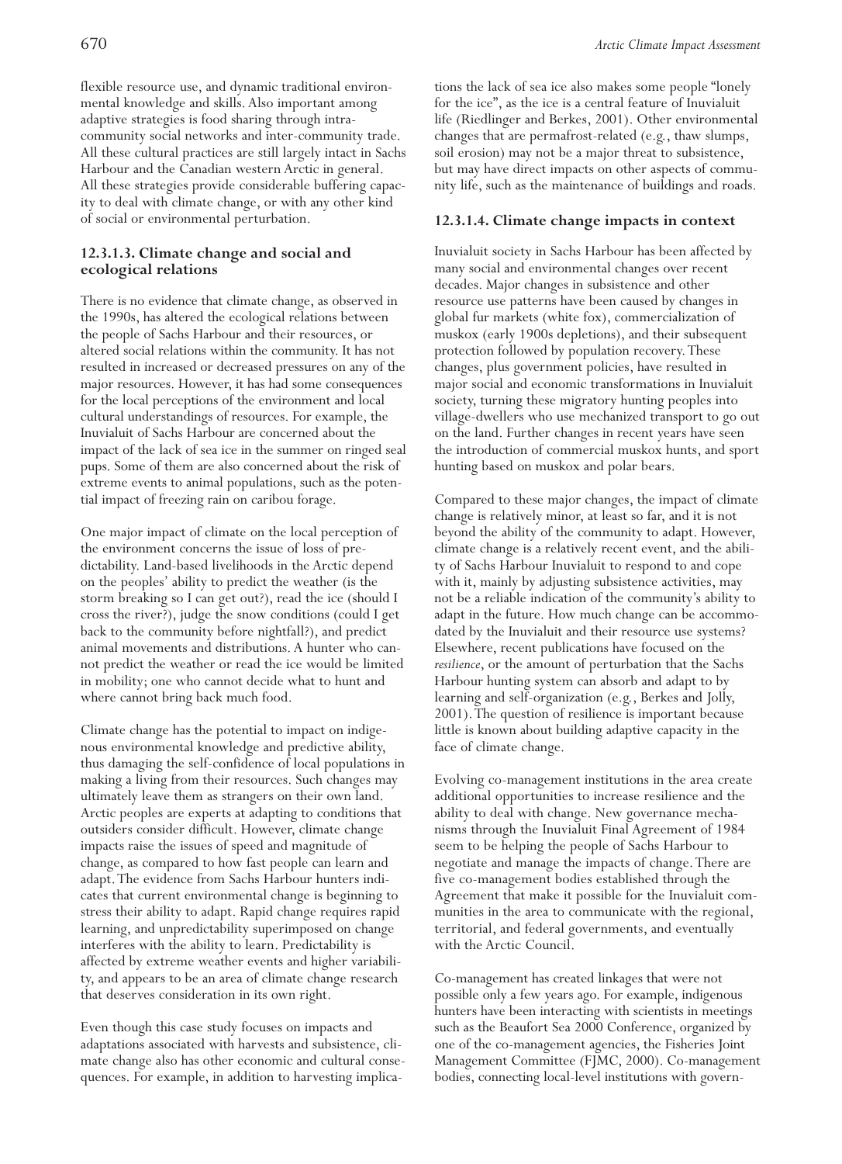flexible resource use, and dynamic traditional environmental knowledge and skills. Also important among adaptive strategies is food sharing through intracommunity social networks and inter-community trade. All these cultural practices are still largely intact in Sachs Harbour and the Canadian western Arctic in general. All these strategies provide considerable buffering capacity to deal with climate change, or with any other kind of social or environmental perturbation.

# **12.3.1.3. Climate change and social and ecological relations**

There is no evidence that climate change, as observed in the 1990s, has altered the ecological relations between the people of Sachs Harbour and their resources, or altered social relations within the community. It has not resulted in increased or decreased pressures on any of the major resources. However, it has had some consequences for the local perceptions of the environment and local cultural understandings of resources. For example, the Inuvialuit of Sachs Harbour are concerned about the impact of the lack of sea ice in the summer on ringed seal pups. Some of them are also concerned about the risk of extreme events to animal populations, such as the potential impact of freezing rain on caribou forage.

One major impact of climate on the local perception of the environment concerns the issue of loss of predictability. Land-based livelihoods in the Arctic depend on the peoples' ability to predict the weather (is the storm breaking so I can get out?), read the ice (should I cross the river?), judge the snow conditions (could I get back to the community before nightfall?), and predict animal movements and distributions. A hunter who cannot predict the weather or read the ice would be limited in mobility; one who cannot decide what to hunt and where cannot bring back much food.

Climate change has the potential to impact on indigenous environmental knowledge and predictive ability, thus damaging the self-confidence of local populations in making a living from their resources. Such changes may ultimately leave them as strangers on their own land. Arctic peoples are experts at adapting to conditions that outsiders consider difficult. However, climate change impacts raise the issues of speed and magnitude of change, as compared to how fast people can learn and adapt.The evidence from Sachs Harbour hunters indicates that current environmental change is beginning to stress their ability to adapt. Rapid change requires rapid learning, and unpredictability superimposed on change interferes with the ability to learn. Predictability is affected by extreme weather events and higher variability, and appears to be an area of climate change research that deserves consideration in its own right.

Even though this case study focuses on impacts and adaptations associated with harvests and subsistence, climate change also has other economic and cultural consequences. For example, in addition to harvesting implica<span id="page-21-0"></span>tions the lack of sea ice also makes some people "lonely for the ice", as the ice is a central feature of Inuvialuit life (Riedlinger and Berkes, 2001). Other environmental changes that are permafrost-related (e.g., thaw slumps, soil erosion) may not be a major threat to subsistence, but may have direct impacts on other aspects of community life, such as the maintenance of buildings and roads.

# **12.3.1.4. Climate change impacts in context**

Inuvialuit society in Sachs Harbour has been affected by many social and environmental changes over recent decades. Major changes in subsistence and other resource use patterns have been caused by changes in global fur markets (white fox), commercialization of muskox (early 1900s depletions), and their subsequent protection followed by population recovery.These changes, plus government policies, have resulted in major social and economic transformations in Inuvialuit society, turning these migratory hunting peoples into village-dwellers who use mechanized transport to go out on the land. Further changes in recent years have seen the introduction of commercial muskox hunts, and sport hunting based on muskox and polar bears.

Compared to these major changes, the impact of climate change is relatively minor, at least so far, and it is not beyond the ability of the community to adapt. However, climate change is a relatively recent event, and the ability of Sachs Harbour Inuvialuit to respond to and cope with it, mainly by adjusting subsistence activities, may not be a reliable indication of the community's ability to adapt in the future. How much change can be accommodated by the Inuvialuit and their resource use systems? Elsewhere, recent publications have focused on the *resilience*, or the amount of perturbation that the Sachs Harbour hunting system can absorb and adapt to by learning and self-organization (e.g., Berkes and Jolly, 2001).The question of resilience is important because little is known about building adaptive capacity in the face of climate change.

Evolving co-management institutions in the area create additional opportunities to increase resilience and the ability to deal with change. New governance mechanisms through the Inuvialuit Final Agreement of 1984 seem to be helping the people of Sachs Harbour to negotiate and manage the impacts of change.There are five co-management bodies established through the Agreement that make it possible for the Inuvialuit communities in the area to communicate with the regional, territorial, and federal governments, and eventually with the Arctic Council.

Co-management has created linkages that were not possible only a few years ago. For example, indigenous hunters have been interacting with scientists in meetings such as the Beaufort Sea 2000 Conference, organized by one of the co-management agencies, the Fisheries Joint Management Committee (FJMC, 2000). Co-management bodies, connecting local-level institutions with govern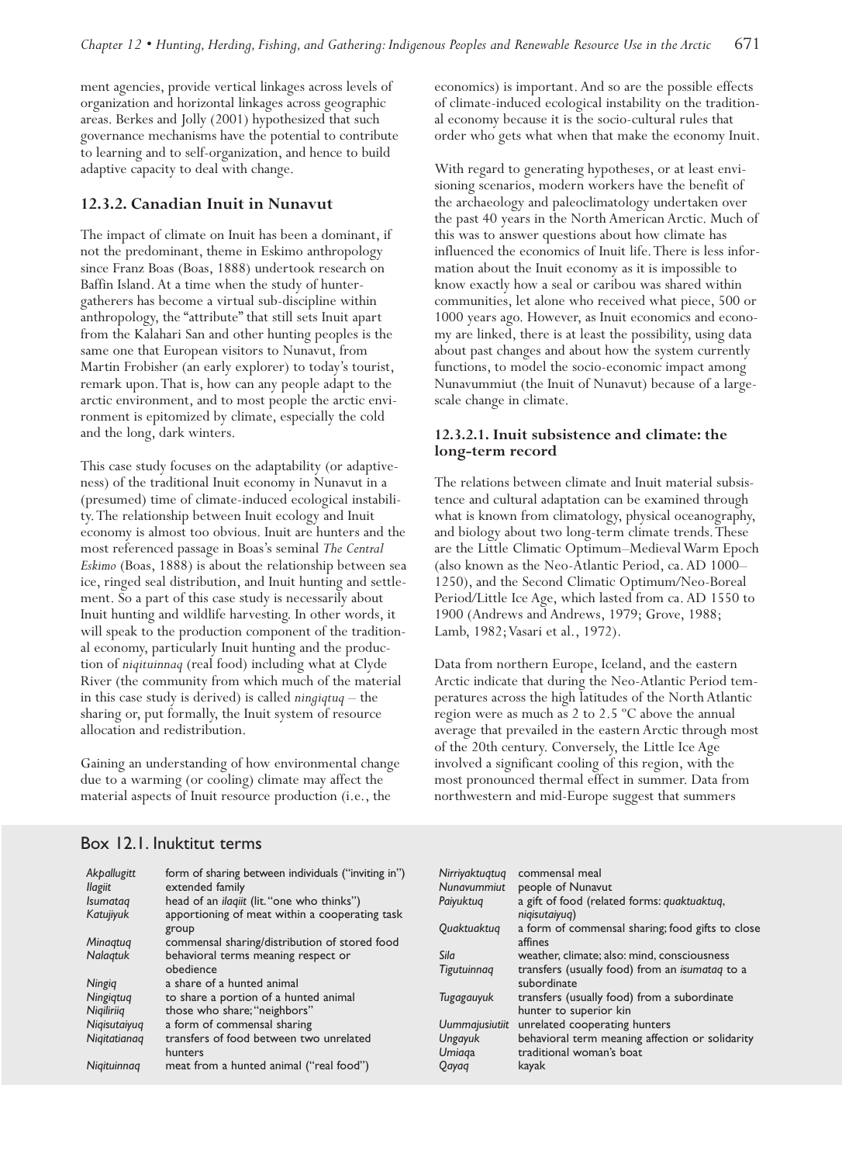ment agencies, provide vertical linkages across levels of organization and horizontal linkages across geographic areas. Berkes and Jolly (2001) hypothesized that such governance mechanisms have the potential to contribute to learning and to self-organization, and hence to build adaptive capacity to deal with change.

# **12.3.2. Canadian Inuit in Nunavut**

The impact of climate on Inuit has been a dominant, if not the predominant, theme in Eskimo anthropology since Franz Boas (Boas, 1888) undertook research on Baffin Island. At a time when the study of huntergatherers has become a virtual sub-discipline within anthropology, the "attribute" that still sets Inuit apart from the Kalahari San and other hunting peoples is the same one that European visitors to Nunavut, from Martin Frobisher (an early explorer) to today's tourist, remark upon.That is, how can any people adapt to the arctic environment, and to most people the arctic environment is epitomized by climate, especially the cold and the long, dark winters.

This case study focuses on the adaptability (or adaptiveness) of the traditional Inuit economy in Nunavut in a (presumed) time of climate-induced ecological instability.The relationship between Inuit ecology and Inuit economy is almost too obvious. Inuit are hunters and the most referenced passage in Boas's seminal *The Central Eskimo* (Boas, 1888) is about the relationship between sea ice, ringed seal distribution, and Inuit hunting and settlement. So a part of this case study is necessarily about Inuit hunting and wildlife harvesting. In other words, it will speak to the production component of the traditional economy, particularly Inuit hunting and the production of *niqituinnaq* (real food) including what at Clyde River (the community from which much of the material in this case study is derived) is called *ningiqtuq* – the sharing or, put formally, the Inuit system of resource allocation and redistribution.

Gaining an understanding of how environmental change due to a warming (or cooling) climate may affect the material aspects of Inuit resource production (i.e., the

<span id="page-22-0"></span>economics) is important. And so are the possible effects of climate-induced ecological instability on the traditional economy because it is the socio-cultural rules that order who gets what when that make the economy Inuit.

With regard to generating hypotheses, or at least envisioning scenarios, modern workers have the benefit of the archaeology and paleoclimatology undertaken over the past 40 years in the North American Arctic. Much of this was to answer questions about how climate has influenced the economics of Inuit life.There is less information about the Inuit economy as it is impossible to know exactly how a seal or caribou was shared within communities, let alone who received what piece, 500 or 1000 years ago. However, as Inuit economics and economy are linked, there is at least the possibility, using data about past changes and about how the system currently functions, to model the socio-economic impact among Nunavummiut (the Inuit of Nunavut) because of a largescale change in climate.

### **12.3.2.1. Inuit subsistence and climate: the long-term record**

The relations between climate and Inuit material subsistence and cultural adaptation can be examined through what is known from climatology, physical oceanography, and biology about two long-term climate trends.These are the Little Climatic Optimum–Medieval Warm Epoch (also known as the Neo-Atlantic Period, ca. AD 1000– 1250), and the Second Climatic Optimum/Neo-Boreal Period/Little Ice Age, which lasted from ca. AD 1550 to 1900 (Andrews and Andrews, 1979; Grove, 1988; Lamb, 1982;Vasari et al., 1972).

Data from northern Europe, Iceland, and the eastern Arctic indicate that during the Neo-Atlantic Period temperatures across the high latitudes of the North Atlantic region were as much as 2 to 2.5 ºC above the annual average that prevailed in the eastern Arctic through most of the 20th century. Conversely, the Little Ice Age involved a significant cooling of this region, with the most pronounced thermal effect in summer. Data from northwestern and mid-Europe suggest that summers

| Akpallugitt<br><i><b>Hagiit</b></i><br><i>Isumatag</i><br>Katujiyuk | form of sharing between individuals ("inviting in")<br>extended family<br>head of an <i>ilaqiit</i> (lit. "one who thinks")<br>apportioning of meat within a cooperating task | Nirriyaktuqtuq<br>Nunavummiut<br>Paiyuktug | commensal meal<br>people of Nunavut<br>a gift of food (related forms: quaktuaktuq,<br>nigisutaiyug) |
|---------------------------------------------------------------------|-------------------------------------------------------------------------------------------------------------------------------------------------------------------------------|--------------------------------------------|-----------------------------------------------------------------------------------------------------|
|                                                                     | group                                                                                                                                                                         | Quaktuaktug                                | a form of commensal sharing; food gifts to close                                                    |
| Minagtug                                                            | commensal sharing/distribution of stored food                                                                                                                                 |                                            | affines                                                                                             |
| Nalagtuk                                                            | behavioral terms meaning respect or                                                                                                                                           | Sila                                       | weather, climate; also: mind, consciousness                                                         |
|                                                                     | obedience                                                                                                                                                                     | Tigutuinnag                                | transfers (usually food) from an isumataq to a                                                      |
| Ningiq                                                              | a share of a hunted animal                                                                                                                                                    |                                            | subordinate                                                                                         |
| Ningiqtuq                                                           | to share a portion of a hunted animal                                                                                                                                         | Tugagauyuk                                 | transfers (usually food) from a subordinate                                                         |
| Nigiliriig                                                          | those who share; "neighbors"                                                                                                                                                  |                                            | hunter to superior kin                                                                              |
| Nigisutaiyug                                                        | a form of commensal sharing                                                                                                                                                   | <b>Uummajusiutiit</b>                      | unrelated cooperating hunters                                                                       |
| Nigitatianag                                                        | transfers of food between two unrelated<br>hunters                                                                                                                            | Ungayuk<br>Umiaga                          | behavioral term meaning affection or solidarity<br>traditional woman's boat                         |
| Nigituinnag                                                         | meat from a hunted animal ("real food")                                                                                                                                       | Qayaq                                      | kayak                                                                                               |

### Box 12.1. Inuktitut terms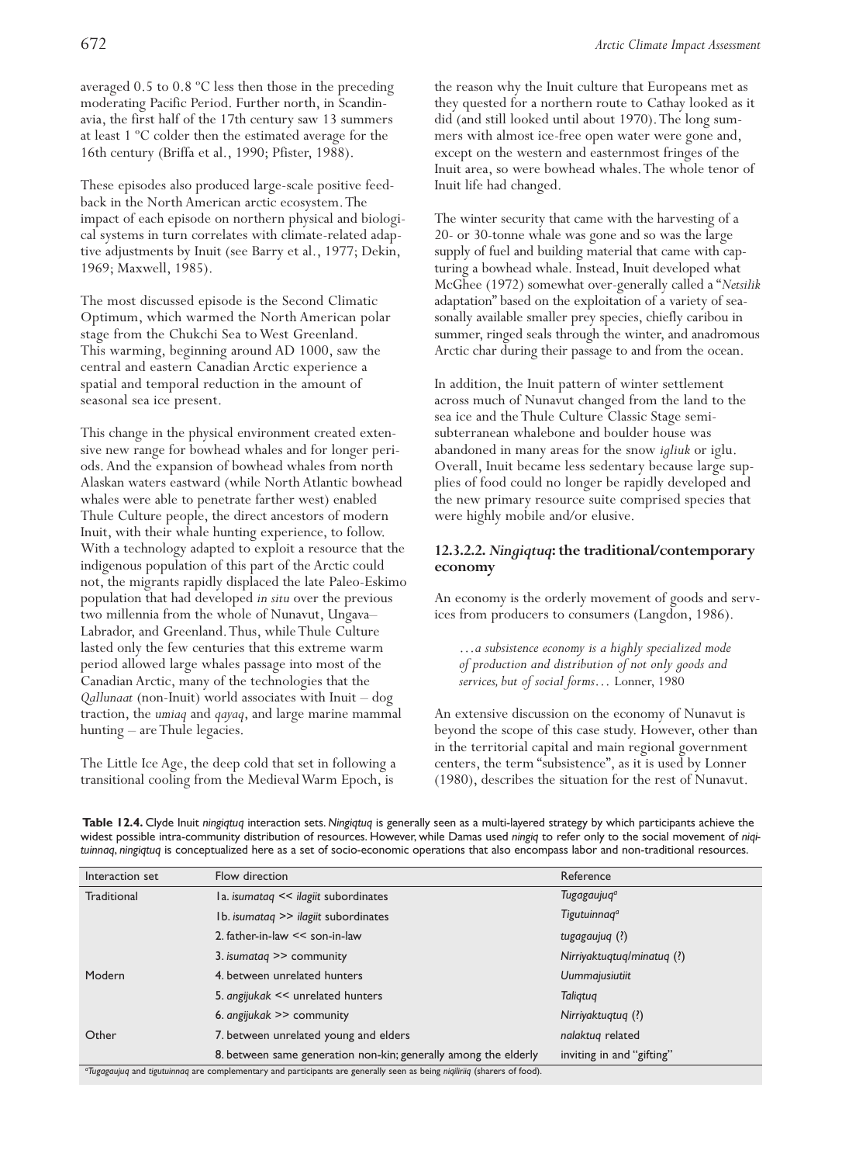averaged 0.5 to 0.8 ºC less then those in the preceding moderating Pacific Period. Further north, in Scandinavia, the first half of the 17th century saw 13 summers at least 1 ºC colder then the estimated average for the 16th century (Briffa et al., 1990; Pfister, 1988).

These episodes also produced large-scale positive feedback in the North American arctic ecosystem.The impact of each episode on northern physical and biological systems in turn correlates with climate-related adaptive adjustments by Inuit (see Barry et al., 1977; Dekin, 1969; Maxwell, 1985).

The most discussed episode is the Second Climatic Optimum, which warmed the North American polar stage from the Chukchi Sea to West Greenland. This warming, beginning around AD 1000, saw the central and eastern Canadian Arctic experience a spatial and temporal reduction in the amount of seasonal sea ice present.

This change in the physical environment created extensive new range for bowhead whales and for longer periods. And the expansion of bowhead whales from north Alaskan waters eastward (while North Atlantic bowhead whales were able to penetrate farther west) enabled Thule Culture people, the direct ancestors of modern Inuit, with their whale hunting experience, to follow. With a technology adapted to exploit a resource that the indigenous population of this part of the Arctic could not, the migrants rapidly displaced the late Paleo-Eskimo population that had developed *in situ* over the previous two millennia from the whole of Nunavut, Ungava– Labrador, and Greenland.Thus, while Thule Culture lasted only the few centuries that this extreme warm period allowed large whales passage into most of the Canadian Arctic, many of the technologies that the *Qallunaat* (non-Inuit) world associates with Inuit – dog traction, the *umiaq* and *qayaq*, and large marine mammal hunting – are Thule legacies.

The Little Ice Age, the deep cold that set in following a transitional cooling from the Medieval Warm Epoch, is

<span id="page-23-0"></span>the reason why the Inuit culture that Europeans met as they quested for a northern route to Cathay looked as it did (and still looked until about 1970).The long summers with almost ice-free open water were gone and, except on the western and easternmost fringes of the Inuit area, so were bowhead whales.The whole tenor of Inuit life had changed.

The winter security that came with the harvesting of a 20- or 30-tonne whale was gone and so was the large supply of fuel and building material that came with capturing a bowhead whale. Instead, Inuit developed what McGhee (1972) somewhat over-generally called a "*Netsilik* adaptation" based on the exploitation of a variety of seasonally available smaller prey species, chiefly caribou in summer, ringed seals through the winter, and anadromous Arctic char during their passage to and from the ocean.

In addition, the Inuit pattern of winter settlement across much of Nunavut changed from the land to the sea ice and the Thule Culture Classic Stage semisubterranean whalebone and boulder house was abandoned in many areas for the snow *igliuk* or iglu. Overall, Inuit became less sedentary because large supplies of food could no longer be rapidly developed and the new primary resource suite comprised species that were highly mobile and/or elusive.

#### **12.3.2.2.***Ningiqtuq***:the traditional/contemporary economy**

An economy is the orderly movement of goods and services from producers to consumers (Langdon, 1986).

*…a subsistence economy is a highly specialized mode of production and distribution of not only goods and services, but of social forms…* Lonner, 1980

An extensive discussion on the economy of Nunavut is beyond the scope of this case study. However, other than in the territorial capital and main regional government centers, the term "subsistence", as it is used by Lonner (1980), describes the situation for the rest of Nunavut.

**Table 12.4.** Clyde Inuit *ningiqtuq* interaction sets. *Ningiqtuq* is generally seen as a multi-layered strategy by which participants achieve the widest possible intra-community distribution of resources. However, while Damas used *ningiq* to refer only to the social movement of *niqituinnaq*, *ningiqtuq* is conceptualized here as a set of socio-economic operations that also encompass labor and non-traditional resources.

| Flow direction                                                  | Reference                  |
|-----------------------------------------------------------------|----------------------------|
| la. isumatag << ilagiit subordinates                            | Tugagaujuq <sup>a</sup>    |
| $1b.$ isumatag $\geq$ ilagiit subordinates                      | Tigutuinnaq <sup>a</sup>   |
| 2. father-in-law << son-in-law                                  | tugagaujuq (?)             |
| 3. isumatag $\geq$ community                                    | Nirriyaktuqtuq/minatuq (?) |
| 4. between unrelated hunters                                    | <b>Uummajusiutiit</b>      |
| 5. angijukak << unrelated hunters                               | Taligtug                   |
| 6. angijukak $\geq$ community                                   | Nirriyaktuqtuq (?)         |
| 7. between unrelated young and elders                           | nalaktug related           |
| 8. between same generation non-kin; generally among the elderly | inviting in and "gifting"  |
|                                                                 |                            |

*aTugagaujuq* and *tigutuinnaq* are complementary and participants are generally seen as being *niqiliriiq* (sharers of food).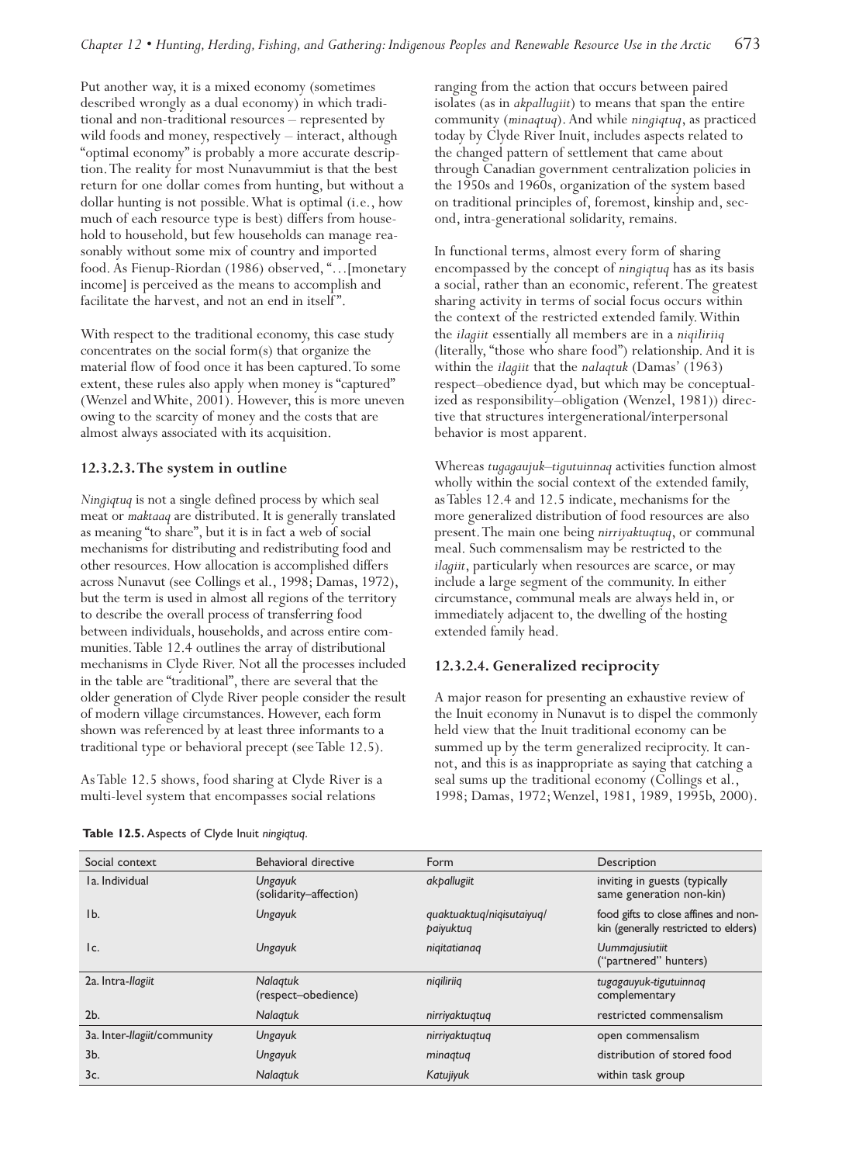Put another way, it is a mixed economy (sometimes described wrongly as a dual economy) in which traditional and non-traditional resources – represented by wild foods and money, respectively – interact, although "optimal economy" is probably a more accurate description.The reality for most Nunavummiut is that the best return for one dollar comes from hunting, but without a dollar hunting is not possible.What is optimal (i.e., how much of each resource type is best) differs from household to household, but few households can manage reasonably without some mix of country and imported food. As Fienup-Riordan (1986) observed, "…[monetary income] is perceived as the means to accomplish and facilitate the harvest, and not an end in itself ".

With respect to the traditional economy, this case study concentrates on the social form(s) that organize the material flow of food once it has been captured.To some extent, these rules also apply when money is "captured" (Wenzel and White, 2001). However, this is more uneven owing to the scarcity of money and the costs that are almost always associated with its acquisition.

# **12.3.2.3.The system in outline**

*Ningiqtuq* is not a single defined process by which seal meat or *maktaaq* are distributed. It is generally translated as meaning "to share", but it is in fact a web of social mechanisms for distributing and redistributing food and other resources. How allocation is accomplished differs across Nunavut (see Collings et al., 1998; Damas, 1972), but the term is used in almost all regions of the territory to describe the overall process of transferring food between individuals, households, and across entire communities.Table 12.4 outlines the array of distributional mechanisms in Clyde River. Not all the processes included in the table are "traditional", there are several that the older generation of Clyde River people consider the result of modern village circumstances. However, each form shown was referenced by at least three informants to a traditional type or behavioral precept (see Table 12.5).

As Table 12.5 shows, food sharing at Clyde River is a multi-level system that encompasses social relations

<span id="page-24-0"></span>ranging from the action that occurs between paired isolates (as in *akpallugiit*) to means that span the entire community (*minaqtuq*). And while *ningiqtuq*, as practiced today by Clyde River Inuit, includes aspects related to the changed pattern of settlement that came about through Canadian government centralization policies in the 1950s and 1960s, organization of the system based on traditional principles of, foremost, kinship and, second, intra-generational solidarity, remains.

In functional terms, almost every form of sharing encompassed by the concept of *ningiqtuq* has as its basis a social, rather than an economic, referent.The greatest sharing activity in terms of social focus occurs within the context of the restricted extended family.Within the *ilagiit* essentially all members are in a *niqiliriiq* (literally, "those who share food") relationship. And it is within the *ilagiit* that the *nalaqtuk* (Damas' (1963) respect–obedience dyad, but which may be conceptualized as responsibility–obligation (Wenzel, 1981)) directive that structures intergenerational/interpersonal behavior is most apparent.

Whereas *tugagaujuk–tigutuinnaq* activities function almost wholly within the social context of the extended family, as Tables 12.4 and 12.5 indicate, mechanisms for the more generalized distribution of food resources are also present.The main one being *nirriyaktuqtuq*, or communal meal. Such commensalism may be restricted to the *ilagiit*, particularly when resources are scarce, or may include a large segment of the community. In either circumstance, communal meals are always held in, or immediately adjacent to, the dwelling of the hosting extended family head.

# **12.3.2.4. Generalized reciprocity**

A major reason for presenting an exhaustive review of the Inuit economy in Nunavut is to dispel the commonly held view that the Inuit traditional economy can be summed up by the term generalized reciprocity. It cannot, and this is as inappropriate as saying that catching a seal sums up the traditional economy (Collings et al., 1998; Damas, 1972;Wenzel, 1981, 1989, 1995b, 2000).

| Social context              | Behavioral directive              | Form                                   | Description                                                                  |
|-----------------------------|-----------------------------------|----------------------------------------|------------------------------------------------------------------------------|
| Ia. Individual              | Ungayuk<br>(solidarity-affection) | akpallugiit                            | inviting in guests (typically<br>same generation non-kin)                    |
| 1 <sub>b</sub>              | Ungayuk                           | quaktuaktuq/niqisutaiyuq/<br>paiyuktuq | food gifts to close affines and non-<br>kin (generally restricted to elders) |
| Ic.                         | Ungayuk                           | nigitatianag                           | <b>Uummajusiutiit</b><br>("partnered" hunters)                               |
| 2a. Intra-Ilagiit           | Nalagtuk<br>(respect-obedience)   | niqiliriiq                             | tugagauyuk-tigutuinnaq<br>complementary                                      |
| 2 <sub>b</sub>              | Nalagtuk                          | nirriyaktuqtuq                         | restricted commensalism                                                      |
| 3a. Inter-Ilagiit/community | <b>Ungayuk</b>                    | nirriyaktuqtuq                         | open commensalism                                                            |
| 3 <sub>b</sub>              | Ungayuk                           | minagtug                               | distribution of stored food                                                  |
| 3c.                         | Nalagtuk                          | Katujiyuk                              | within task group                                                            |

**Table 12.5.** Aspects of Clyde Inuit *ningiqtuq*.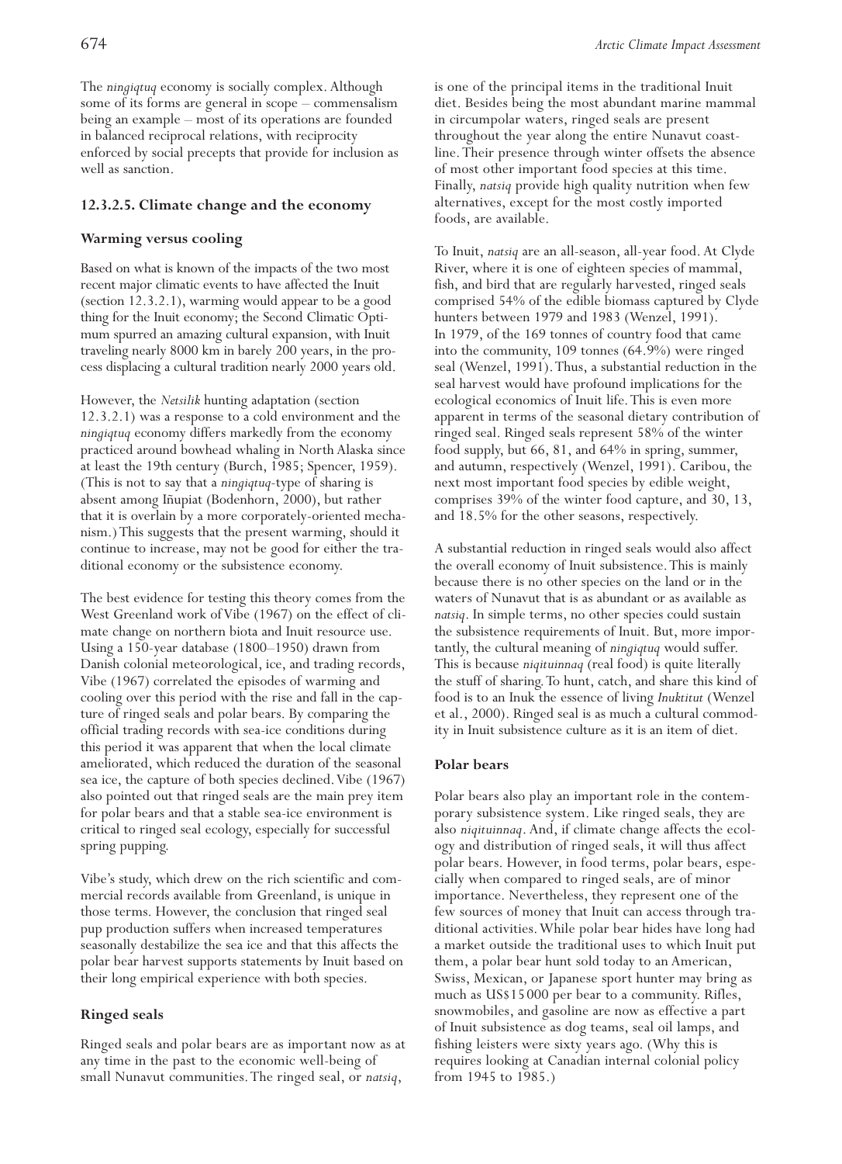The *ningiqtuq* economy is socially complex. Although some of its forms are general in scope – commensalism being an example – most of its operations are founded in balanced reciprocal relations, with reciprocity enforced by social precepts that provide for inclusion as well as sanction.

# **12.3.2.5. Climate change and the economy**

# **Warming versus cooling**

Based on what is known of the impacts of the two most recent major climatic events to have affected the Inuit (section 12.3.2.1), warming would appear to be a good thing for the Inuit economy; the Second Climatic Optimum spurred an amazing cultural expansion, with Inuit traveling nearly 8000 km in barely 200 years, in the process displacing a cultural tradition nearly 2000 years old.

However, the *Netsilik* hunting adaptation (section 12.3.2.1) was a response to a cold environment and the *ningiqtuq* economy differs markedly from the economy practiced around bowhead whaling in North Alaska since at least the 19th century (Burch, 1985; Spencer, 1959). (This is not to say that a *ningiqtuq*-type of sharing is absent among Iñupiat (Bodenhorn, 2000), but rather that it is overlain by a more corporately-oriented mechanism.) This suggests that the present warming, should it continue to increase, may not be good for either the traditional economy or the subsistence economy.

The best evidence for testing this theory comes from the West Greenland work of Vibe (1967) on the effect of climate change on northern biota and Inuit resource use. Using a 150-year database (1800–1950) drawn from Danish colonial meteorological, ice, and trading records, Vibe (1967) correlated the episodes of warming and cooling over this period with the rise and fall in the capture of ringed seals and polar bears. By comparing the official trading records with sea-ice conditions during this period it was apparent that when the local climate ameliorated, which reduced the duration of the seasonal sea ice, the capture of both species declined.Vibe (1967) also pointed out that ringed seals are the main prey item for polar bears and that a stable sea-ice environment is critical to ringed seal ecology, especially for successful spring pupping.

Vibe's study, which drew on the rich scientific and commercial records available from Greenland, is unique in those terms. However, the conclusion that ringed seal pup production suffers when increased temperatures seasonally destabilize the sea ice and that this affects the polar bear harvest supports statements by Inuit based on their long empirical experience with both species.

# **Ringed seals**

Ringed seals and polar bears are as important now as at any time in the past to the economic well-being of small Nunavut communities.The ringed seal, or *natsiq*,

<span id="page-25-0"></span>is one of the principal items in the traditional Inuit diet. Besides being the most abundant marine mammal in circumpolar waters, ringed seals are present throughout the year along the entire Nunavut coastline.Their presence through winter offsets the absence of most other important food species at this time. Finally, *natsiq* provide high quality nutrition when few alternatives, except for the most costly imported foods, are available.

To Inuit, *natsiq* are an all-season, all-year food. At Clyde River, where it is one of eighteen species of mammal, fish, and bird that are regularly harvested, ringed seals comprised 54% of the edible biomass captured by Clyde hunters between 1979 and 1983 (Wenzel, 1991). In 1979, of the 169 tonnes of country food that came into the community, 109 tonnes (64.9%) were ringed seal (Wenzel, 1991).Thus, a substantial reduction in the seal harvest would have profound implications for the ecological economics of Inuit life.This is even more apparent in terms of the seasonal dietary contribution of ringed seal. Ringed seals represent 58% of the winter food supply, but 66, 81, and 64% in spring, summer, and autumn, respectively (Wenzel, 1991). Caribou, the next most important food species by edible weight, comprises 39% of the winter food capture, and 30, 13, and 18.5% for the other seasons, respectively.

A substantial reduction in ringed seals would also affect the overall economy of Inuit subsistence.This is mainly because there is no other species on the land or in the waters of Nunavut that is as abundant or as available as *natsiq*. In simple terms, no other species could sustain the subsistence requirements of Inuit. But, more importantly, the cultural meaning of *ningiqtuq* would suffer. This is because *niqituinnaq* (real food) is quite literally the stuff of sharing.To hunt, catch, and share this kind of food is to an Inuk the essence of living *Inuktitut* (Wenzel et al., 2000). Ringed seal is as much a cultural commodity in Inuit subsistence culture as it is an item of diet.

# **Polar bears**

Polar bears also play an important role in the contemporary subsistence system. Like ringed seals, they are also *niqituinnaq*.And, if climate change affects the ecology and distribution of ringed seals, it will thus affect polar bears. However, in food terms, polar bears, especially when compared to ringed seals, are of minor importance. Nevertheless, they represent one of the few sources of money that Inuit can access through traditional activities.While polar bear hides have long had a market outside the traditional uses to which Inuit put them, a polar bear hunt sold today to an American, Swiss, Mexican, or Japanese sport hunter may bring as much as US\$15000 per bear to a community. Rifles, snowmobiles, and gasoline are now as effective a part of Inuit subsistence as dog teams, seal oil lamps, and fishing leisters were sixty years ago. (Why this is requires looking at Canadian internal colonial policy from 1945 to 1985.)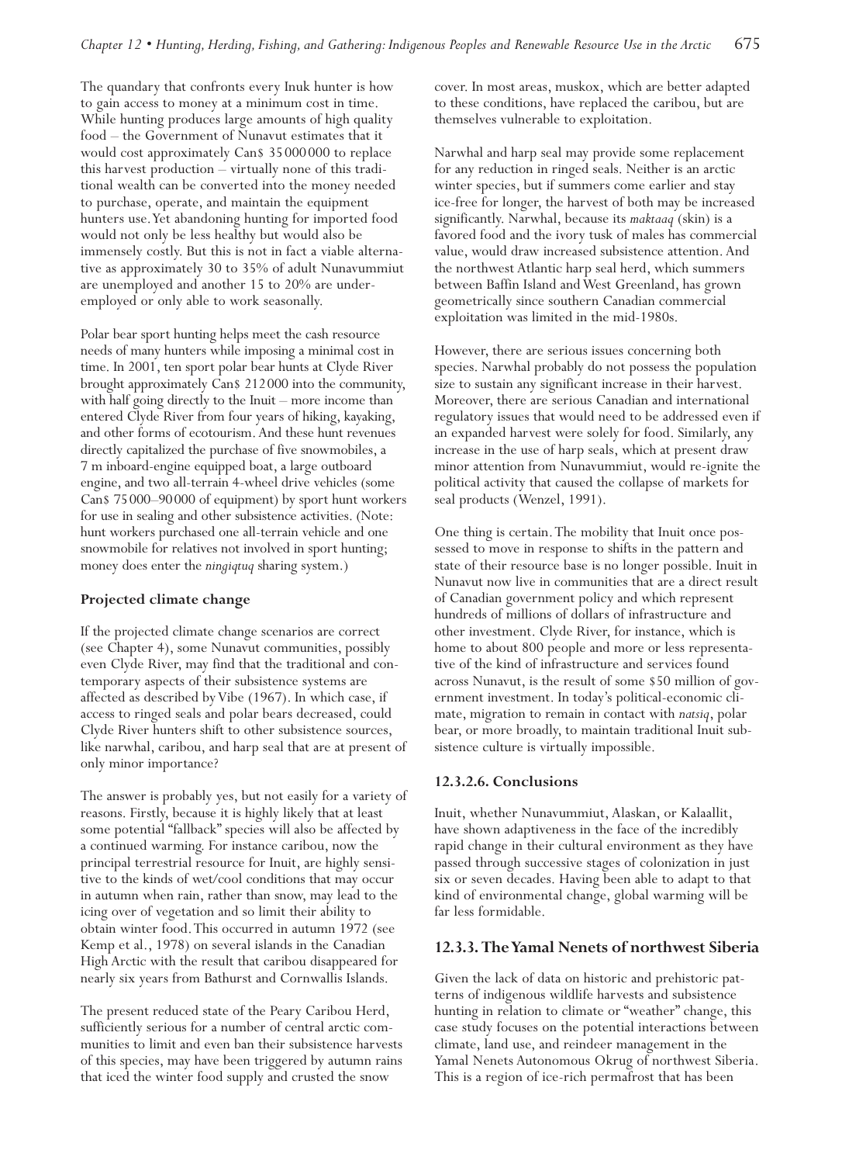The quandary that confronts every Inuk hunter is how to gain access to money at a minimum cost in time. While hunting produces large amounts of high quality food – the Government of Nunavut estimates that it would cost approximately Can\$ 35000000 to replace this harvest production – virtually none of this traditional wealth can be converted into the money needed to purchase, operate, and maintain the equipment hunters use.Yet abandoning hunting for imported food would not only be less healthy but would also be immensely costly. But this is not in fact a viable alternative as approximately 30 to 35% of adult Nunavummiut are unemployed and another 15 to 20% are underemployed or only able to work seasonally.

Polar bear sport hunting helps meet the cash resource needs of many hunters while imposing a minimal cost in time. In 2001, ten sport polar bear hunts at Clyde River brought approximately Can\$ 212000 into the community, with half going directly to the Inuit – more income than entered Clyde River from four years of hiking, kayaking, and other forms of ecotourism.And these hunt revenues directly capitalized the purchase of five snowmobiles, a 7 m inboard-engine equipped boat, a large outboard engine, and two all-terrain 4-wheel drive vehicles (some Can\$ 75000–90000 of equipment) by sport hunt workers for use in sealing and other subsistence activities. (Note: hunt workers purchased one all-terrain vehicle and one snowmobile for relatives not involved in sport hunting; money does enter the *ningiqtuq* sharing system.)

#### **Projected climate change**

If the projected climate change scenarios are correct (see Chapter 4), some Nunavut communities, possibly even Clyde River, may find that the traditional and contemporary aspects of their subsistence systems are affected as described byVibe (1967). In which case, if access to ringed seals and polar bears decreased, could Clyde River hunters shift to other subsistence sources, like narwhal, caribou, and harp seal that are at present of only minor importance?

The answer is probably yes, but not easily for a variety of reasons. Firstly, because it is highly likely that at least some potential "fallback" species will also be affected by a continued warming. For instance caribou, now the principal terrestrial resource for Inuit, are highly sensitive to the kinds of wet/cool conditions that may occur in autumn when rain, rather than snow, may lead to the icing over of vegetation and so limit their ability to obtain winter food.This occurred in autumn 1972 (see Kemp et al., 1978) on several islands in the Canadian High Arctic with the result that caribou disappeared for nearly six years from Bathurst and Cornwallis Islands.

The present reduced state of the Peary Caribou Herd, sufficiently serious for a number of central arctic communities to limit and even ban their subsistence harvests of this species, may have been triggered by autumn rains that iced the winter food supply and crusted the snow

<span id="page-26-0"></span>cover. In most areas, muskox, which are better adapted to these conditions, have replaced the caribou, but are themselves vulnerable to exploitation.

Narwhal and harp seal may provide some replacement for any reduction in ringed seals. Neither is an arctic winter species, but if summers come earlier and stay ice-free for longer, the harvest of both may be increased significantly. Narwhal, because its *maktaaq* (skin) is a favored food and the ivory tusk of males has commercial value, would draw increased subsistence attention. And the northwest Atlantic harp seal herd, which summers between Baffin Island and West Greenland, has grown geometrically since southern Canadian commercial exploitation was limited in the mid-1980s.

However, there are serious issues concerning both species. Narwhal probably do not possess the population size to sustain any significant increase in their harvest. Moreover, there are serious Canadian and international regulatory issues that would need to be addressed even if an expanded harvest were solely for food. Similarly, any increase in the use of harp seals, which at present draw minor attention from Nunavummiut, would re-ignite the political activity that caused the collapse of markets for seal products (Wenzel, 1991).

One thing is certain.The mobility that Inuit once possessed to move in response to shifts in the pattern and state of their resource base is no longer possible. Inuit in Nunavut now live in communities that are a direct result of Canadian government policy and which represent hundreds of millions of dollars of infrastructure and other investment. Clyde River, for instance, which is home to about 800 people and more or less representative of the kind of infrastructure and services found across Nunavut, is the result of some \$50 million of government investment. In today's political-economic climate, migration to remain in contact with *natsiq*, polar bear, or more broadly, to maintain traditional Inuit subsistence culture is virtually impossible.

#### **12.3.2.6. Conclusions**

Inuit, whether Nunavummiut, Alaskan, or Kalaallit, have shown adaptiveness in the face of the incredibly rapid change in their cultural environment as they have passed through successive stages of colonization in just six or seven decades. Having been able to adapt to that kind of environmental change, global warming will be far less formidable.

# **12.3.3. The Yamal Nenets of northwest Siberia**

Given the lack of data on historic and prehistoric patterns of indigenous wildlife harvests and subsistence hunting in relation to climate or "weather" change, this case study focuses on the potential interactions between climate, land use, and reindeer management in the Yamal Nenets Autonomous Okrug of northwest Siberia. This is a region of ice-rich permafrost that has been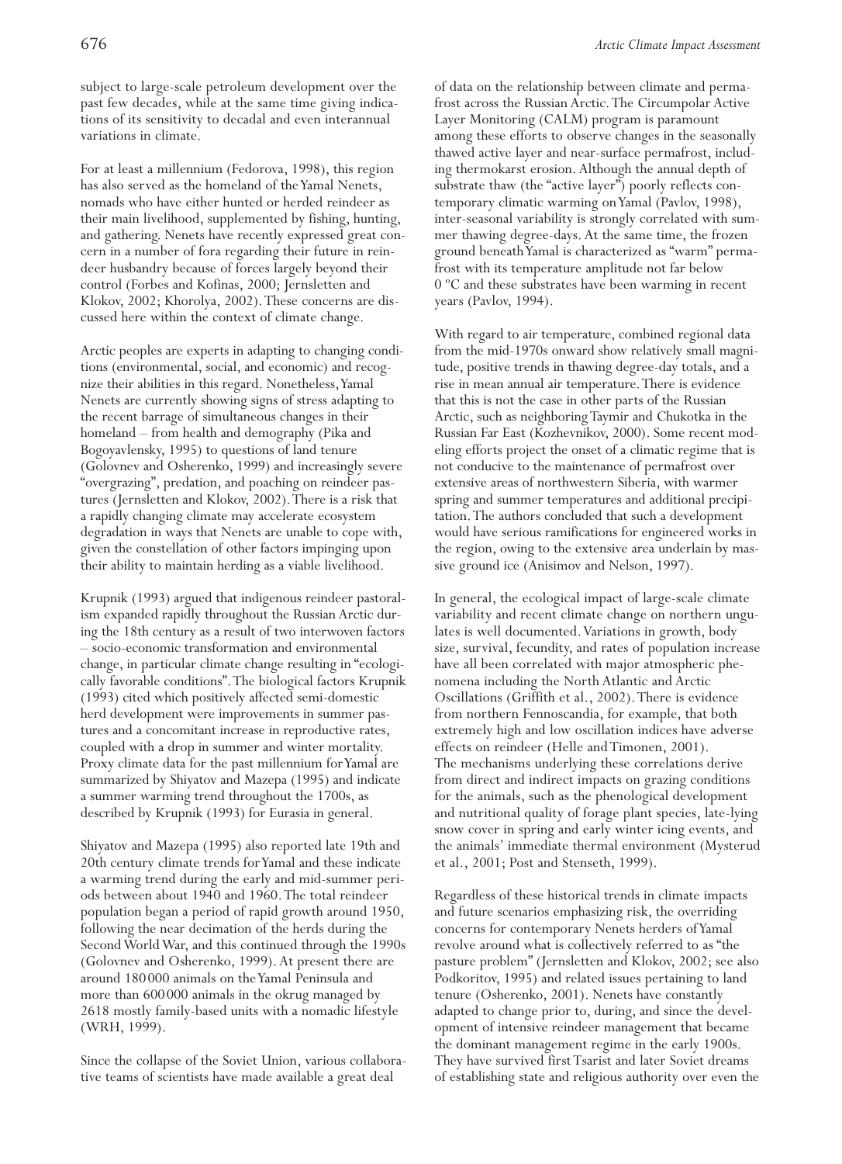subject to large-scale petroleum development over the past few decades, while at the same time giving indications of its sensitivity to decadal and even interannual variations in climate.

For at least a millennium (Fedorova, 1998), this region has also served as the homeland of the Yamal Nenets, nomads who have either hunted or herded reindeer as their main livelihood, supplemented by fishing, hunting, and gathering. Nenets have recently expressed great concern in a number of fora regarding their future in reindeer husbandry because of forces largely beyond their control (Forbes and Kofinas, 2000; Jernsletten and Klokov, 2002; Khorolya, 2002).These concerns are discussed here within the context of climate change.

Arctic peoples are experts in adapting to changing conditions (environmental, social, and economic) and recognize their abilities in this regard. Nonetheless,Yamal Nenets are currently showing signs of stress adapting to the recent barrage of simultaneous changes in their homeland – from health and demography (Pika and Bogoyavlensky, 1995) to questions of land tenure (Golovnev and Osherenko, 1999) and increasingly severe "overgrazing", predation, and poaching on reindeer pastures (Jernsletten and Klokov, 2002).There is a risk that a rapidly changing climate may accelerate ecosystem degradation in ways that Nenets are unable to cope with, given the constellation of other factors impinging upon their ability to maintain herding as a viable livelihood.

Krupnik (1993) argued that indigenous reindeer pastoralism expanded rapidly throughout the Russian Arctic during the 18th century as a result of two interwoven factors – socio-economic transformation and environmental change, in particular climate change resulting in "ecologically favorable conditions".The biological factors Krupnik (1993) cited which positively affected semi-domestic herd development were improvements in summer pastures and a concomitant increase in reproductive rates, coupled with a drop in summer and winter mortality. Proxy climate data for the past millennium for Yamal are summarized by Shiyatov and Mazepa (1995) and indicate a summer warming trend throughout the 1700s, as described by Krupnik (1993) for Eurasia in general.

Shiyatov and Mazepa (1995) also reported late 19th and 20th century climate trends for Yamal and these indicate a warming trend during the early and mid-summer periods between about 1940 and 1960.The total reindeer population began a period of rapid growth around 1950, following the near decimation of the herds during the Second World War, and this continued through the 1990s (Golovnev and Osherenko, 1999). At present there are around 180000 animals on the Yamal Peninsula and more than 600000 animals in the okrug managed by 2618 mostly family-based units with a nomadic lifestyle (WRH, 1999).

Since the collapse of the Soviet Union, various collaborative teams of scientists have made available a great deal

of data on the relationship between climate and permafrost across the Russian Arctic.The Circumpolar Active Layer Monitoring (CALM) program is paramount among these efforts to observe changes in the seasonally thawed active layer and near-surface permafrost, including thermokarst erosion. Although the annual depth of substrate thaw (the "active layer") poorly reflects contemporary climatic warming on Yamal (Pavlov, 1998), inter-seasonal variability is strongly correlated with summer thawing degree-days. At the same time, the frozen ground beneath Yamal is characterized as "warm" permafrost with its temperature amplitude not far below 0 ºC and these substrates have been warming in recent years (Pavlov, 1994).

With regard to air temperature, combined regional data from the mid-1970s onward show relatively small magnitude, positive trends in thawing degree-day totals, and a rise in mean annual air temperature.There is evidence that this is not the case in other parts of the Russian Arctic, such as neighboring Taymir and Chukotka in the Russian Far East (Kozhevnikov, 2000). Some recent modeling efforts project the onset of a climatic regime that is not conducive to the maintenance of permafrost over extensive areas of northwestern Siberia, with warmer spring and summer temperatures and additional precipitation.The authors concluded that such a development would have serious ramifications for engineered works in the region, owing to the extensive area underlain by massive ground ice (Anisimov and Nelson, 1997).

In general, the ecological impact of large-scale climate variability and recent climate change on northern ungulates is well documented.Variations in growth, body size, survival, fecundity, and rates of population increase have all been correlated with major atmospheric phenomena including the North Atlantic and Arctic Oscillations (Griffith et al., 2002).There is evidence from northern Fennoscandia, for example, that both extremely high and low oscillation indices have adverse effects on reindeer (Helle and Timonen, 2001). The mechanisms underlying these correlations derive from direct and indirect impacts on grazing conditions for the animals, such as the phenological development and nutritional quality of forage plant species, late-lying snow cover in spring and early winter icing events, and the animals' immediate thermal environment (Mysterud et al., 2001; Post and Stenseth, 1999).

Regardless of these historical trends in climate impacts and future scenarios emphasizing risk, the overriding concerns for contemporary Nenets herders of Yamal revolve around what is collectively referred to as "the pasture problem" (Jernsletten and Klokov, 2002; see also Podkoritov, 1995) and related issues pertaining to land tenure (Osherenko, 2001). Nenets have constantly adapted to change prior to, during, and since the development of intensive reindeer management that became the dominant management regime in the early 1900s. They have survived first Tsarist and later Soviet dreams of establishing state and religious authority over even the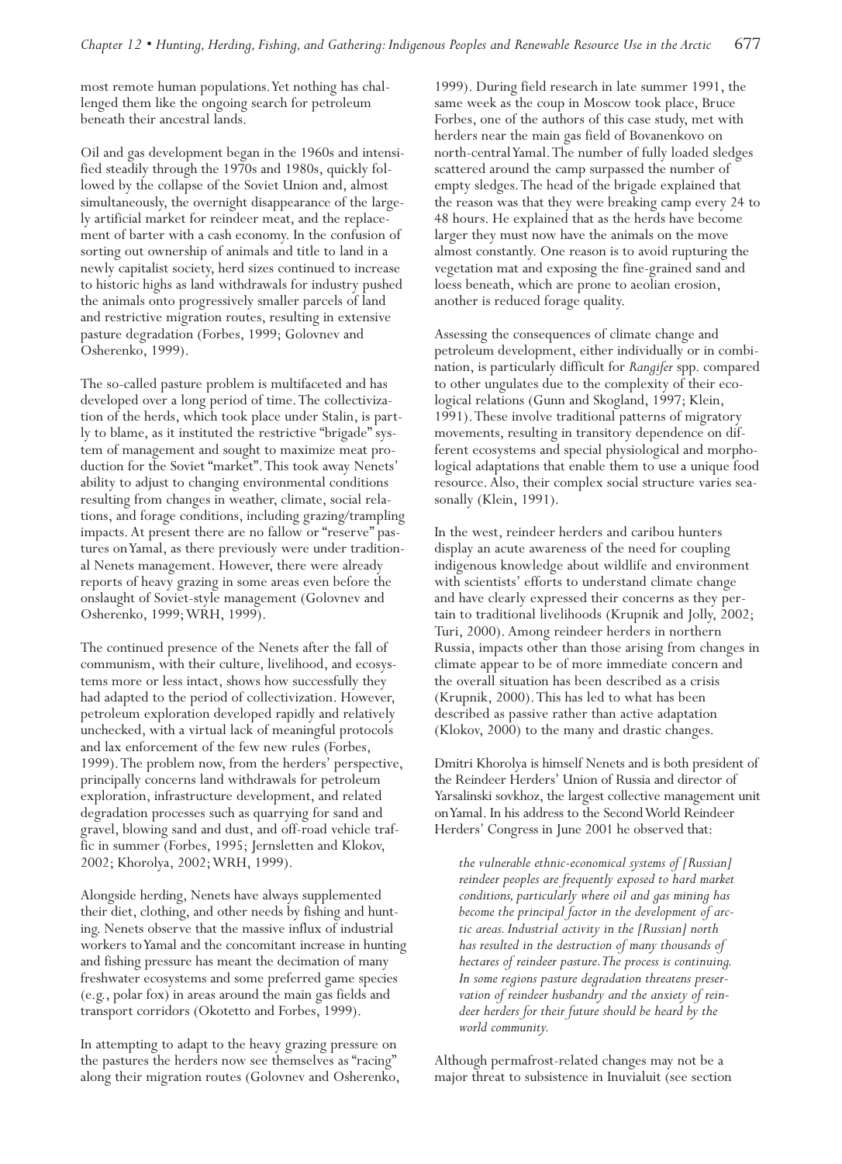most remote human populations.Yet nothing has challenged them like the ongoing search for petroleum beneath their ancestral lands.

Oil and gas development began in the 1960s and intensified steadily through the 1970s and 1980s, quickly followed by the collapse of the Soviet Union and, almost simultaneously, the overnight disappearance of the largely artificial market for reindeer meat, and the replacement of barter with a cash economy. In the confusion of sorting out ownership of animals and title to land in a newly capitalist society, herd sizes continued to increase to historic highs as land withdrawals for industry pushed the animals onto progressively smaller parcels of land and restrictive migration routes, resulting in extensive pasture degradation (Forbes, 1999; Golovnev and Osherenko, 1999).

The so-called pasture problem is multifaceted and has developed over a long period of time.The collectivization of the herds, which took place under Stalin, is partly to blame, as it instituted the restrictive "brigade" system of management and sought to maximize meat production for the Soviet "market".This took away Nenets' ability to adjust to changing environmental conditions resulting from changes in weather, climate, social relations, and forage conditions, including grazing/trampling impacts.At present there are no fallow or "reserve" pastures on Yamal, as there previously were under traditional Nenets management. However, there were already reports of heavy grazing in some areas even before the onslaught of Soviet-style management (Golovnev and Osherenko, 1999;WRH, 1999).

The continued presence of the Nenets after the fall of communism, with their culture, livelihood, and ecosystems more or less intact, shows how successfully they had adapted to the period of collectivization. However, petroleum exploration developed rapidly and relatively unchecked, with a virtual lack of meaningful protocols and lax enforcement of the few new rules (Forbes, 1999).The problem now, from the herders' perspective, principally concerns land withdrawals for petroleum exploration, infrastructure development, and related degradation processes such as quarrying for sand and gravel, blowing sand and dust, and off-road vehicle traffic in summer (Forbes, 1995; Jernsletten and Klokov, 2002; Khorolya, 2002;WRH, 1999).

Alongside herding, Nenets have always supplemented their diet, clothing, and other needs by fishing and hunting. Nenets observe that the massive influx of industrial workers to Yamal and the concomitant increase in hunting and fishing pressure has meant the decimation of many freshwater ecosystems and some preferred game species (e.g., polar fox) in areas around the main gas fields and transport corridors (Okotetto and Forbes, 1999).

In attempting to adapt to the heavy grazing pressure on the pastures the herders now see themselves as "racing" along their migration routes (Golovnev and Osherenko, 1999). During field research in late summer 1991, the same week as the coup in Moscow took place, Bruce Forbes, one of the authors of this case study, met with herders near the main gas field of Bovanenkovo on north-central Yamal.The number of fully loaded sledges scattered around the camp surpassed the number of empty sledges.The head of the brigade explained that the reason was that they were breaking camp every 24 to 48 hours. He explained that as the herds have become larger they must now have the animals on the move almost constantly. One reason is to avoid rupturing the vegetation mat and exposing the fine-grained sand and loess beneath, which are prone to aeolian erosion, another is reduced forage quality.

Assessing the consequences of climate change and petroleum development, either individually or in combination, is particularly difficult for *Rangifer* spp. compared to other ungulates due to the complexity of their ecological relations (Gunn and Skogland, 1997; Klein, 1991).These involve traditional patterns of migratory movements, resulting in transitory dependence on different ecosystems and special physiological and morphological adaptations that enable them to use a unique food resource. Also, their complex social structure varies seasonally (Klein, 1991).

In the west, reindeer herders and caribou hunters display an acute awareness of the need for coupling indigenous knowledge about wildlife and environment with scientists' efforts to understand climate change and have clearly expressed their concerns as they pertain to traditional livelihoods (Krupnik and Jolly, 2002; Turi, 2000). Among reindeer herders in northern Russia, impacts other than those arising from changes in climate appear to be of more immediate concern and the overall situation has been described as a crisis (Krupnik, 2000).This has led to what has been described as passive rather than active adaptation (Klokov, 2000) to the many and drastic changes.

Dmitri Khorolya is himself Nenets and is both president of the Reindeer Herders' Union of Russia and director of Yarsalinski sovkhoz, the largest collective management unit on Yamal. In his address to the Second World Reindeer Herders' Congress in June 2001 he observed that:

*the vulnerable ethnic-economical systems of [Russian] reindeer peoples are frequently exposed to hard market conditions,particularly where oil and gas mining has become the principal factor in the development of arctic areas. Industrial activity in the [Russian] north has resulted in the destruction of many thousands of hectares of reindeer pasture.The process is continuing. In some regions pasture degradation threatens preservation of reindeer husbandry and the anxiety of reindeer herders for their future should be heard by the world community.*

Although permafrost-related changes may not be a major threat to subsistence in Inuvialuit (see section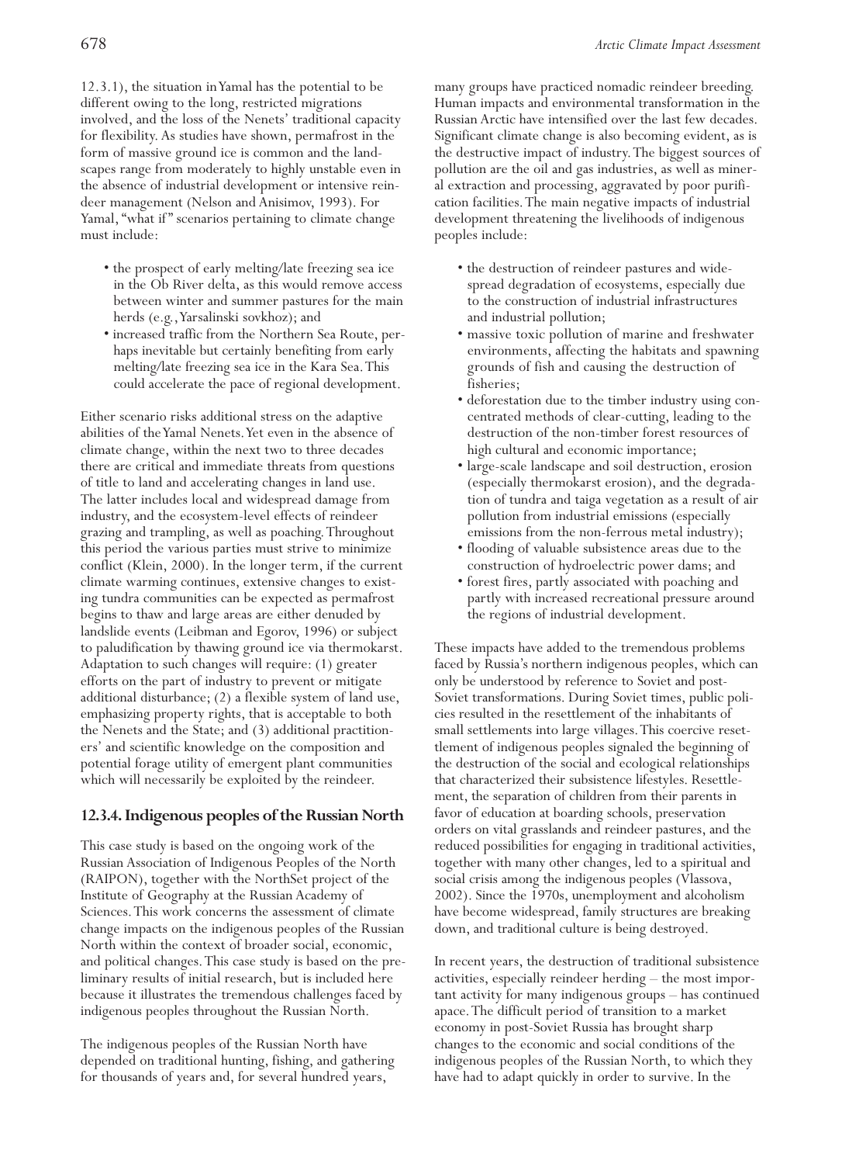12.3.1), the situation in Yamal has the potential to be different owing to the long, restricted migrations involved, and the loss of the Nenets' traditional capacity for flexibility. As studies have shown, permafrost in the form of massive ground ice is common and the landscapes range from moderately to highly unstable even in the absence of industrial development or intensive reindeer management (Nelson and Anisimov, 1993). For Yamal, "what if" scenarios pertaining to climate change must include:

- the prospect of early melting/late freezing sea ice in the Ob River delta, as this would remove access between winter and summer pastures for the main herds (e.g.,Yarsalinski sovkhoz); and
- increased traffic from the Northern Sea Route, perhaps inevitable but certainly benefiting from early melting/late freezing sea ice in the Kara Sea.This could accelerate the pace of regional development.

Either scenario risks additional stress on the adaptive abilities of the Yamal Nenets.Yet even in the absence of climate change, within the next two to three decades there are critical and immediate threats from questions of title to land and accelerating changes in land use. The latter includes local and widespread damage from industry, and the ecosystem-level effects of reindeer grazing and trampling, as well as poaching.Throughout this period the various parties must strive to minimize conflict (Klein, 2000). In the longer term, if the current climate warming continues, extensive changes to existing tundra communities can be expected as permafrost begins to thaw and large areas are either denuded by landslide events (Leibman and Egorov, 1996) or subject to paludification by thawing ground ice via thermokarst. Adaptation to such changes will require: (1) greater efforts on the part of industry to prevent or mitigate additional disturbance; (2) a flexible system of land use, emphasizing property rights, that is acceptable to both the Nenets and the State; and (3) additional practitioners' and scientific knowledge on the composition and potential forage utility of emergent plant communities which will necessarily be exploited by the reindeer.

# **12.3.4. Indigenous peoples of the Russian North**

This case study is based on the ongoing work of the Russian Association of Indigenous Peoples of the North (RAIPON), together with the NorthSet project of the Institute of Geography at the Russian Academy of Sciences.This work concerns the assessment of climate change impacts on the indigenous peoples of the Russian North within the context of broader social, economic, and political changes.This case study is based on the preliminary results of initial research, but is included here because it illustrates the tremendous challenges faced by indigenous peoples throughout the Russian North.

The indigenous peoples of the Russian North have depended on traditional hunting, fishing, and gathering for thousands of years and, for several hundred years,

<span id="page-29-0"></span>many groups have practiced nomadic reindeer breeding. Human impacts and environmental transformation in the Russian Arctic have intensified over the last few decades. Significant climate change is also becoming evident, as is the destructive impact of industry.The biggest sources of pollution are the oil and gas industries, as well as mineral extraction and processing, aggravated by poor purification facilities.The main negative impacts of industrial development threatening the livelihoods of indigenous peoples include:

- the destruction of reindeer pastures and widespread degradation of ecosystems, especially due to the construction of industrial infrastructures and industrial pollution;
- massive toxic pollution of marine and freshwater environments, affecting the habitats and spawning grounds of fish and causing the destruction of fisheries;
- deforestation due to the timber industry using concentrated methods of clear-cutting, leading to the destruction of the non-timber forest resources of high cultural and economic importance;
- large-scale landscape and soil destruction, erosion (especially thermokarst erosion), and the degradation of tundra and taiga vegetation as a result of air pollution from industrial emissions (especially emissions from the non-ferrous metal industry);
- flooding of valuable subsistence areas due to the construction of hydroelectric power dams; and
- forest fires, partly associated with poaching and partly with increased recreational pressure around the regions of industrial development.

These impacts have added to the tremendous problems faced by Russia's northern indigenous peoples, which can only be understood by reference to Soviet and post-Soviet transformations. During Soviet times, public policies resulted in the resettlement of the inhabitants of small settlements into large villages.This coercive resettlement of indigenous peoples signaled the beginning of the destruction of the social and ecological relationships that characterized their subsistence lifestyles. Resettlement, the separation of children from their parents in favor of education at boarding schools, preservation orders on vital grasslands and reindeer pastures, and the reduced possibilities for engaging in traditional activities, together with many other changes, led to a spiritual and social crisis among the indigenous peoples (Vlassova, 2002). Since the 1970s, unemployment and alcoholism have become widespread, family structures are breaking down, and traditional culture is being destroyed.

In recent years, the destruction of traditional subsistence activities, especially reindeer herding – the most important activity for many indigenous groups – has continued apace.The difficult period of transition to a market economy in post-Soviet Russia has brought sharp changes to the economic and social conditions of the indigenous peoples of the Russian North, to which they have had to adapt quickly in order to survive. In the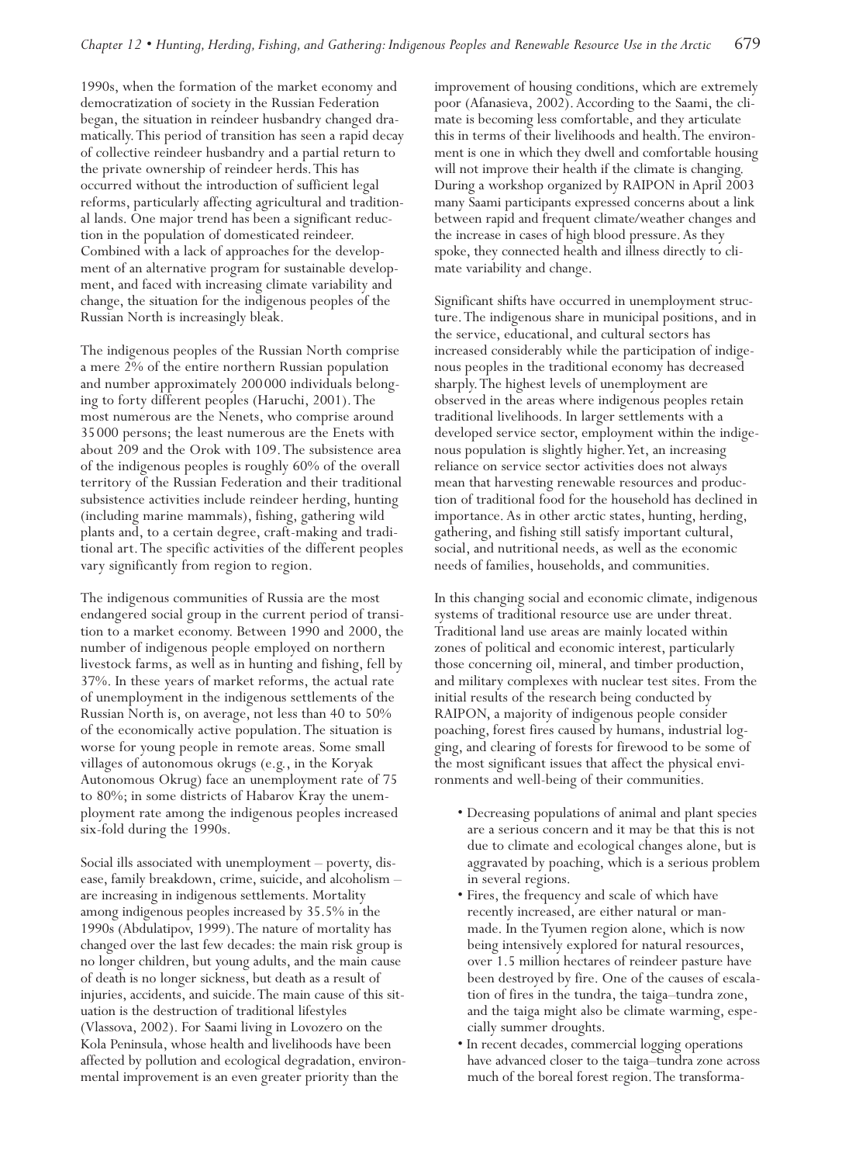1990s, when the formation of the market economy and democratization of society in the Russian Federation began, the situation in reindeer husbandry changed dramatically.This period of transition has seen a rapid decay of collective reindeer husbandry and a partial return to the private ownership of reindeer herds.This has occurred without the introduction of sufficient legal reforms, particularly affecting agricultural and traditional lands. One major trend has been a significant reduction in the population of domesticated reindeer. Combined with a lack of approaches for the development of an alternative program for sustainable development, and faced with increasing climate variability and change, the situation for the indigenous peoples of the Russian North is increasingly bleak.

The indigenous peoples of the Russian North comprise a mere 2% of the entire northern Russian population and number approximately 200000 individuals belonging to forty different peoples (Haruchi, 2001).The most numerous are the Nenets, who comprise around 35000 persons; the least numerous are the Enets with about 209 and the Orok with 109.The subsistence area of the indigenous peoples is roughly 60% of the overall territory of the Russian Federation and their traditional subsistence activities include reindeer herding, hunting (including marine mammals), fishing, gathering wild plants and, to a certain degree, craft-making and traditional art.The specific activities of the different peoples vary significantly from region to region.

The indigenous communities of Russia are the most endangered social group in the current period of transition to a market economy. Between 1990 and 2000, the number of indigenous people employed on northern livestock farms, as well as in hunting and fishing, fell by 37%. In these years of market reforms, the actual rate of unemployment in the indigenous settlements of the Russian North is, on average, not less than 40 to 50% of the economically active population.The situation is worse for young people in remote areas. Some small villages of autonomous okrugs (e.g., in the Koryak Autonomous Okrug) face an unemployment rate of 75 to 80%; in some districts of Habarov Kray the unemployment rate among the indigenous peoples increased six-fold during the 1990s.

Social ills associated with unemployment – poverty, disease, family breakdown, crime, suicide, and alcoholism – are increasing in indigenous settlements. Mortality among indigenous peoples increased by 35.5% in the 1990s (Abdulatipov, 1999).The nature of mortality has changed over the last few decades: the main risk group is no longer children, but young adults, and the main cause of death is no longer sickness, but death as a result of injuries, accidents, and suicide.The main cause of this situation is the destruction of traditional lifestyles (Vlassova, 2002). For Saami living in Lovozero on the Kola Peninsula, whose health and livelihoods have been affected by pollution and ecological degradation, environmental improvement is an even greater priority than the

improvement of housing conditions, which are extremely poor (Afanasieva, 2002). According to the Saami, the climate is becoming less comfortable, and they articulate this in terms of their livelihoods and health.The environment is one in which they dwell and comfortable housing will not improve their health if the climate is changing. During a workshop organized by RAIPON in April 2003 many Saami participants expressed concerns about a link between rapid and frequent climate/weather changes and the increase in cases of high blood pressure. As they spoke, they connected health and illness directly to climate variability and change.

Significant shifts have occurred in unemployment structure.The indigenous share in municipal positions, and in the service, educational, and cultural sectors has increased considerably while the participation of indigenous peoples in the traditional economy has decreased sharply.The highest levels of unemployment are observed in the areas where indigenous peoples retain traditional livelihoods. In larger settlements with a developed service sector, employment within the indigenous population is slightly higher.Yet, an increasing reliance on service sector activities does not always mean that harvesting renewable resources and production of traditional food for the household has declined in importance. As in other arctic states, hunting, herding, gathering, and fishing still satisfy important cultural, social, and nutritional needs, as well as the economic needs of families, households, and communities.

In this changing social and economic climate, indigenous systems of traditional resource use are under threat. Traditional land use areas are mainly located within zones of political and economic interest, particularly those concerning oil, mineral, and timber production, and military complexes with nuclear test sites. From the initial results of the research being conducted by RAIPON, a majority of indigenous people consider poaching, forest fires caused by humans, industrial logging, and clearing of forests for firewood to be some of the most significant issues that affect the physical environments and well-being of their communities.

- Decreasing populations of animal and plant species are a serious concern and it may be that this is not due to climate and ecological changes alone, but is aggravated by poaching, which is a serious problem in several regions.
- Fires, the frequency and scale of which have recently increased, are either natural or manmade. In the Tyumen region alone, which is now being intensively explored for natural resources, over 1.5 million hectares of reindeer pasture have been destroyed by fire. One of the causes of escalation of fires in the tundra, the taiga–tundra zone, and the taiga might also be climate warming, especially summer droughts.
- In recent decades, commercial logging operations have advanced closer to the taiga–tundra zone across much of the boreal forest region.The transforma-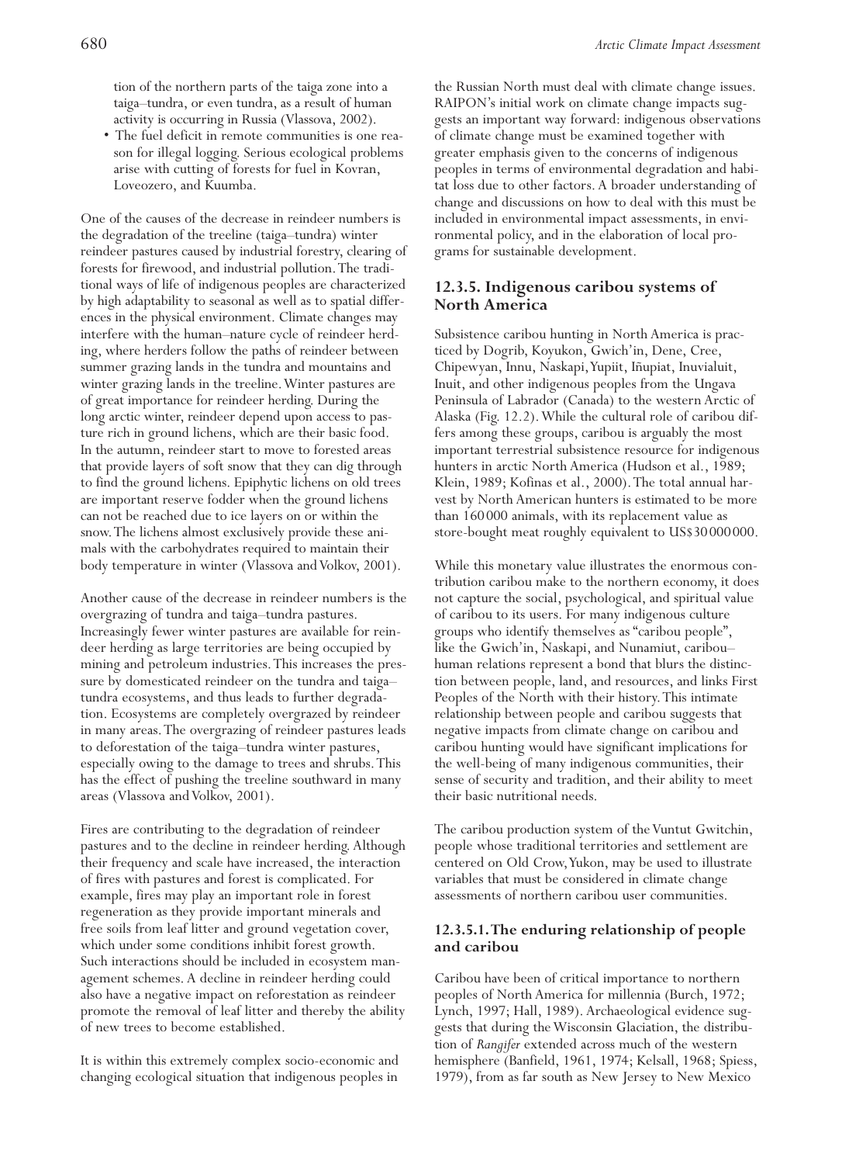tion of the northern parts of the taiga zone into a taiga–tundra, or even tundra, as a result of human activity is occurring in Russia (Vlassova, 2002).

• The fuel deficit in remote communities is one reason for illegal logging. Serious ecological problems arise with cutting of forests for fuel in Kovran, Loveozero, and Kuumba.

One of the causes of the decrease in reindeer numbers is the degradation of the treeline (taiga–tundra) winter reindeer pastures caused by industrial forestry, clearing of forests for firewood, and industrial pollution.The traditional ways of life of indigenous peoples are characterized by high adaptability to seasonal as well as to spatial differences in the physical environment. Climate changes may interfere with the human–nature cycle of reindeer herding, where herders follow the paths of reindeer between summer grazing lands in the tundra and mountains and winter grazing lands in the treeline.Winter pastures are of great importance for reindeer herding. During the long arctic winter, reindeer depend upon access to pasture rich in ground lichens, which are their basic food. In the autumn, reindeer start to move to forested areas that provide layers of soft snow that they can dig through to find the ground lichens. Epiphytic lichens on old trees are important reserve fodder when the ground lichens can not be reached due to ice layers on or within the snow.The lichens almost exclusively provide these animals with the carbohydrates required to maintain their body temperature in winter (Vlassova and Volkov, 2001).

Another cause of the decrease in reindeer numbers is the overgrazing of tundra and taiga–tundra pastures. Increasingly fewer winter pastures are available for reindeer herding as large territories are being occupied by mining and petroleum industries.This increases the pressure by domesticated reindeer on the tundra and taiga– tundra ecosystems, and thus leads to further degradation. Ecosystems are completely overgrazed by reindeer in many areas.The overgrazing of reindeer pastures leads to deforestation of the taiga–tundra winter pastures, especially owing to the damage to trees and shrubs.This has the effect of pushing the treeline southward in many areas (Vlassova and Volkov, 2001).

Fires are contributing to the degradation of reindeer pastures and to the decline in reindeer herding.Although their frequency and scale have increased, the interaction of fires with pastures and forest is complicated. For example, fires may play an important role in forest regeneration as they provide important minerals and free soils from leaf litter and ground vegetation cover, which under some conditions inhibit forest growth. Such interactions should be included in ecosystem management schemes. A decline in reindeer herding could also have a negative impact on reforestation as reindeer promote the removal of leaf litter and thereby the ability of new trees to become established.

It is within this extremely complex socio-economic and changing ecological situation that indigenous peoples in

<span id="page-31-0"></span>the Russian North must deal with climate change issues. RAIPON's initial work on climate change impacts suggests an important way forward: indigenous observations of climate change must be examined together with greater emphasis given to the concerns of indigenous peoples in terms of environmental degradation and habitat loss due to other factors. A broader understanding of change and discussions on how to deal with this must be included in environmental impact assessments, in environmental policy, and in the elaboration of local programs for sustainable development.

# **12.3.5. Indigenous caribou systems of North America**

Subsistence caribou hunting in North America is practiced by Dogrib, Koyukon, Gwich'in, Dene, Cree, Chipewyan, Innu, Naskapi,Yupiit, Iñupiat, Inuvialuit, Inuit, and other indigenous peoples from the Ungava Peninsula of Labrador (Canada) to the western Arctic of Alaska (Fig. 12.2).While the cultural role of caribou differs among these groups, caribou is arguably the most important terrestrial subsistence resource for indigenous hunters in arctic North America (Hudson et al., 1989; Klein, 1989; Kofinas et al., 2000).The total annual harvest by North American hunters is estimated to be more than 160000 animals, with its replacement value as store-bought meat roughly equivalent to US\$30000000.

While this monetary value illustrates the enormous contribution caribou make to the northern economy, it does not capture the social, psychological, and spiritual value of caribou to its users. For many indigenous culture groups who identify themselves as "caribou people", like the Gwich'in, Naskapi, and Nunamiut, caribou– human relations represent a bond that blurs the distinction between people, land, and resources, and links First Peoples of the North with their history.This intimate relationship between people and caribou suggests that negative impacts from climate change on caribou and caribou hunting would have significant implications for the well-being of many indigenous communities, their sense of security and tradition, and their ability to meet their basic nutritional needs.

The caribou production system of the Vuntut Gwitchin, people whose traditional territories and settlement are centered on Old Crow,Yukon, may be used to illustrate variables that must be considered in climate change assessments of northern caribou user communities.

# **12.3.5.1.The enduring relationship of people and caribou**

Caribou have been of critical importance to northern peoples of North America for millennia (Burch, 1972; Lynch, 1997; Hall, 1989). Archaeological evidence suggests that during the Wisconsin Glaciation, the distribution of *Rangifer* extended across much of the western hemisphere (Banfield, 1961, 1974; Kelsall, 1968; Spiess, 1979), from as far south as New Jersey to New Mexico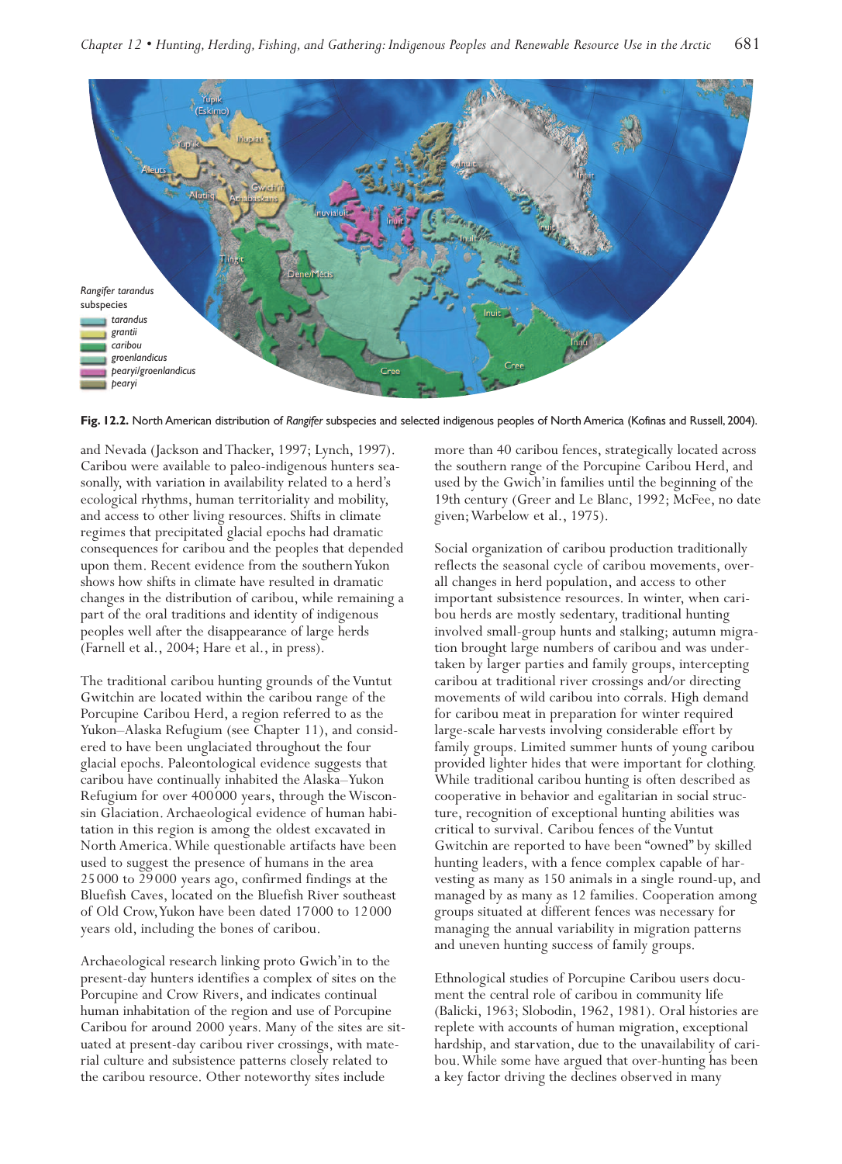

**Fig. 12.2.** North American distribution of *Rangifer* subspecies and selected indigenous peoples of North America (Kofinas and Russell, 2004).

and Nevada (Jackson and Thacker, 1997; Lynch, 1997). Caribou were available to paleo-indigenous hunters seasonally, with variation in availability related to a herd's ecological rhythms, human territoriality and mobility, and access to other living resources. Shifts in climate regimes that precipitated glacial epochs had dramatic consequences for caribou and the peoples that depended upon them. Recent evidence from the southern Yukon shows how shifts in climate have resulted in dramatic changes in the distribution of caribou, while remaining a part of the oral traditions and identity of indigenous peoples well after the disappearance of large herds (Farnell et al., 2004; Hare et al., in press).

The traditional caribou hunting grounds of the Vuntut Gwitchin are located within the caribou range of the Porcupine Caribou Herd, a region referred to as the Yukon–Alaska Refugium (see Chapter 11), and considered to have been unglaciated throughout the four glacial epochs. Paleontological evidence suggests that caribou have continually inhabited the Alaska–Yukon Refugium for over 400000 years, through the Wisconsin Glaciation. Archaeological evidence of human habitation in this region is among the oldest excavated in North America.While questionable artifacts have been used to suggest the presence of humans in the area 25000 to 29000 years ago, confirmed findings at the Bluefish Caves, located on the Bluefish River southeast of Old Crow,Yukon have been dated 17000 to 12000 years old, including the bones of caribou.

Archaeological research linking proto Gwich'in to the present-day hunters identifies a complex of sites on the Porcupine and Crow Rivers, and indicates continual human inhabitation of the region and use of Porcupine Caribou for around 2000 years. Many of the sites are situated at present-day caribou river crossings, with material culture and subsistence patterns closely related to the caribou resource. Other noteworthy sites include

<span id="page-32-0"></span>more than 40 caribou fences, strategically located across the southern range of the Porcupine Caribou Herd, and used by the Gwich'in families until the beginning of the 19th century (Greer and Le Blanc, 1992; McFee, no date given;Warbelow et al., 1975).

Social organization of caribou production traditionally reflects the seasonal cycle of caribou movements, overall changes in herd population, and access to other important subsistence resources. In winter, when caribou herds are mostly sedentary, traditional hunting involved small-group hunts and stalking; autumn migration brought large numbers of caribou and was undertaken by larger parties and family groups, intercepting caribou at traditional river crossings and/or directing movements of wild caribou into corrals. High demand for caribou meat in preparation for winter required large-scale harvests involving considerable effort by family groups. Limited summer hunts of young caribou provided lighter hides that were important for clothing. While traditional caribou hunting is often described as cooperative in behavior and egalitarian in social structure, recognition of exceptional hunting abilities was critical to survival. Caribou fences of the Vuntut Gwitchin are reported to have been "owned" by skilled hunting leaders, with a fence complex capable of harvesting as many as 150 animals in a single round-up, and managed by as many as 12 families. Cooperation among groups situated at different fences was necessary for managing the annual variability in migration patterns and uneven hunting success of family groups.

Ethnological studies of Porcupine Caribou users document the central role of caribou in community life (Balicki, 1963; Slobodin, 1962, 1981). Oral histories are replete with accounts of human migration, exceptional hardship, and starvation, due to the unavailability of caribou.While some have argued that over-hunting has been a key factor driving the declines observed in many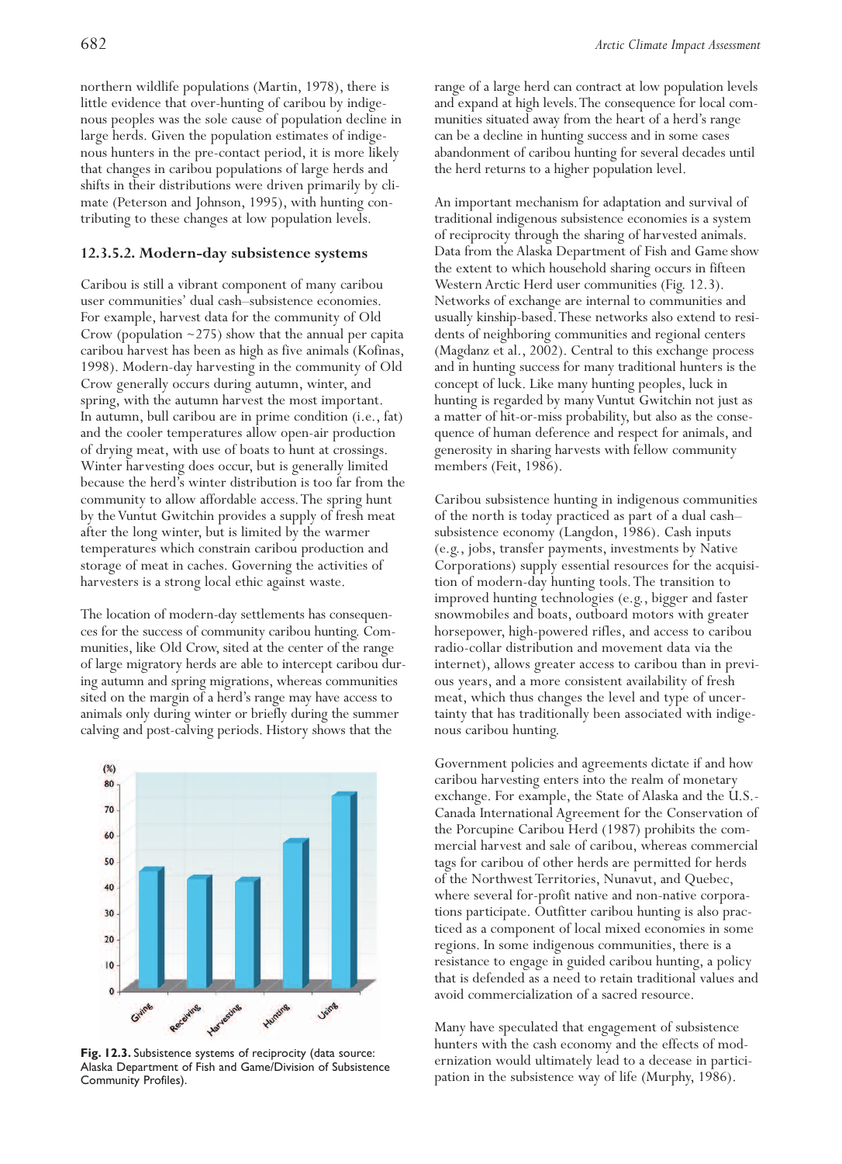northern wildlife populations (Martin, 1978), there is little evidence that over-hunting of caribou by indigenous peoples was the sole cause of population decline in large herds. Given the population estimates of indigenous hunters in the pre-contact period, it is more likely that changes in caribou populations of large herds and shifts in their distributions were driven primarily by climate (Peterson and Johnson, 1995), with hunting contributing to these changes at low population levels.

### **12.3.5.2. Modern-day subsistence systems**

Caribou is still a vibrant component of many caribou user communities' dual cash–subsistence economies. For example, harvest data for the community of Old Crow (population  $\sim$  275) show that the annual per capita caribou harvest has been as high as five animals (Kofinas, 1998). Modern-day harvesting in the community of Old Crow generally occurs during autumn, winter, and spring, with the autumn harvest the most important. In autumn, bull caribou are in prime condition (i.e., fat) and the cooler temperatures allow open-air production of drying meat, with use of boats to hunt at crossings. Winter harvesting does occur, but is generally limited because the herd's winter distribution is too far from the community to allow affordable access.The spring hunt by the Vuntut Gwitchin provides a supply of fresh meat after the long winter, but is limited by the warmer temperatures which constrain caribou production and storage of meat in caches. Governing the activities of harvesters is a strong local ethic against waste.

The location of modern-day settlements has consequences for the success of community caribou hunting. Communities, like Old Crow, sited at the center of the range of large migratory herds are able to intercept caribou during autumn and spring migrations, whereas communities sited on the margin of a herd's range may have access to animals only during winter or briefly during the summer calving and post-calving periods. History shows that the



**Fig. 12.3.** Subsistence systems of reciprocity (data source: Alaska Department of Fish and Game/Division of Subsistence Community Profiles).

<span id="page-33-0"></span>range of a large herd can contract at low population levels and expand at high levels.The consequence for local communities situated away from the heart of a herd's range can be a decline in hunting success and in some cases abandonment of caribou hunting for several decades until the herd returns to a higher population level.

An important mechanism for adaptation and survival of traditional indigenous subsistence economies is a system of reciprocity through the sharing of harvested animals. Data from the Alaska Department of Fish and Game show the extent to which household sharing occurs in fifteen Western Arctic Herd user communities (Fig. 12.3). Networks of exchange are internal to communities and usually kinship-based.These networks also extend to residents of neighboring communities and regional centers (Magdanz et al., 2002). Central to this exchange process and in hunting success for many traditional hunters is the concept of luck. Like many hunting peoples, luck in hunting is regarded by many Vuntut Gwitchin not just as a matter of hit-or-miss probability, but also as the consequence of human deference and respect for animals, and generosity in sharing harvests with fellow community members (Feit, 1986).

Caribou subsistence hunting in indigenous communities of the north is today practiced as part of a dual cash– subsistence economy (Langdon, 1986). Cash inputs (e.g., jobs, transfer payments, investments by Native Corporations) supply essential resources for the acquisition of modern-day hunting tools.The transition to improved hunting technologies (e.g., bigger and faster snowmobiles and boats, outboard motors with greater horsepower, high-powered rifles, and access to caribou radio-collar distribution and movement data via the internet), allows greater access to caribou than in previous years, and a more consistent availability of fresh meat, which thus changes the level and type of uncertainty that has traditionally been associated with indigenous caribou hunting.

Government policies and agreements dictate if and how caribou harvesting enters into the realm of monetary exchange. For example, the State of Alaska and the U.S.- Canada International Agreement for the Conservation of the Porcupine Caribou Herd (1987) prohibits the commercial harvest and sale of caribou, whereas commercial tags for caribou of other herds are permitted for herds of the Northwest Territories, Nunavut, and Quebec, where several for-profit native and non-native corporations participate. Outfitter caribou hunting is also practiced as a component of local mixed economies in some regions. In some indigenous communities, there is a resistance to engage in guided caribou hunting, a policy that is defended as a need to retain traditional values and avoid commercialization of a sacred resource.

Many have speculated that engagement of subsistence hunters with the cash economy and the effects of modernization would ultimately lead to a decease in participation in the subsistence way of life (Murphy, 1986).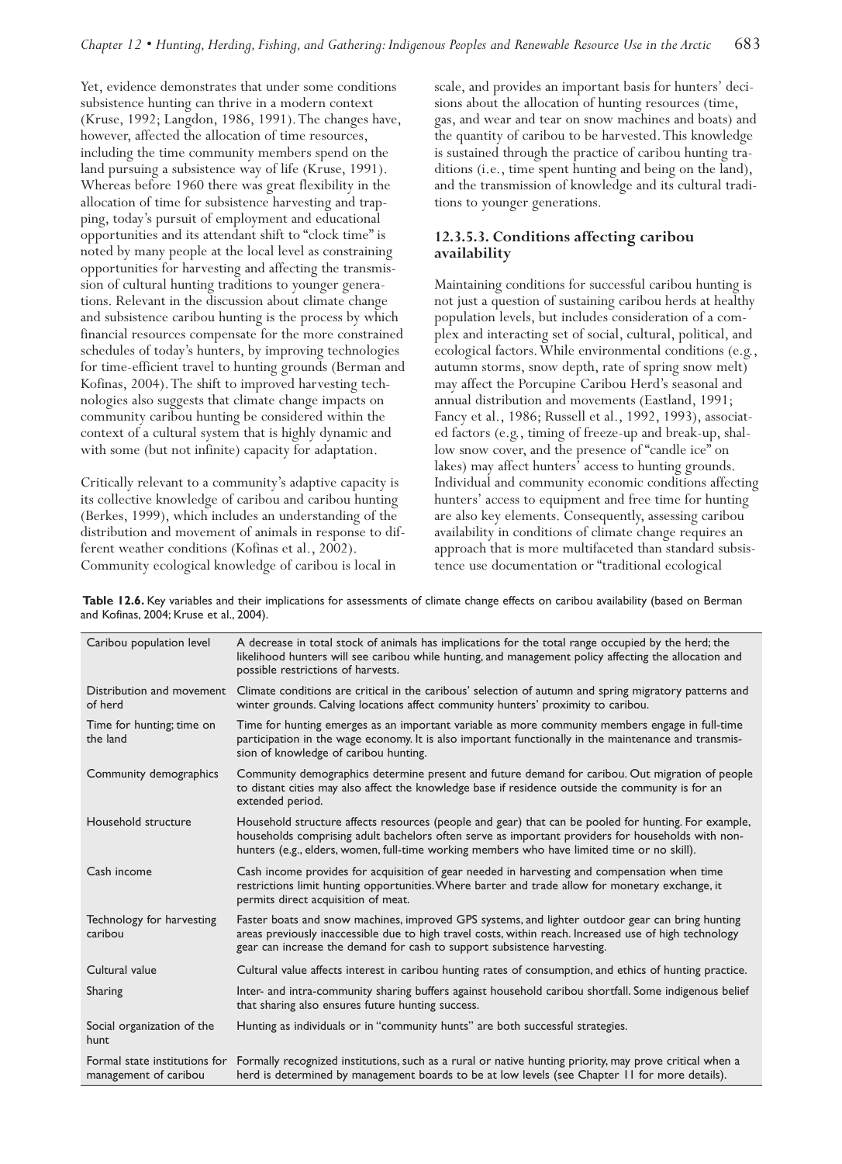Yet, evidence demonstrates that under some conditions subsistence hunting can thrive in a modern context (Kruse, 1992; Langdon, 1986, 1991).The changes have, however, affected the allocation of time resources, including the time community members spend on the land pursuing a subsistence way of life (Kruse, 1991). Whereas before 1960 there was great flexibility in the allocation of time for subsistence harvesting and trapping, today's pursuit of employment and educational opportunities and its attendant shift to "clock time" is noted by many people at the local level as constraining opportunities for harvesting and affecting the transmission of cultural hunting traditions to younger generations. Relevant in the discussion about climate change and subsistence caribou hunting is the process by which financial resources compensate for the more constrained schedules of today's hunters, by improving technologies for time-efficient travel to hunting grounds (Berman and Kofinas, 2004).The shift to improved harvesting technologies also suggests that climate change impacts on community caribou hunting be considered within the context of a cultural system that is highly dynamic and with some (but not infinite) capacity for adaptation.

Critically relevant to a community's adaptive capacity is its collective knowledge of caribou and caribou hunting (Berkes, 1999), which includes an understanding of the distribution and movement of animals in response to different weather conditions (Kofinas et al., 2002). Community ecological knowledge of caribou is local in

<span id="page-34-0"></span>scale, and provides an important basis for hunters' decisions about the allocation of hunting resources (time, gas, and wear and tear on snow machines and boats) and the quantity of caribou to be harvested.This knowledge is sustained through the practice of caribou hunting traditions (i.e., time spent hunting and being on the land), and the transmission of knowledge and its cultural traditions to younger generations.

# **12.3.5.3. Conditions affecting caribou availability**

Maintaining conditions for successful caribou hunting is not just a question of sustaining caribou herds at healthy population levels, but includes consideration of a complex and interacting set of social, cultural, political, and ecological factors.While environmental conditions (e.g., autumn storms, snow depth, rate of spring snow melt) may affect the Porcupine Caribou Herd's seasonal and annual distribution and movements (Eastland, 1991; Fancy et al., 1986; Russell et al., 1992, 1993), associated factors (e.g., timing of freeze-up and break-up, shallow snow cover, and the presence of "candle ice" on lakes) may affect hunters' access to hunting grounds. Individual and community economic conditions affecting hunters' access to equipment and free time for hunting are also key elements. Consequently, assessing caribou availability in conditions of climate change requires an approach that is more multifaceted than standard subsistence use documentation or "traditional ecological

Table 12.6. Key variables and their implications for assessments of climate change effects on caribou availability (based on Berman and Kofinas, 2004; Kruse et al., 2004).

| Caribou population level                               | A decrease in total stock of animals has implications for the total range occupied by the herd; the<br>likelihood hunters will see caribou while hunting, and management policy affecting the allocation and<br>possible restrictions of harvests.                                                       |
|--------------------------------------------------------|----------------------------------------------------------------------------------------------------------------------------------------------------------------------------------------------------------------------------------------------------------------------------------------------------------|
| Distribution and movement<br>of herd                   | Climate conditions are critical in the caribous' selection of autumn and spring migratory patterns and<br>winter grounds. Calving locations affect community hunters' proximity to caribou.                                                                                                              |
| Time for hunting; time on<br>the land                  | Time for hunting emerges as an important variable as more community members engage in full-time<br>participation in the wage economy. It is also important functionally in the maintenance and transmis-<br>sion of knowledge of caribou hunting.                                                        |
| Community demographics                                 | Community demographics determine present and future demand for caribou. Out migration of people<br>to distant cities may also affect the knowledge base if residence outside the community is for an<br>extended period.                                                                                 |
| Household structure                                    | Household structure affects resources (people and gear) that can be pooled for hunting. For example,<br>households comprising adult bachelors often serve as important providers for households with non-<br>hunters (e.g., elders, women, full-time working members who have limited time or no skill). |
| Cash income                                            | Cash income provides for acquisition of gear needed in harvesting and compensation when time<br>restrictions limit hunting opportunities. Where barter and trade allow for monetary exchange, it<br>permits direct acquisition of meat.                                                                  |
| Technology for harvesting<br>caribou                   | Faster boats and snow machines, improved GPS systems, and lighter outdoor gear can bring hunting<br>areas previously inaccessible due to high travel costs, within reach. Increased use of high technology<br>gear can increase the demand for cash to support subsistence harvesting.                   |
| Cultural value                                         | Cultural value affects interest in caribou hunting rates of consumption, and ethics of hunting practice.                                                                                                                                                                                                 |
| Sharing                                                | Inter- and intra-community sharing buffers against household caribou shortfall. Some indigenous belief<br>that sharing also ensures future hunting success.                                                                                                                                              |
| Social organization of the<br>hunt                     | Hunting as individuals or in "community hunts" are both successful strategies.                                                                                                                                                                                                                           |
| Formal state institutions for<br>management of caribou | Formally recognized institutions, such as a rural or native hunting priority, may prove critical when a<br>herd is determined by management boards to be at low levels (see Chapter 11 for more details).                                                                                                |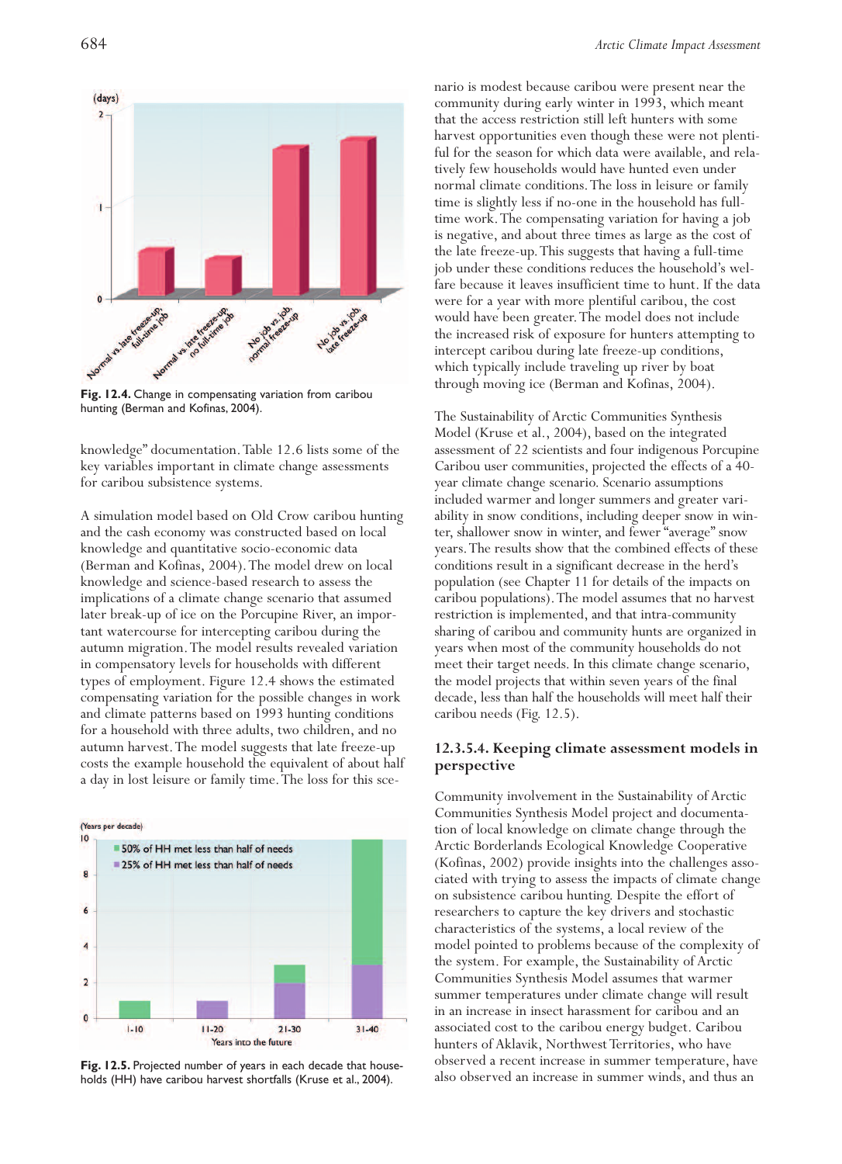

**Fig. 12.4.** Change in compensating variation from caribou hunting (Berman and Kofinas, 2004).

knowledge" documentation.Table 12.6 lists some of the key variables important in climate change assessments for caribou subsistence systems.

A simulation model based on Old Crow caribou hunting and the cash economy was constructed based on local knowledge and quantitative socio-economic data (Berman and Kofinas, 2004).The model drew on local knowledge and science-based research to assess the implications of a climate change scenario that assumed later break-up of ice on the Porcupine River, an important watercourse for intercepting caribou during the autumn migration.The model results revealed variation in compensatory levels for households with different types of employment. Figure 12.4 shows the estimated compensating variation for the possible changes in work and climate patterns based on 1993 hunting conditions for a household with three adults, two children, and no autumn harvest.The model suggests that late freeze-up costs the example household the equivalent of about half a day in lost leisure or family time.The loss for this sce-



**Fig. 12.5.** Projected number of years in each decade that households (HH) have caribou harvest shortfalls (Kruse et al., 2004).

<span id="page-35-0"></span>nario is modest because caribou were present near the community during early winter in 1993, which meant that the access restriction still left hunters with some harvest opportunities even though these were not plentiful for the season for which data were available, and relatively few households would have hunted even under normal climate conditions.The loss in leisure or family time is slightly less if no-one in the household has fulltime work.The compensating variation for having a job is negative, and about three times as large as the cost of the late freeze-up.This suggests that having a full-time job under these conditions reduces the household's welfare because it leaves insufficient time to hunt. If the data were for a year with more plentiful caribou, the cost would have been greater.The model does not include the increased risk of exposure for hunters attempting to intercept caribou during late freeze-up conditions, which typically include traveling up river by boat through moving ice (Berman and Kofinas, 2004).

The Sustainability of Arctic Communities Synthesis Model (Kruse et al., 2004), based on the integrated assessment of 22 scientists and four indigenous Porcupine Caribou user communities, projected the effects of a 40 year climate change scenario. Scenario assumptions included warmer and longer summers and greater variability in snow conditions, including deeper snow in winter, shallower snow in winter, and fewer "average" snow years.The results show that the combined effects of these conditions result in a significant decrease in the herd's population (see Chapter 11 for details of the impacts on caribou populations).The model assumes that no harvest restriction is implemented, and that intra-community sharing of caribou and community hunts are organized in years when most of the community households do not meet their target needs. In this climate change scenario, the model projects that within seven years of the final decade, less than half the households will meet half their caribou needs (Fig. 12.5).

#### **12.3.5.4. Keeping climate assessment models in perspective**

Community involvement in the Sustainability of Arctic Communities Synthesis Model project and documentation of local knowledge on climate change through the Arctic Borderlands Ecological Knowledge Cooperative (Kofinas, 2002) provide insights into the challenges associated with trying to assess the impacts of climate change on subsistence caribou hunting. Despite the effort of researchers to capture the key drivers and stochastic characteristics of the systems, a local review of the model pointed to problems because of the complexity of the system. For example, the Sustainability of Arctic Communities Synthesis Model assumes that warmer summer temperatures under climate change will result in an increase in insect harassment for caribou and an associated cost to the caribou energy budget. Caribou hunters of Aklavik, Northwest Territories, who have observed a recent increase in summer temperature, have also observed an increase in summer winds, and thus an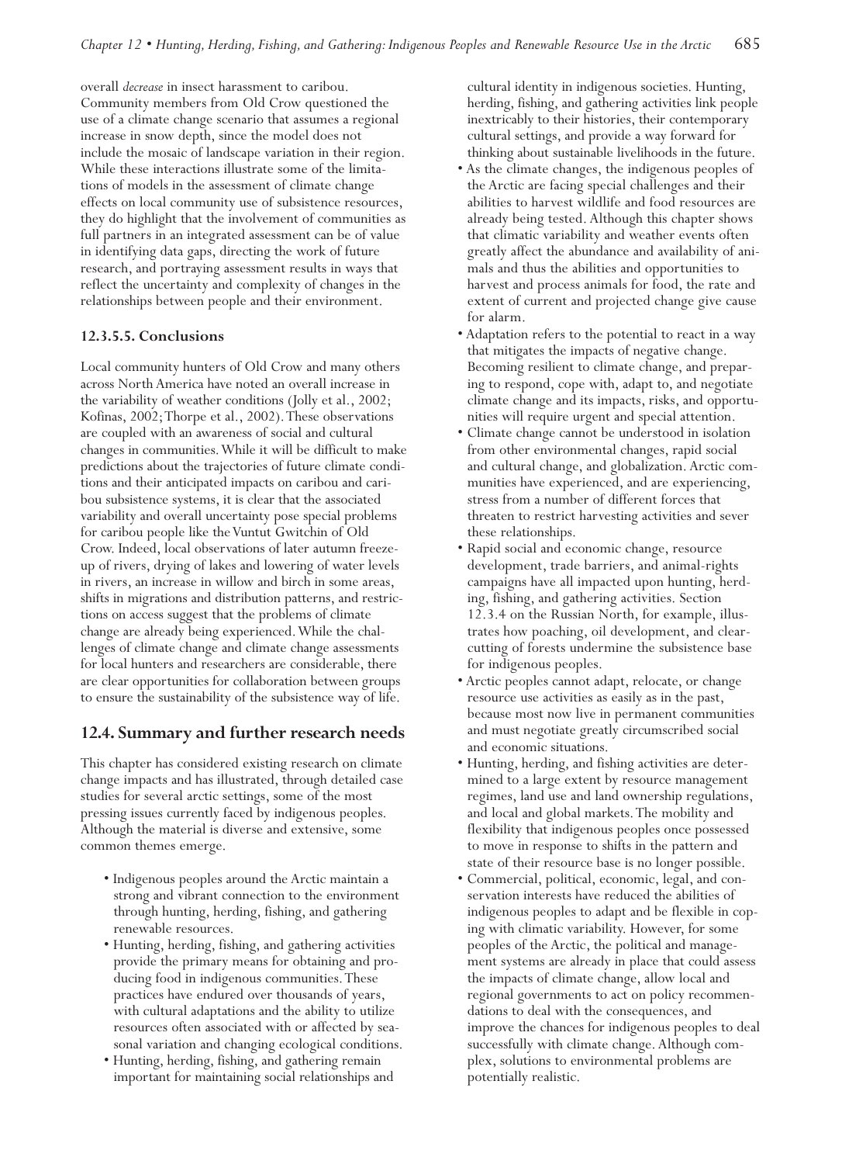overall *decrease* in insect harassment to caribou. Community members from Old Crow questioned the use of a climate change scenario that assumes a regional increase in snow depth, since the model does not include the mosaic of landscape variation in their region. While these interactions illustrate some of the limitations of models in the assessment of climate change effects on local community use of subsistence resources, they do highlight that the involvement of communities as full partners in an integrated assessment can be of value in identifying data gaps, directing the work of future research, and portraying assessment results in ways that reflect the uncertainty and complexity of changes in the relationships between people and their environment.

# **12.3.5.5. Conclusions**

Local community hunters of Old Crow and many others across North America have noted an overall increase in the variability of weather conditions (Jolly et al., 2002; Kofinas, 2002;Thorpe et al., 2002).These observations are coupled with an awareness of social and cultural changes in communities.While it will be difficult to make predictions about the trajectories of future climate conditions and their anticipated impacts on caribou and caribou subsistence systems, it is clear that the associated variability and overall uncertainty pose special problems for caribou people like the Vuntut Gwitchin of Old Crow. Indeed, local observations of later autumn freezeup of rivers, drying of lakes and lowering of water levels in rivers, an increase in willow and birch in some areas, shifts in migrations and distribution patterns, and restrictions on access suggest that the problems of climate change are already being experienced.While the challenges of climate change and climate change assessments for local hunters and researchers are considerable, there are clear opportunities for collaboration between groups to ensure the sustainability of the subsistence way of life.

# **12.4. Summary and further research needs**

This chapter has considered existing research on climate change impacts and has illustrated, through detailed case studies for several arctic settings, some of the most pressing issues currently faced by indigenous peoples. Although the material is diverse and extensive, some common themes emerge.

- Indigenous peoples around the Arctic maintain a strong and vibrant connection to the environment through hunting, herding, fishing, and gathering renewable resources.
- Hunting, herding, fishing, and gathering activities provide the primary means for obtaining and producing food in indigenous communities.These practices have endured over thousands of years, with cultural adaptations and the ability to utilize resources often associated with or affected by seasonal variation and changing ecological conditions.
- Hunting, herding, fishing, and gathering remain important for maintaining social relationships and

<span id="page-36-0"></span>cultural identity in indigenous societies. Hunting, herding, fishing, and gathering activities link people inextricably to their histories, their contemporary cultural settings, and provide a way forward for thinking about sustainable livelihoods in the future.

- As the climate changes, the indigenous peoples of the Arctic are facing special challenges and their abilities to harvest wildlife and food resources are already being tested. Although this chapter shows that climatic variability and weather events often greatly affect the abundance and availability of animals and thus the abilities and opportunities to harvest and process animals for food, the rate and extent of current and projected change give cause for alarm.
- Adaptation refers to the potential to react in a way that mitigates the impacts of negative change. Becoming resilient to climate change, and preparing to respond, cope with, adapt to, and negotiate climate change and its impacts, risks, and opportunities will require urgent and special attention.
- Climate change cannot be understood in isolation from other environmental changes, rapid social and cultural change, and globalization. Arctic communities have experienced, and are experiencing, stress from a number of different forces that threaten to restrict harvesting activities and sever these relationships.
- Rapid social and economic change, resource development, trade barriers, and animal-rights campaigns have all impacted upon hunting, herding, fishing, and gathering activities. Section 12.3.4 on the Russian North, for example, illustrates how poaching, oil development, and clearcutting of forests undermine the subsistence base for indigenous peoples.
- Arctic peoples cannot adapt, relocate, or change resource use activities as easily as in the past, because most now live in permanent communities and must negotiate greatly circumscribed social and economic situations.
- Hunting, herding, and fishing activities are determined to a large extent by resource management regimes, land use and land ownership regulations, and local and global markets.The mobility and flexibility that indigenous peoples once possessed to move in response to shifts in the pattern and state of their resource base is no longer possible.
- Commercial, political, economic, legal, and conservation interests have reduced the abilities of indigenous peoples to adapt and be flexible in coping with climatic variability. However, for some peoples of the Arctic, the political and management systems are already in place that could assess the impacts of climate change, allow local and regional governments to act on policy recommendations to deal with the consequences, and improve the chances for indigenous peoples to deal successfully with climate change.Although complex, solutions to environmental problems are potentially realistic.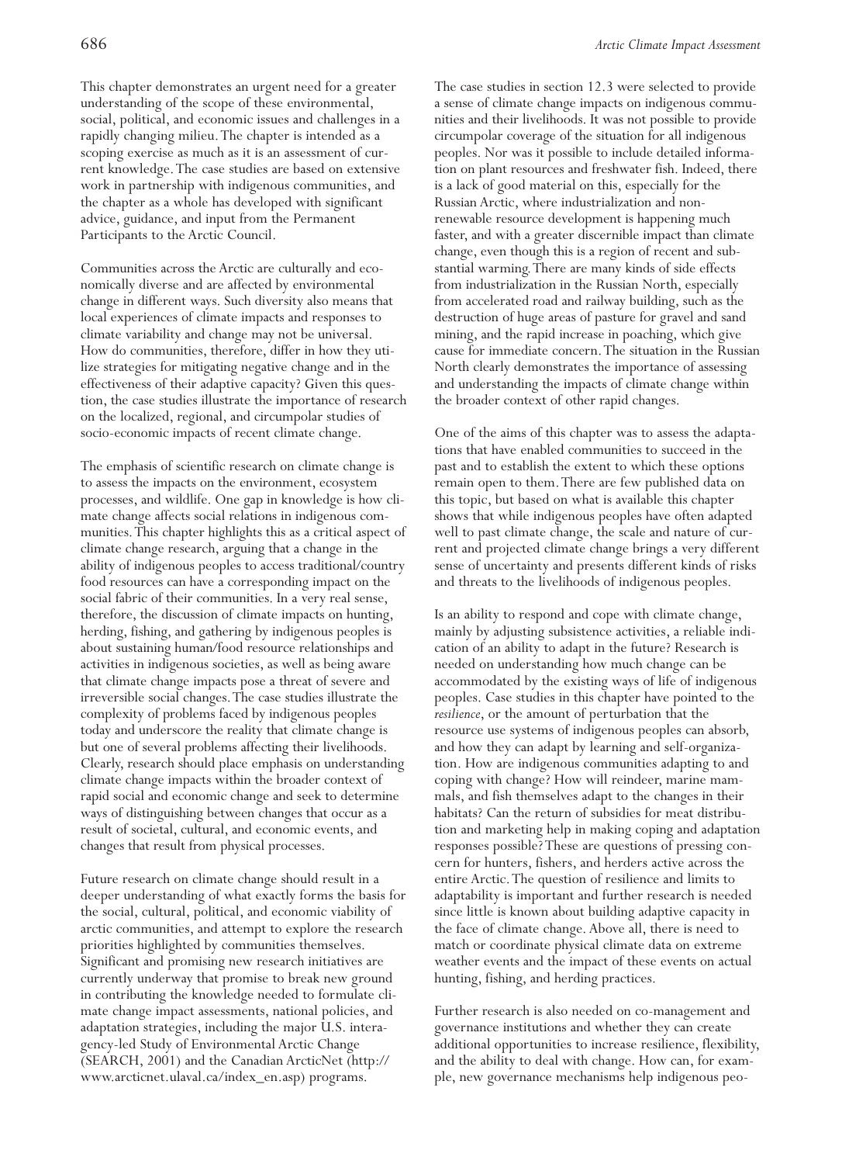This chapter demonstrates an urgent need for a greater understanding of the scope of these environmental, social, political, and economic issues and challenges in a rapidly changing milieu.The chapter is intended as a scoping exercise as much as it is an assessment of current knowledge.The case studies are based on extensive work in partnership with indigenous communities, and the chapter as a whole has developed with significant advice, guidance, and input from the Permanent Participants to the Arctic Council.

Communities across the Arctic are culturally and economically diverse and are affected by environmental change in different ways. Such diversity also means that local experiences of climate impacts and responses to climate variability and change may not be universal. How do communities, therefore, differ in how they utilize strategies for mitigating negative change and in the effectiveness of their adaptive capacity? Given this question, the case studies illustrate the importance of research on the localized, regional, and circumpolar studies of socio-economic impacts of recent climate change.

The emphasis of scientific research on climate change is to assess the impacts on the environment, ecosystem processes, and wildlife. One gap in knowledge is how climate change affects social relations in indigenous communities.This chapter highlights this as a critical aspect of climate change research, arguing that a change in the ability of indigenous peoples to access traditional/country food resources can have a corresponding impact on the social fabric of their communities. In a very real sense, therefore, the discussion of climate impacts on hunting, herding, fishing, and gathering by indigenous peoples is about sustaining human/food resource relationships and activities in indigenous societies, as well as being aware that climate change impacts pose a threat of severe and irreversible social changes.The case studies illustrate the complexity of problems faced by indigenous peoples today and underscore the reality that climate change is but one of several problems affecting their livelihoods. Clearly, research should place emphasis on understanding climate change impacts within the broader context of rapid social and economic change and seek to determine ways of distinguishing between changes that occur as a result of societal, cultural, and economic events, and changes that result from physical processes.

Future research on climate change should result in a deeper understanding of what exactly forms the basis for the social, cultural, political, and economic viability of arctic communities, and attempt to explore the research priorities highlighted by communities themselves. Significant and promising new research initiatives are currently underway that promise to break new ground in contributing the knowledge needed to formulate climate change impact assessments, national policies, and adaptation strategies, including the major U.S. interagency-led Study of Environmental Arctic Change (SEARCH, 2001) and the Canadian ArcticNet (http:// www.arcticnet.ulaval.ca/index\_en.asp) programs.

The case studies in section 12.3 were selected to provide a sense of climate change impacts on indigenous communities and their livelihoods. It was not possible to provide circumpolar coverage of the situation for all indigenous peoples. Nor was it possible to include detailed information on plant resources and freshwater fish. Indeed, there is a lack of good material on this, especially for the Russian Arctic, where industrialization and nonrenewable resource development is happening much faster, and with a greater discernible impact than climate change, even though this is a region of recent and substantial warming.There are many kinds of side effects from industrialization in the Russian North, especially from accelerated road and railway building, such as the destruction of huge areas of pasture for gravel and sand mining, and the rapid increase in poaching, which give cause for immediate concern.The situation in the Russian North clearly demonstrates the importance of assessing and understanding the impacts of climate change within the broader context of other rapid changes.

One of the aims of this chapter was to assess the adaptations that have enabled communities to succeed in the past and to establish the extent to which these options remain open to them.There are few published data on this topic, but based on what is available this chapter shows that while indigenous peoples have often adapted well to past climate change, the scale and nature of current and projected climate change brings a very different sense of uncertainty and presents different kinds of risks and threats to the livelihoods of indigenous peoples.

Is an ability to respond and cope with climate change, mainly by adjusting subsistence activities, a reliable indication of an ability to adapt in the future? Research is needed on understanding how much change can be accommodated by the existing ways of life of indigenous peoples. Case studies in this chapter have pointed to the *resilience*, or the amount of perturbation that the resource use systems of indigenous peoples can absorb, and how they can adapt by learning and self-organization. How are indigenous communities adapting to and coping with change? How will reindeer, marine mammals, and fish themselves adapt to the changes in their habitats? Can the return of subsidies for meat distribution and marketing help in making coping and adaptation responses possible? These are questions of pressing concern for hunters, fishers, and herders active across the entire Arctic.The question of resilience and limits to adaptability is important and further research is needed since little is known about building adaptive capacity in the face of climate change. Above all, there is need to match or coordinate physical climate data on extreme weather events and the impact of these events on actual hunting, fishing, and herding practices.

Further research is also needed on co-management and governance institutions and whether they can create additional opportunities to increase resilience, flexibility, and the ability to deal with change. How can, for example, new governance mechanisms help indigenous peo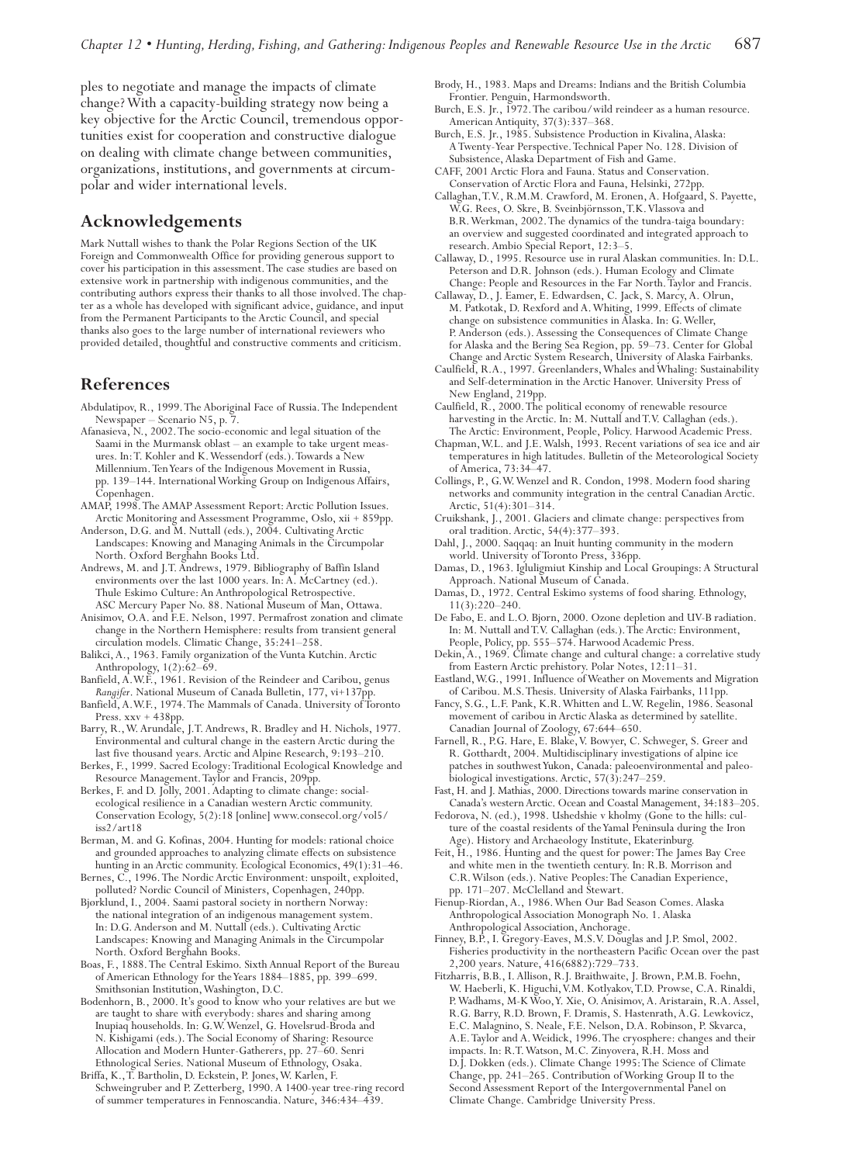ples to negotiate and manage the impacts of climate change? With a capacity-building strategy now being a key objective for the Arctic Council, tremendous opportunities exist for cooperation and constructive dialogue on dealing with climate change between communities, organizations, institutions, and governments at circumpolar and wider international levels.

# **Acknowledgements**

Mark Nuttall wishes to thank the Polar Regions Section of the UK Foreign and Commonwealth Office for providing generous support to cover his participation in this assessment.The case studies are based on extensive work in partnership with indigenous communities, and the contributing authors express their thanks to all those involved.The chapter as a whole has developed with significant advice, guidance, and input from the Permanent Participants to the Arctic Council, and special thanks also goes to the large number of international reviewers who provided detailed, thoughtful and constructive comments and criticism.

# **References**

Abdulatipov, R., 1999.The Aboriginal Face of Russia.The Independent Newspaper – Scenario N5, p. 7.

- Afanasieva, N., 2002.The socio-economic and legal situation of the Saami in the Murmansk oblast – an example to take urgent measures. In:T. Kohler and K.Wessendorf (eds.).Towards a New Millennium.Ten Years of the Indigenous Movement in Russia, pp. 139–144. International Working Group on Indigenous Affairs, Copenhagen.
- AMAP, 1998.The AMAP Assessment Report: Arctic Pollution Issues. Arctic Monitoring and Assessment Programme, Oslo, xii + 859pp.

Anderson, D.G. and M. Nuttall (eds.), 2004. Cultivating Arctic Landscapes: Knowing and Managing Animals in the Circumpolar North. Oxford Berghahn Books Ltd.

Andrews, M. and J.T. Andrews, 1979. Bibliography of Baffin Island environments over the last 1000 years. In: A. McCartney (ed.). Thule Eskimo Culture: An Anthropological Retrospective. ASC Mercury Paper No. 88. National Museum of Man, Ottawa.

Anisimov, O.A. and F.E. Nelson, 1997. Permafrost zonation and climate change in the Northern Hemisphere: results from transient general circulation models. Climatic Change, 35:241–258.

Balikci, A., 1963. Family organization of the Vunta Kutchin. Arctic Anthropology, 1(2):62–69.

Banfield, A.W.F., 1961. Revision of the Reindeer and Caribou, genus *Rangifer*. National Museum of Canada Bulletin, 177, vi+137pp.

Banfield, A.W.F., 1974.The Mammals of Canada. University of Toronto Press. xxv + 438pp.

Barry, R.,W. Arundale, J.T. Andrews, R. Bradley and H. Nichols, 1977. Environmental and cultural change in the eastern Arctic during the last five thousand years. Arctic and Alpine Research, 9:193–210.

Berkes, F., 1999. Sacred Ecology:Traditional Ecological Knowledge and Resource Management.Taylor and Francis, 209pp.

Berkes, F. and D. Jolly, 2001. Adapting to climate change: socialecological resilience in a Canadian western Arctic community. Conservation Ecology, 5(2):18 [online] www.consecol.org/vol5/ iss2/art18

Berman, M. and G. Kofinas, 2004. Hunting for models: rational choice and grounded approaches to analyzing climate effects on subsistence hunting in an Arctic community. Ecological Economics, 49(1):31–46.

Bernes, C., 1996.The Nordic Arctic Environment: unspoilt, exploited, polluted? Nordic Council of Ministers, Copenhagen, 240pp.

Bjørklund, I., 2004. Saami pastoral society in northern Norway: the national integration of an indigenous management system. In: D.G. Anderson and M. Nuttall (eds.). Cultivating Arctic Landscapes: Knowing and Managing Animals in the Circumpolar North. Oxford Berghahn Books.

Boas, F., 1888.The Central Eskimo. Sixth Annual Report of the Bureau of American Ethnology for the Years 1884–1885, pp. 399–699. Smithsonian Institution,Washington, D.C.

Bodenhorn, B., 2000. It's good to know who your relatives are but we are taught to share with everybody: shares and sharing among Inupiaq households. In: G.W.Wenzel, G. Hovelsrud-Broda and N. Kishigami (eds.).The Social Economy of Sharing: Resource Allocation and Modern Hunter-Gatherers, pp. 27–60. Senri Ethnological Series. National Museum of Ethnology, Osaka.

Briffa, K.,T. Bartholin, D. Eckstein, P. Jones,W. Karlen, F. Schweingruber and P. Zetterberg, 1990. A 1400-year tree-ring record of summer temperatures in Fennoscandia. Nature, 346:434–439.

<span id="page-38-0"></span>Brody, H., 1983. Maps and Dreams: Indians and the British Columbia Frontier. Penguin, Harmondsworth.

Burch, E.S. Jr., 1972.The caribou/wild reindeer as a human resource. American Antiquity, 37(3):337–368.

- Burch, E.S. Jr., 1985. Subsistence Production in Kivalina, Alaska: ATwenty-Year Perspective.Technical Paper No. 128. Division of Subsistence, Alaska Department of Fish and Game.
- CAFF, 2001 Arctic Flora and Fauna. Status and Conservation. Conservation of Arctic Flora and Fauna, Helsinki, 272pp. Callaghan,T.V., R.M.M. Crawford, M. Eronen, A. Hofgaard, S. Payette,

W.G. Rees, O. Skre, B. Sveinbjörnsson,T.K.Vlassova and B.R.Werkman, 2002.The dynamics of the tundra-taiga boundary: an overview and suggested coordinated and integrated approach to research. Ambio Special Report, 12:3–5.

Callaway, D., 1995. Resource use in rural Alaskan communities. In: D.L. Peterson and D.R. Johnson (eds.). Human Ecology and Climate Change: People and Resources in the Far North.Taylor and Francis.

Callaway, D., J. Eamer, E. Edwardsen, C. Jack, S. Marcy, A. Olrun, M. Patkotak, D. Rexford and A.Whiting, 1999. Effects of climate change on subsistence communities in Alaska. In: G.Weller, P. Anderson (eds.). Assessing the Consequences of Climate Change for Alaska and the Bering Sea Region, pp. 59–73. Center for Global Change and Arctic System Research, University of Alaska Fairbanks.

- Caulfield, R.A., 1997. Greenlanders,Whales and Whaling: Sustainability and Self-determination in the Arctic Hanover. University Press of New England, 219pp.
- Caulfield, R., 2000.The political economy of renewable resource harvesting in the Arctic. In: M. Nuttall and T.V. Callaghan (eds.). The Arctic: Environment, People, Policy. Harwood Academic Press.
- Chapman,W.L. and J.E.Walsh, 1993. Recent variations of sea ice and air temperatures in high latitudes. Bulletin of the Meteorological Society of America, 73:34–47.

Collings, P., G.W.Wenzel and R. Condon, 1998. Modern food sharing networks and community integration in the central Canadian Arctic. Arctic, 51(4):301–314.

Cruikshank, J., 2001. Glaciers and climate change: perspectives from oral tradition.Arctic, 54(4):377–393.

Dahl, J., 2000. Saqqaq: an Inuit hunting community in the modern world. University of Toronto Press, 336pp.

Damas, D., 1963. Igluligmiut Kinship and Local Groupings: A Structural Approach. National Museum of Canada.

Damas, D., 1972. Central Eskimo systems of food sharing. Ethnology, 11(3):220–240.

De Fabo, E. and L.O. Bjorn, 2000. Ozone depletion and UV-B radiation. In: M. Nuttall and T.V. Callaghan (eds.).The Arctic: Environment, People, Policy, pp. 555–574. Harwood Academic Press.

Dekin, A., 1969. Climate change and cultural change: a correlative study from Eastern Arctic prehistory. Polar Notes, 12:11–31.

Eastland,W.G., 1991. Influence of Weather on Movements and Migration of Caribou. M.S.Thesis. University of Alaska Fairbanks, 111pp.

Fancy, S.G., L.F. Pank, K.R.Whitten and L.W. Regelin, 1986. Seasonal movement of caribou in Arctic Alaska as determined by satellite. Canadian Journal of Zoology, 67:644–650.

Farnell, R., P.G. Hare, E. Blake, V. Bowyer, C. Schweger, S. Greer and R. Gotthardt, 2004. Multidisciplinary investigations of alpine ice patches in southwest Yukon, Canada: paleoenvironmental and paleobiological investigations. Arctic, 57(3):247–259.

Fast, H. and J. Mathias, 2000. Directions towards marine conservation in Canada's western Arctic. Ocean and Coastal Management, 34:183–205.

Fedorova, N. (ed.), 1998. Ushedshie v kholmy (Gone to the hills: culture of the coastal residents of the Yamal Peninsula during the Iron Age). History and Archaeology Institute, Ekaterinburg.

Feit, H., 1986. Hunting and the quest for power:The James Bay Cree and white men in the twentieth century. In: R.B. Morrison and C.R.Wilson (eds.). Native Peoples:The Canadian Experience, pp. 171–207. McClelland and Stewart.

Fienup-Riordan,A., 1986.When Our Bad Season Comes. Alaska Anthropological Association Monograph No. 1. Alaska Anthropological Association, Anchorage.

Finney, B.P., I. Gregory-Eaves, M.S.V. Douglas and J.P. Smol, 2002. Fisheries productivity in the northeastern Pacific Ocean over the past 2,200 years. Nature, 416(6882):729–733.

Fitzharris, B.B., I. Allison, R.J. Braithwaite, J. Brown, P.M.B. Foehn, W. Haeberli, K. Higuchi,V.M. Kotlyakov,T.D. Prowse, C.A. Rinaldi, P.Wadhams, M-K Woo,Y. Xie, O. Anisimov, A. Aristarain, R.A. Assel, R.G. Barry, R.D. Brown, F. Dramis, S. Hastenrath, A.G. Lewkovicz, E.C. Malagnino, S. Neale, F.E. Nelson, D.A. Robinson, P. Skvarca, A.E.Taylor and A.Weidick, 1996.The cryosphere: changes and their impacts. In: R.T.Watson, M.C. Zinyovera, R.H. Moss and D.J. Dokken (eds.). Climate Change 1995:The Science of Climate Change, pp. 241–265. Contribution of Working Group II to the Second Assessment Report of the Intergovernmental Panel on Climate Change. Cambridge University Press.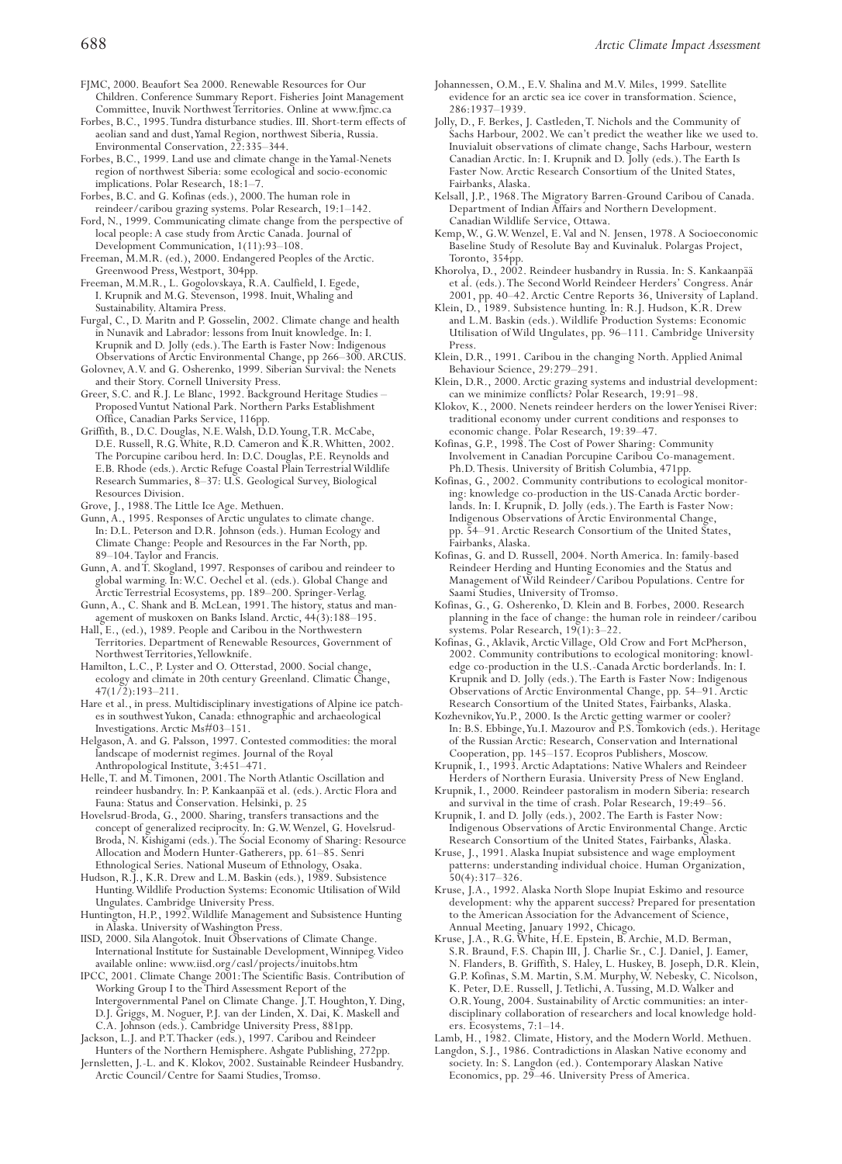FJMC, 2000. Beaufort Sea 2000. Renewable Resources for Our Children. Conference Summary Report. Fisheries Joint Management Committee, Inuvik Northwest Territories. Online at www.fjmc.ca

Forbes, B.C., 1995.Tundra disturbance studies. III. Short-term effects of aeolian sand and dust,Yamal Region, northwest Siberia, Russia. Environmental Conservation, 22:335–344.

Forbes, B.C., 1999. Land use and climate change in the Yamal-Nenets region of northwest Siberia: some ecological and socio-economic implications. Polar Research, 18:1–7.

Forbes, B.C. and G. Kofinas (eds.), 2000.The human role in reindeer/caribou grazing systems. Polar Research, 19:1–142.

Ford, N., 1999. Communicating climate change from the perspective of local people: A case study from Arctic Canada. Journal of Development Communication, 1(11):93–108.

Freeman, M.M.R. (ed.), 2000. Endangered Peoples of the Arctic. Greenwood Press,Westport, 304pp.

Freeman, M.M.R., L. Gogolovskaya, R.A. Caulfield, I. Egede, I. Krupnik and M.G. Stevenson, 1998. Inuit,Whaling and Sustainability. Altamira Press.

- Furgal, C., D. Maritn and P. Gosselin, 2002. Climate change and health in Nunavik and Labrador: lessons from Inuit knowledge. In: I. Krupnik and D. Jolly (eds.).The Earth is Faster Now: Indigenous Observations of Arctic Environmental Change, pp 266–300. ARCUS.
- Golovnev, A.V. and G. Osherenko, 1999. Siberian Survival: the Nenets and their Story. Cornell University Press.

Greer, S.C. and R.J. Le Blanc, 1992. Background Heritage Studies – Proposed Vuntut National Park. Northern Parks Establishment Office, Canadian Parks Service, 116pp.

Griffith, B., D.C. Douglas, N.E.Walsh, D.D.Young,T.R. McCabe, D.E. Russell, R.G.White, R.D. Cameron and K.R.Whitten, 2002. The Porcupine caribou herd. In: D.C. Douglas, P.E. Reynolds and E.B. Rhode (eds.). Arctic Refuge Coastal Plain Terrestrial Wildlife Research Summaries, 8–37: U.S. Geological Survey, Biological Resources Division.

Grove, J., 1988.The Little Ice Age. Methuen.

- Gunn,A., 1995. Responses of Arctic ungulates to climate change. In: D.L. Peterson and D.R. Johnson (eds.). Human Ecology and Climate Change: People and Resources in the Far North, pp. 89–104.Taylor and Francis.
- Gunn,A. and T. Skogland, 1997. Responses of caribou and reindeer to global warming. In:W.C. Oechel et al. (eds.). Global Change and Arctic Terrestrial Ecosystems, pp. 189–200. Springer-Verlag.

Gunn,A., C. Shank and B. McLean, 1991.The history, status and management of muskoxen on Banks Island. Arctic, 44(3):188–195.

Hall, E., (ed.), 1989. People and Caribou in the Northwestern Territories. Department of Renewable Resources, Government of Northwest Territories,Yellowknife.

Hamilton, L.C., P. Lyster and O. Otterstad, 2000. Social change, ecology and climate in 20th century Greenland. Climatic Change, 47(1/2):193–211.

Hare et al., in press. Multidisciplinary investigations of Alpine ice patches in southwest Yukon, Canada: ethnographic and archaeological Investigations. Arctic Ms#03–151.

Helgason, A. and G. Palsson, 1997. Contested commodities: the moral landscape of modernist regimes. Journal of the Royal Anthropological Institute, 3:451–471.

Helle,T. and M.Timonen, 2001.The North Atlantic Oscillation and reindeer husbandry. In: P. Kankaanpää et al. (eds.). Arctic Flora and Fauna: Status and Conservation. Helsinki, p. 25

Hovelsrud-Broda, G., 2000. Sharing, transfers transactions and the concept of generalized reciprocity. In: G.W.Wenzel, G. Hovelsrud-Broda, N. Kishigami (eds.).The Social Economy of Sharing: Resource Allocation and Modern Hunter-Gatherers, pp. 61–85. Senri Ethnological Series. National Museum of Ethnology, Osaka.

Hudson, R.J., K.R. Drew and L.M. Baskin (eds.), 1989. Subsistence Hunting.Wildlife Production Systems: Economic Utilisation of Wild Ungulates. Cambridge University Press.

Huntington, H.P., 1992.Wildlife Management and Subsistence Hunting in Alaska. University of Washington Press.

IISD, 2000. Sila Alangotok. Inuit Observations of Climate Change. International Institute for Sustainable Development,Winnipeg.Video available online: www.iisd.org/casl/projects/inuitobs.htm

IPCC, 2001. Climate Change 2001:The Scientific Basis. Contribution of Working Group I to the Third Assessment Report of the Intergovernmental Panel on Climate Change. J.T. Houghton,Y. Ding, D.J. Griggs, M. Noguer, P.J. van der Linden, X. Dai, K. Maskell and C.A. Johnson (eds.). Cambridge University Press, 881pp.

Jackson, L.J. and P.T.Thacker (eds.), 1997. Caribou and Reindeer Hunters of the Northern Hemisphere. Ashgate Publishing, 272pp.

Jernsletten, J.-L. and K. Klokov, 2002. Sustainable Reindeer Husbandry. Arctic Council/Centre for Saami Studies, Tromsø.

Johannessen, O.M., E.V. Shalina and M.V. Miles, 1999. Satellite evidence for an arctic sea ice cover in transformation. Science, 286:1937–1939.

- Jolly, D., F. Berkes, J. Castleden,T. Nichols and the Community of Sachs Harbour, 2002.We can't predict the weather like we used to. Inuvialuit observations of climate change, Sachs Harbour, western Canadian Arctic. In: I. Krupnik and D. Jolly (eds.).The Earth Is Faster Now. Arctic Research Consortium of the United States, Fairbanks, Alaska.
- Kelsall, J.P., 1968.The Migratory Barren-Ground Caribou of Canada. Department of Indian Affairs and Northern Development. Canadian Wildlife Service, Ottawa.

Kemp,W., G.W.Wenzel, E.Val and N. Jensen, 1978. A Socioeconomic Baseline Study of Resolute Bay and Kuvinaluk. Polargas Project, Toronto, 354pp.

Khorolya, D., 2002. Reindeer husbandry in Russia. In: S. Kankaanpää et al. (eds.).The Second World Reindeer Herders' Congress. Anár 2001, pp. 40–42. Arctic Centre Reports 36, University of Lapland.

Klein, D., 1989. Subsistence hunting. In: R.J. Hudson, K.R. Drew and L.M. Baskin (eds.). Wildlife Production Systems: Economic Utilisation of Wild Ungulates, pp. 96–111. Cambridge University Press.

Klein, D.R., 1991. Caribou in the changing North. Applied Animal Behaviour Science, 29:279–291.

Klein, D.R., 2000. Arctic grazing systems and industrial development: can we minimize conflicts? Polar Research, 19:91–98.

Klokov, K., 2000. Nenets reindeer herders on the lower Yenisei River: traditional economy under current conditions and responses to economic change. Polar Research, 19:39–47.

Kofinas, G.P., 1998.The Cost of Power Sharing: Community Involvement in Canadian Porcupine Caribou Co-management. Ph.D.Thesis. University of British Columbia, 471pp.

Kofinas, G., 2002. Community contributions to ecological monitoring: knowledge co-production in the US-Canada Arctic borderlands. In: I. Krupnik, D. Jolly (eds.).The Earth is Faster Now: Indigenous Observations of Arctic Environmental Change, pp. 54–91. Arctic Research Consortium of the United States, Fairbanks, Alaska.

Kofinas, G. and D. Russell, 2004. North America. In: family-based Reindeer Herding and Hunting Economies and the Status and Management of Wild Reindeer/Caribou Populations. Centre for Saami Studies, University of Tromsø.

Kofinas, G., G. Osherenko, D. Klein and B. Forbes, 2000. Research planning in the face of change: the human role in reindeer/caribou systems. Polar Research, 19(1):3–22.

Kofinas, G., Aklavik, Arctic Village, Old Crow and Fort McPherson, 2002. Community contributions to ecological monitoring: knowledge co-production in the U.S.-Canada Arctic borderlands. In: I. Krupnik and D. Jolly (eds.).The Earth is Faster Now: Indigenous Observations of Arctic Environmental Change, pp. 54–91. Arctic Research Consortium of the United States, Fairbanks, Alaska.

Kozhevnikov,Yu.P., 2000. Is the Arctic getting warmer or cooler? In: B.S. Ebbinge,Yu.I. Mazourov and P.S.Tomkovich (eds.). Heritage of the Russian Arctic: Research, Conservation and International Cooperation, pp. 145–157. Ecopros Publishers, Moscow.

Krupnik, I., 1993. Arctic Adaptations: Native Whalers and Reindeer Herders of Northern Eurasia. University Press of New England.

Krupnik, I., 2000. Reindeer pastoralism in modern Siberia: research and survival in the time of crash. Polar Research, 19:49–56.

Krupnik, I. and D. Jolly (eds.), 2002.The Earth is Faster Now: Indigenous Observations of Arctic Environmental Change. Arctic Research Consortium of the United States, Fairbanks, Alaska.

Kruse, J., 1991. Alaska Inupiat subsistence and wage employment patterns: understanding individual choice. Human Organization, 50(4):317–326.

Kruse, J.A., 1992. Alaska North Slope Inupiat Eskimo and resource development: why the apparent success? Prepared for presentation to the American Association for the Advancement of Science, Annual Meeting, January 1992, Chicago.

Kruse, J.A., R.G.White, H.E. Epstein, B. Archie, M.D. Berman, S.R. Braund, F.S. Chapin III, J. Charlie Sr., C.J. Daniel, J. Eamer, N. Flanders, B. Griffith, S. Haley, L. Huskey, B. Joseph, D.R. Klein, G.P. Kofinas, S.M. Martin, S.M. Murphy,W. Nebesky, C. Nicolson, K. Peter, D.E. Russell, J.Tetlichi, A.Tussing, M.D.Walker and O.R.Young, 2004. Sustainability of Arctic communities: an interdisciplinary collaboration of researchers and local knowledge holders. Ecosystems, 7:1–14.

Lamb, H., 1982. Climate, History, and the Modern World. Methuen. Langdon, S.J., 1986. Contradictions in Alaskan Native economy and society. In: S. Langdon (ed.). Contemporary Alaskan Native Economics, pp. 29–46. University Press of America.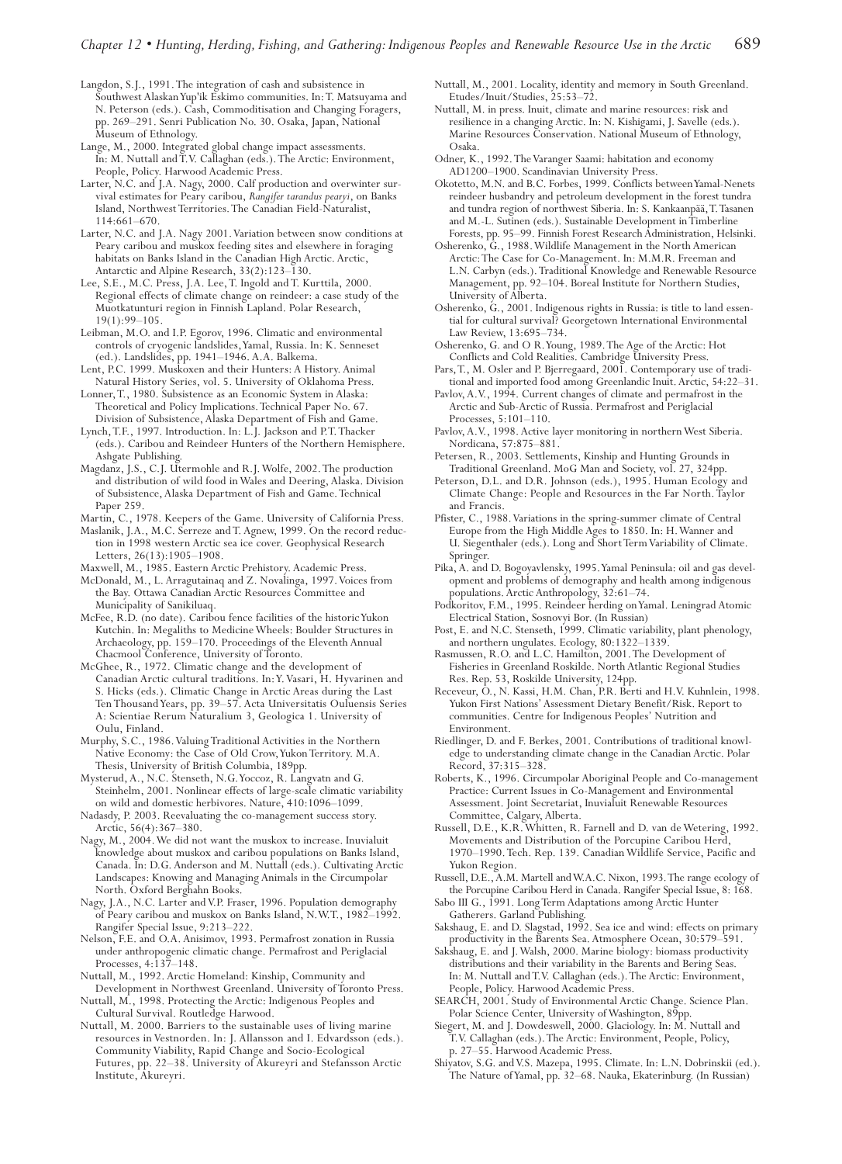Langdon, S.J., 1991.The integration of cash and subsistence in Southwest Alaskan Yup'ik Eskimo communities. In:T. Matsuyama and N. Peterson (eds.). Cash, Commoditisation and Changing Foragers, pp. 269–291. Senri Publication No. 30. Osaka, Japan, National Museum of Ethnology.

Lange, M., 2000. Integrated global change impact assessments. In: M. Nuttall and T.V. Callaghan (eds.).The Arctic: Environment, People, Policy. Harwood Academic Press.

Larter, N.C. and J.A. Nagy, 2000. Calf production and overwinter survival estimates for Peary caribou, *Rangifer tarandus pearyi*, on Banks Island, Northwest Territories.The Canadian Field-Naturalist, 114:661–670.

Larter, N.C. and J.A. Nagy 2001.Variation between snow conditions at Peary caribou and muskox feeding sites and elsewhere in foraging habitats on Banks Island in the Canadian High Arctic. Arctic, Antarctic and Alpine Research, 33(2):123–130.

Lee, S.E., M.C. Press, J.A. Lee,T. Ingold and T. Kurttila, 2000. Regional effects of climate change on reindeer: a case study of the Muotkatunturi region in Finnish Lapland. Polar Research, 19(1):99–105.

Leibman, M.O. and I.P. Egorov, 1996. Climatic and environmental controls of cryogenic landslides,Yamal, Russia. In: K. Senneset (ed.). Landslides, pp. 1941–1946. A.A. Balkema.

Lent, P.C. 1999. Muskoxen and their Hunters: A History. Animal Natural History Series, vol. 5. University of Oklahoma Press.

Lonner,T., 1980. Subsistence as an Economic System in Alaska: Theoretical and Policy Implications.Technical Paper No. 67. Division of Subsistence, Alaska Department of Fish and Game.

Lynch,T.F., 1997. Introduction. In: L.J. Jackson and P.T.Thacker (eds.). Caribou and Reindeer Hunters of the Northern Hemisphere. Ashgate Publishing.

Magdanz, J.S., C.J. Utermohle and R.J.Wolfe, 2002.The production and distribution of wild food in Wales and Deering, Alaska. Division of Subsistence,Alaska Department of Fish and Game.Technical Paper 259

Martin, C., 1978. Keepers of the Game. University of California Press.

Maslanik, J.A., M.C. Serreze and T. Agnew, 1999. On the record reduction in 1998 western Arctic sea ice cover. Geophysical Research Letters, 26(13):1905–1908.

Maxwell, M., 1985. Eastern Arctic Prehistory. Academic Press.

McDonald, M., L. Arragutainaq and Z. Novalinga, 1997.Voices from the Bay. Ottawa Canadian Arctic Resources Committee and Municipality of Sanikiluaq.

McFee, R.D. (no date). Caribou fence facilities of the historic Yukon Kutchin. In: Megaliths to Medicine Wheels: Boulder Structures in Archaeology, pp. 159–170. Proceedings of the Eleventh Annual Chacmool Conference, University of Toronto.

McGhee, R., 1972. Climatic change and the development of Canadian Arctic cultural traditions. In:Y. Vasari, H. Hyvarinen and S. Hicks (eds.). Climatic Change in Arctic Areas during the Last Ten Thousand Years, pp. 39–57. Acta Universitatis Ouluensis Series A: Scientiae Rerum Naturalium 3, Geologica 1. University of Oulu, Finland.

Murphy, S.C., 1986.Valuing Traditional Activities in the Northern Native Economy: the Case of Old Crow,Yukon Territory. M.A. Thesis, University of British Columbia, 189pp.

Mysterud,A., N.C. Stenseth, N.G.Yoccoz, R. Langvatn and G. Steinhelm, 2001. Nonlinear effects of large-scale climatic variability on wild and domestic herbivores. Nature, 410:1096–1099.

Nadasdy, P. 2003. Reevaluating the co-management success story. Arctic, 56(4):367–380.

Nagy, M., 2004.We did not want the muskox to increase. Inuvialuit knowledge about muskox and caribou populations on Banks Island, Canada. In: D.G. Anderson and M. Nuttall (eds.). Cultivating Arctic Landscapes: Knowing and Managing Animals in the Circumpolar North. Oxford Berghahn Books.

Nagy, J.A., N.C. Larter and V.P. Fraser, 1996. Population demography of Peary caribou and muskox on Banks Island, N.W.T., 1982–1992. Rangifer Special Issue, 9:213–222.

Nelson, F.E. and O.A. Anisimov, 1993. Permafrost zonation in Russia under anthropogenic climatic change. Permafrost and Periglacial Processes, 4:137–148.

Nuttall, M., 1992. Arctic Homeland: Kinship, Community and Development in Northwest Greenland. University of Toronto Press.

Nuttall, M., 1998. Protecting the Arctic: Indigenous Peoples and Cultural Survival. Routledge Harwood.

Nuttall, M. 2000. Barriers to the sustainable uses of living marine resources in Vestnorden. In: J. Allansson and I. Edvardsson (eds.). Community Viability, Rapid Change and Socio-Ecological Futures, pp. 22–38. University of Akureyri and Stefansson Arctic Institute, Akureyri.

Nuttall, M., 2001. Locality, identity and memory in South Greenland. Etudes/Inuit/Studies, 25:53–72.

Nuttall, M. in press. Inuit, climate and marine resources: risk and resilience in a changing Arctic. In: N. Kishigami, J. Savelle (eds.). Marine Resources Conservation. National Museum of Ethnology, Osaka.

Odner, K., 1992.The Varanger Saami: habitation and economy AD1200–1900. Scandinavian University Press.

Okotetto, M.N. and B.C. Forbes, 1999. Conflicts between Yamal-Nenets reindeer husbandry and petroleum development in the forest tundra and tundra region of northwest Siberia. In: S. Kankaanpää,T.Tasanen and M.-L. Sutinen (eds.). Sustainable Development in Timberline Forests, pp. 95–99. Finnish Forest Research Administration, Helsinki.

Osherenko, G., 1988.Wildlife Management in the North American Arctic:The Case for Co-Management. In: M.M.R. Freeman and L.N. Carbyn (eds.).Traditional Knowledge and Renewable Resource Management, pp. 92–104. Boreal Institute for Northern Studies, University of Alberta.

Osherenko, G., 2001. Indigenous rights in Russia: is title to land essential for cultural survival? Georgetown International Environmental Law Review, 13:695–734.

Osherenko, G. and O R.Young, 1989.The Age of the Arctic: Hot Conflicts and Cold Realities. Cambridge University Press.

Pars,T., M. Osler and P. Bjerregaard, 2001. Contemporary use of traditional and imported food among Greenlandic Inuit. Arctic, 54:22–31.

Pavlov, A.V., 1994. Current changes of climate and permafrost in the Arctic and Sub-Arctic of Russia. Permafrost and Periglacial Processes, 5:101–110.

Pavlov, A.V., 1998. Active layer monitoring in northern West Siberia. Nordicana, 57:875–881.

Petersen, R., 2003. Settlements, Kinship and Hunting Grounds in Traditional Greenland. MoG Man and Society, vol. 27, 324pp.

Peterson, D.L. and D.R. Johnson (eds.), 1995. Human Ecology and Climate Change: People and Resources in the Far North. Taylor

Pfister, C., 1988. Variations in the spring-summer climate of Central Europe from the High Middle Ages to 1850. In: H.Wanner and U. Siegenthaler (eds.). Long and Short Term Variability of Climate. Springer.

Pika,A. and D. Bogoyavlensky, 1995.Yamal Peninsula: oil and gas development and problems of demography and health among indigenous populations. Arctic Anthropology, 32:61–74.

Podkoritov, F.M., 1995. Reindeer herding on Yamal. Leningrad Atomic Electrical Station, Sosnovyi Bor. (In Russian)

Post, E. and N.C. Stenseth, 1999. Climatic variability, plant phenology, and northern ungulates. Ecology, 80:1322–1339.

Rasmussen, R.O. and L.C. Hamilton, 2001.The Development of Fisheries in Greenland Roskilde. North Atlantic Regional Studies Res. Rep. 53, Roskilde University, 124pp.

Receveur, O., N. Kassi, H.M. Chan, P.R. Berti and H.V. Kuhnlein, 1998. Yukon First Nations' Assessment Dietary Benefit/Risk. Report to communities. Centre for Indigenous Peoples' Nutrition and Environment.

Riedlinger, D. and F. Berkes, 2001. Contributions of traditional knowledge to understanding climate change in the Canadian Arctic. Polar Record, 37:315–328.

Roberts, K., 1996. Circumpolar Aboriginal People and Co-management Practice: Current Issues in Co-Management and Environmental Assessment. Joint Secretariat, Inuvialuit Renewable Resources Committee, Calgary, Alberta.

Russell, D.E., K.R.Whitten, R. Farnell and D. van de Wetering, 1992. Movements and Distribution of the Porcupine Caribou Herd, 1970–1990.Tech. Rep. 139. Canadian Wildlife Service, Pacific and Yukon Region.

Russell, D.E.,A.M. Martell and W.A.C. Nixon, 1993.The range ecology of the Porcupine Caribou Herd in Canada. Rangifer Special Issue, 8: 168.

Sabo III G., 1991. Long Term Adaptations among Arctic Hunter Gatherers. Garland Publishing.

Sakshaug, E. and D. Slagstad, 1992. Sea ice and wind: effects on primary productivity in the Barents Sea. Atmosphere Ocean, 30:579–591.

Sakshaug, E. and J.Walsh, 2000. Marine biology: biomass productivity distributions and their variability in the Barents and Bering Seas. In: M. Nuttall and T.V. Callaghan (eds.).The Arctic: Environment, People, Policy. Harwood Academic Press.

SEARCH, 2001. Study of Environmental Arctic Change. Science Plan. Polar Science Center, University of Washington, 89pp.

Siegert, M. and J. Dowdeswell, 2000. Glaciology. In: M. Nuttall and T.V. Callaghan (eds.).The Arctic: Environment, People, Policy, p. 27–55. Harwood Academic Press.

Shiyatov, S.G. and V.S. Mazepa, 1995. Climate. In: L.N. Dobrinskii (ed.). The Nature of Yamal, pp. 32–68. Nauka, Ekaterinburg. (In Russian)